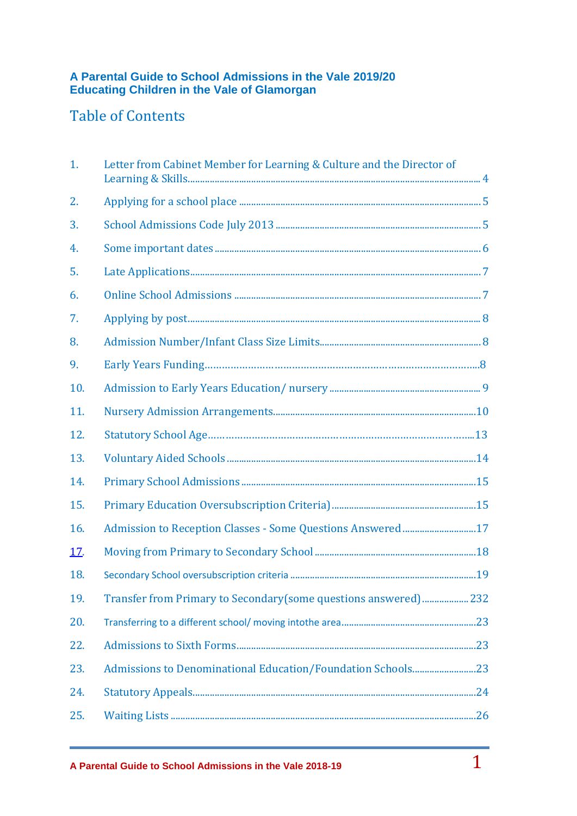## **A Parental Guide to School Admissions in the Vale 2019/20 Educating Children in the Vale of Glamorgan**

# Table of Contents

| 1.         | Letter from Cabinet Member for Learning & Culture and the Director of |  |
|------------|-----------------------------------------------------------------------|--|
| 2.         |                                                                       |  |
| 3.         |                                                                       |  |
| 4.         |                                                                       |  |
| 5.         |                                                                       |  |
| 6.         |                                                                       |  |
| 7.         |                                                                       |  |
| 8.         |                                                                       |  |
| 9.         |                                                                       |  |
| 10.        |                                                                       |  |
| 11.        |                                                                       |  |
| 12.        |                                                                       |  |
| 13.        |                                                                       |  |
| 14.        |                                                                       |  |
| 15.        |                                                                       |  |
| 16.        | Admission to Reception Classes - Some Questions Answered 17           |  |
| <u>17.</u> |                                                                       |  |
| 18.        |                                                                       |  |
| 19.        | Transfer from Primary to Secondary(some questions answered)232        |  |
| 20.        |                                                                       |  |
| 22.        |                                                                       |  |
| 23.        |                                                                       |  |
| 24.        |                                                                       |  |
| 25.        |                                                                       |  |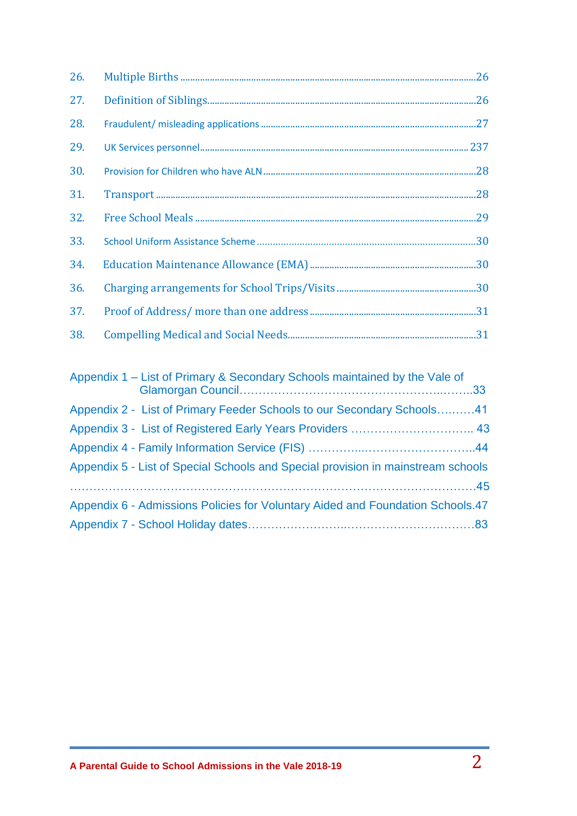| 26. |                                                                                         |  |
|-----|-----------------------------------------------------------------------------------------|--|
| 27. |                                                                                         |  |
| 28. |                                                                                         |  |
| 29. |                                                                                         |  |
| 30. |                                                                                         |  |
| 31. |                                                                                         |  |
| 32. |                                                                                         |  |
| 33. |                                                                                         |  |
| 34. |                                                                                         |  |
| 36. |                                                                                         |  |
| 37. |                                                                                         |  |
| 38. |                                                                                         |  |
|     |                                                                                         |  |
|     | Apple of the A. Hotel Chinese O. Organisation Oxfords and the transition of the Male of |  |

| Appendix 1 – List of Primary & Secondary Schools maintained by the Vale of       |  |
|----------------------------------------------------------------------------------|--|
| Appendix 2 - List of Primary Feeder Schools to our Secondary Schools41           |  |
|                                                                                  |  |
|                                                                                  |  |
| Appendix 5 - List of Special Schools and Special provision in mainstream schools |  |
|                                                                                  |  |
| Appendix 6 - Admissions Policies for Voluntary Aided and Foundation Schools.47   |  |
|                                                                                  |  |
|                                                                                  |  |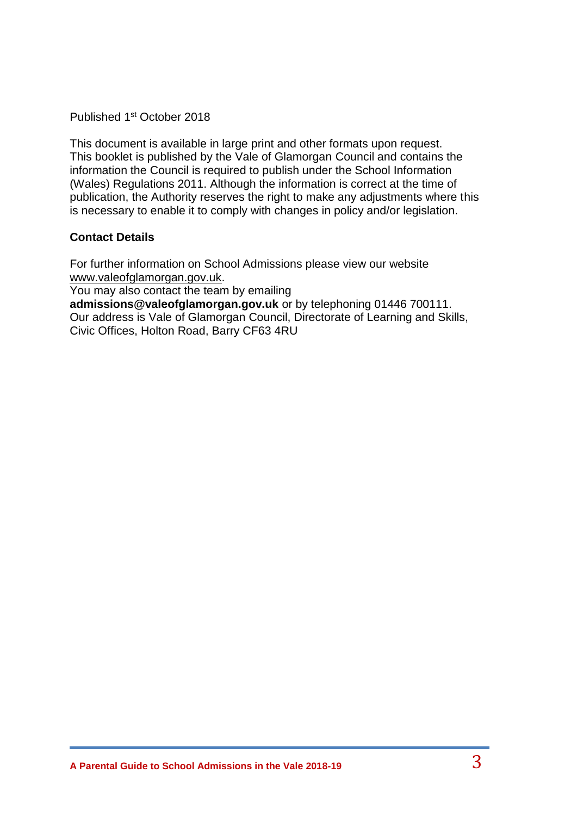Published 1<sup>st</sup> October 2018

This document is available in large print and other formats upon request. This booklet is published by the Vale of Glamorgan Council and contains the information the Council is required to publish under the School Information (Wales) Regulations 2011. Although the information is correct at the time of publication, the Authority reserves the right to make any adjustments where this is necessary to enable it to comply with changes in policy and/or legislation.

## **Contact Details**

For further information on School Admissions please view our website [www.valeofglamorgan.gov.uk.](http://www.valeofglamorgan.gov.uk/)

You may also contact the team by emailing

**admissions@valeofglamorgan.gov.uk** or by telephoning 01446 700111. Our address is Vale of Glamorgan Council, Directorate of Learning and Skills, Civic Offices, Holton Road, Barry CF63 4RU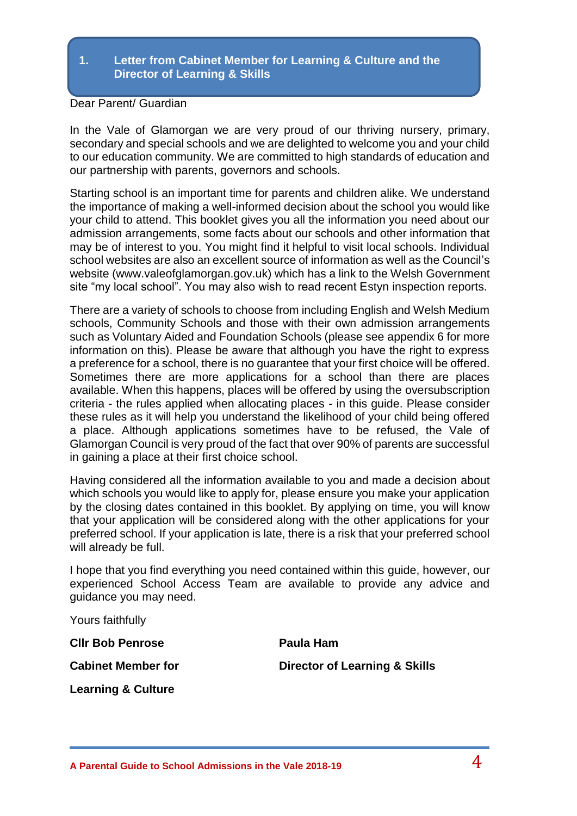#### **1. Letter from Cabinet Member for Learning & Culture and the Director of Learning & Skills**

#### Dear Parent/ Guardian

In the Vale of Glamorgan we are very proud of our thriving nursery, primary, secondary and special schools and we are delighted to welcome you and your child to our education community. We are committed to high standards of education and our partnership with parents, governors and schools.

Starting school is an important time for parents and children alike. We understand the importance of making a well-informed decision about the school you would like your child to attend. This booklet gives you all the information you need about our admission arrangements, some facts about our schools and other information that may be of interest to you. You might find it helpful to visit local schools. Individual school websites are also an excellent source of information as well as the Council's website (www.valeofglamorgan.gov.uk) which has a link to the Welsh Government site "my local school". You may also wish to read recent Estyn inspection reports.

There are a variety of schools to choose from including English and Welsh Medium schools, Community Schools and those with their own admission arrangements such as Voluntary Aided and Foundation Schools (please see appendix 6 for more information on this). Please be aware that although you have the right to express a preference for a school, there is no guarantee that your first choice will be offered. Sometimes there are more applications for a school than there are places available. When this happens, places will be offered by using the oversubscription criteria - the rules applied when allocating places - in this guide. Please consider these rules as it will help you understand the likelihood of your child being offered a place. Although applications sometimes have to be refused, the Vale of Glamorgan Council is very proud of the fact that over 90% of parents are successful in gaining a place at their first choice school.

Having considered all the information available to you and made a decision about which schools you would like to apply for, please ensure you make your application by the closing dates contained in this booklet. By applying on time, you will know that your application will be considered along with the other applications for your preferred school. If your application is late, there is a risk that your preferred school will already be full.

I hope that you find everything you need contained within this guide, however, our experienced School Access Team are available to provide any advice and guidance you may need.

Yours faithfully

**Cllr Bob Penrose Paula Ham**

**Cabinet Member for Cabinet Member for Cabinet Member for Cabinet Algebra** 

**Learning & Culture**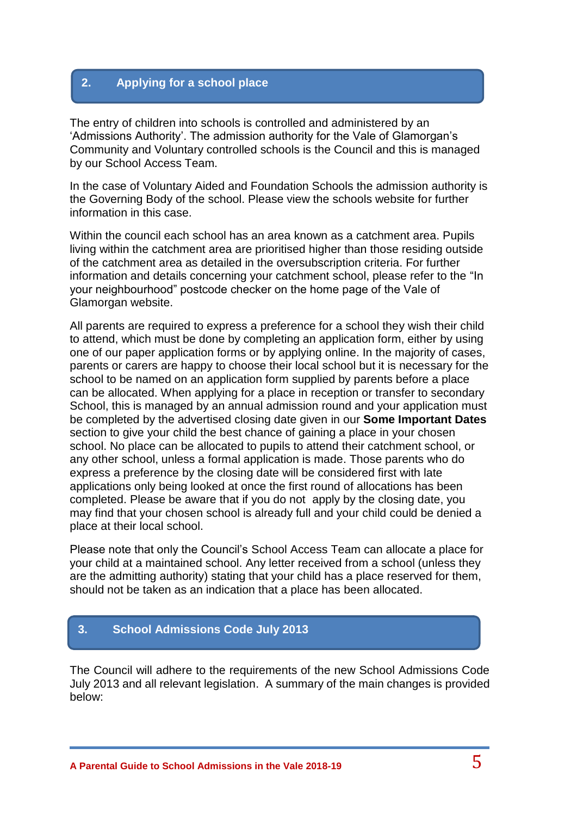## **2. Applying for a school place**

The entry of children into schools is controlled and administered by an 'Admissions Authority'. The admission authority for the Vale of Glamorgan's Community and Voluntary controlled schools is the Council and this is managed by our School Access Team.

In the case of Voluntary Aided and Foundation Schools the admission authority is the Governing Body of the school. Please view the schools website for further information in this case.

Within the council each school has an area known as a catchment area. Pupils living within the catchment area are prioritised higher than those residing outside of the catchment area as detailed in the oversubscription criteria. For further information and details concerning your catchment school, please refer to the "In your neighbourhood" postcode checker on the home page of the Vale of Glamorgan website.

All parents are required to express a preference for a school they wish their child to attend, which must be done by completing an application form, either by using one of our paper application forms or by applying online. In the majority of cases, parents or carers are happy to choose their local school but it is necessary for the school to be named on an application form supplied by parents before a place can be allocated. When applying for a place in reception or transfer to secondary School, this is managed by an annual admission round and your application must be completed by the advertised closing date given in our **Some Important Dates** section to give your child the best chance of gaining a place in your chosen school. No place can be allocated to pupils to attend their catchment school, or any other school, unless a formal application is made. Those parents who do express a preference by the closing date will be considered first with late applications only being looked at once the first round of allocations has been completed. Please be aware that if you do not apply by the closing date, you may find that your chosen school is already full and your child could be denied a place at their local school.

Please note that only the Council's School Access Team can allocate a place for your child at a maintained school. Any letter received from a school (unless they are the admitting authority) stating that your child has a place reserved for them, should not be taken as an indication that a place has been allocated.

## **3. School Admissions Code July 2013**

The Council will adhere to the requirements of the new School Admissions Code July 2013 and all relevant legislation. A summary of the main changes is provided below: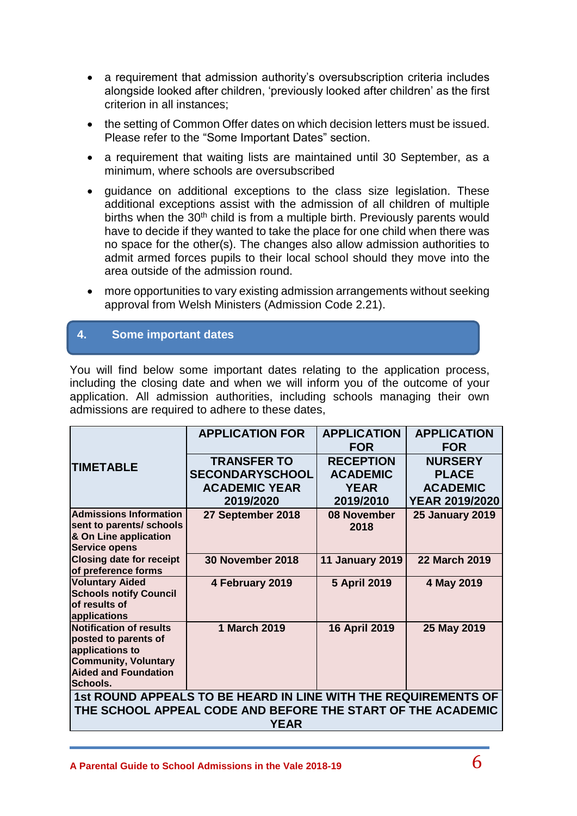- a requirement that admission authority's oversubscription criteria includes alongside looked after children, 'previously looked after children' as the first criterion in all instances;
- the setting of Common Offer dates on which decision letters must be issued. Please refer to the "Some Important Dates" section.
- a requirement that waiting lists are maintained until 30 September, as a minimum, where schools are oversubscribed
- guidance on additional exceptions to the class size legislation. These additional exceptions assist with the admission of all children of multiple births when the 30<sup>th</sup> child is from a multiple birth. Previously parents would have to decide if they wanted to take the place for one child when there was no space for the other(s). The changes also allow admission authorities to admit armed forces pupils to their local school should they move into the area outside of the admission round.
- more opportunities to vary existing admission arrangements without seeking approval from Welsh Ministers (Admission Code 2.21).

## **4. Some important dates**

You will find below some important dates relating to the application process, including the closing date and when we will inform you of the outcome of your application. All admission authorities, including schools managing their own admissions are required to adhere to these dates,

| <b>APPLICATION FOR</b>                                                                                                                       | <b>APPLICATION</b><br><b>FOR</b>    | <b>APPLICATION</b><br><b>FOR</b>         |  |  |  |
|----------------------------------------------------------------------------------------------------------------------------------------------|-------------------------------------|------------------------------------------|--|--|--|
| <b>TRANSFER TO</b><br><b>SECONDARYSCHOOL</b>                                                                                                 | <b>RECEPTION</b><br><b>ACADEMIC</b> | <b>NURSERY</b><br><b>PLACE</b>           |  |  |  |
| 2019/2020                                                                                                                                    | 2019/2010                           | <b>ACADEMIC</b><br><b>YEAR 2019/2020</b> |  |  |  |
| 27 September 2018                                                                                                                            | 08 November<br>2018                 | <b>25 January 2019</b>                   |  |  |  |
| <b>30 November 2018</b>                                                                                                                      | <b>11 January 2019</b>              | <b>22 March 2019</b>                     |  |  |  |
| 4 February 2019                                                                                                                              | <b>5 April 2019</b>                 | 4 May 2019                               |  |  |  |
| 1 March 2019                                                                                                                                 | <b>16 April 2019</b>                | 25 May 2019                              |  |  |  |
| 1st ROUND APPEALS TO BE HEARD IN LINE WITH THE REQUIREMENTS OF<br>THE SCHOOL APPEAL CODE AND BEFORE THE START OF THE ACADEMIC<br><b>YEAR</b> |                                     |                                          |  |  |  |
|                                                                                                                                              | <b>ACADEMIC YEAR</b>                | <b>YEAR</b>                              |  |  |  |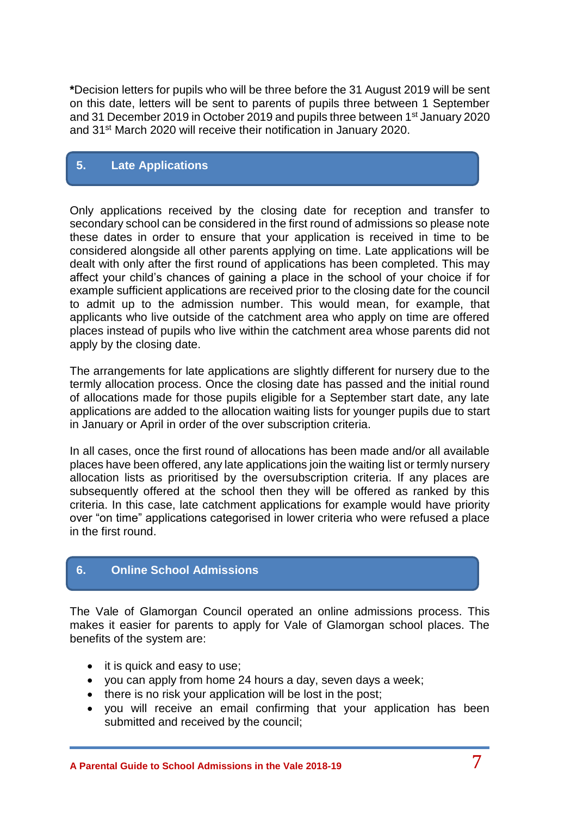**\***Decision letters for pupils who will be three before the 31 August 2019 will be sent on this date, letters will be sent to parents of pupils three between 1 September and 31 December 2019 in October 2019 and pupils three between 1<sup>st</sup> January 2020 and 31st March 2020 will receive their notification in January 2020.

## **5. Late Applications**

Only applications received by the closing date for reception and transfer to secondary school can be considered in the first round of admissions so please note these dates in order to ensure that your application is received in time to be considered alongside all other parents applying on time. Late applications will be dealt with only after the first round of applications has been completed. This may affect your child's chances of gaining a place in the school of your choice if for example sufficient applications are received prior to the closing date for the council to admit up to the admission number. This would mean, for example, that applicants who live outside of the catchment area who apply on time are offered places instead of pupils who live within the catchment area whose parents did not apply by the closing date.

The arrangements for late applications are slightly different for nursery due to the termly allocation process. Once the closing date has passed and the initial round of allocations made for those pupils eligible for a September start date, any late applications are added to the allocation waiting lists for younger pupils due to start in January or April in order of the over subscription criteria.

In all cases, once the first round of allocations has been made and/or all available places have been offered, any late applications join the waiting list or termly nursery allocation lists as prioritised by the oversubscription criteria. If any places are subsequently offered at the school then they will be offered as ranked by this criteria. In this case, late catchment applications for example would have priority over "on time" applications categorised in lower criteria who were refused a place in the first round.

## **6. Online School Admissions**

The Vale of Glamorgan Council operated an online admissions process. This makes it easier for parents to apply for Vale of Glamorgan school places. The benefits of the system are:

- it is quick and easy to use;
- you can apply from home 24 hours a day, seven days a week;
- there is no risk your application will be lost in the post;
- you will receive an email confirming that your application has been submitted and received by the council;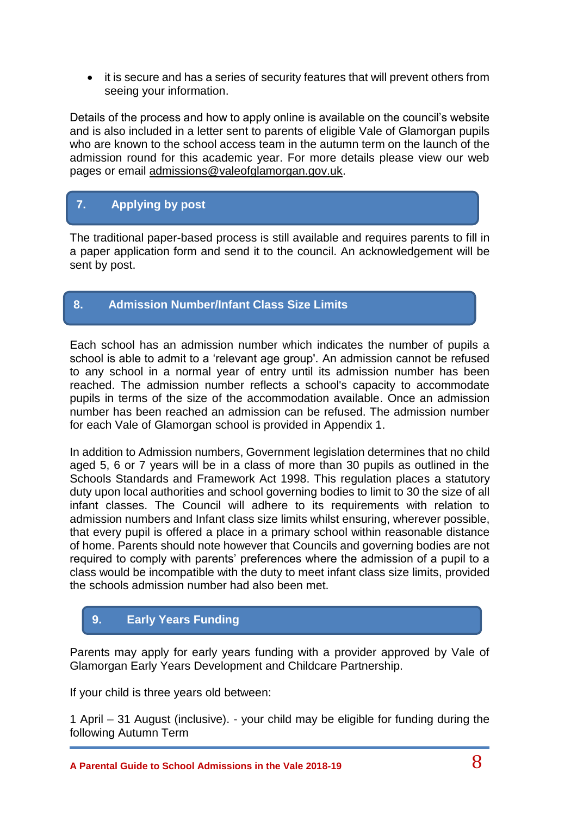• it is secure and has a series of security features that will prevent others from seeing your information.

Details of the process and how to apply online is available on the council's website and is also included in a letter sent to parents of eligible Vale of Glamorgan pupils who are known to the school access team in the autumn term on the launch of the admission round for this academic year. For more details please view our web pages or email [admissions@valeofglamorgan.gov.uk.](mailto:admissions@valeofglamorgan.gov.uk)

## **7. Applying by post**

The traditional paper-based process is still available and requires parents to fill in a paper application form and send it to the council. An acknowledgement will be sent by post.

## **8. Admission Number/Infant Class Size Limits**

Each school has an admission number which indicates the number of pupils a school is able to admit to a 'relevant age group'. An admission cannot be refused to any school in a normal year of entry until its admission number has been reached. The admission number reflects a school's capacity to accommodate pupils in terms of the size of the accommodation available. Once an admission number has been reached an admission can be refused. The admission number for each Vale of Glamorgan school is provided in Appendix 1.

In addition to Admission numbers, Government legislation determines that no child aged 5, 6 or 7 years will be in a class of more than 30 pupils as outlined in the Schools Standards and Framework Act 1998. This regulation places a statutory duty upon local authorities and school governing bodies to limit to 30 the size of all infant classes. The Council will adhere to its requirements with relation to admission numbers and Infant class size limits whilst ensuring, wherever possible, that every pupil is offered a place in a primary school within reasonable distance of home. Parents should note however that Councils and governing bodies are not required to comply with parents' preferences where the admission of a pupil to a class would be incompatible with the duty to meet infant class size limits, provided the schools admission number had also been met.

## **9. Early Years Funding**

Parents may apply for early years funding with a provider approved by Vale of Glamorgan Early Years Development and Childcare Partnership.

If your child is three years old between:

1 April – 31 August (inclusive). - your child may be eligible for funding during the following Autumn Term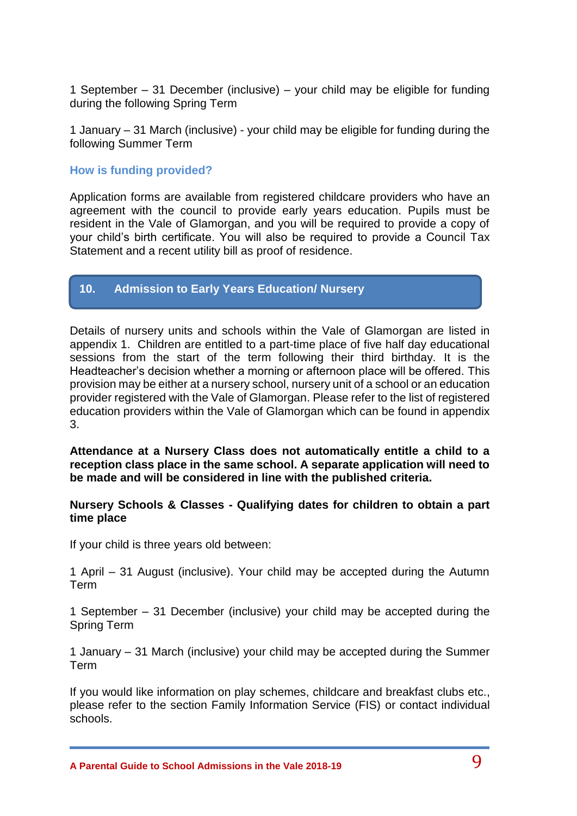1 September – 31 December (inclusive) – your child may be eligible for funding during the following Spring Term

1 January – 31 March (inclusive) - your child may be eligible for funding during the following Summer Term

#### **How is funding provided?**

Application forms are available from registered childcare providers who have an agreement with the council to provide early years education. Pupils must be resident in the Vale of Glamorgan, and you will be required to provide a copy of your child's birth certificate. You will also be required to provide a Council Tax Statement and a recent utility bill as proof of residence.

#### **10. Admission to Early Years Education/ Nursery**

Details of nursery units and schools within the Vale of Glamorgan are listed in appendix 1. Children are entitled to a part-time place of five half day educational sessions from the start of the term following their third birthday. It is the Headteacher's decision whether a morning or afternoon place will be offered. This provision may be either at a nursery school, nursery unit of a school or an education provider registered with the Vale of Glamorgan. Please refer to the list of registered education providers within the Vale of Glamorgan which can be found in appendix 3.

**Attendance at a Nursery Class does not automatically entitle a child to a reception class place in the same school. A separate application will need to be made and will be considered in line with the published criteria.**

#### **Nursery Schools & Classes - Qualifying dates for children to obtain a part time place**

If your child is three years old between:

1 April – 31 August (inclusive). Your child may be accepted during the Autumn Term

1 September – 31 December (inclusive) your child may be accepted during the Spring Term

1 January – 31 March (inclusive) your child may be accepted during the Summer Term

If you would like information on play schemes, childcare and breakfast clubs etc., please refer to the section Family Information Service (FIS) or contact individual schools.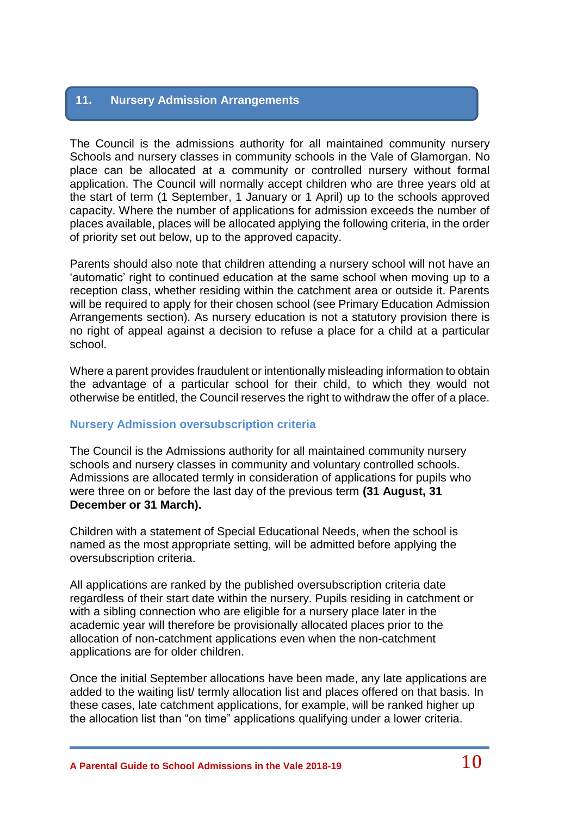## **11. Nursery Admission Arrangements**

The Council is the admissions authority for all maintained community nursery Schools and nursery classes in community schools in the Vale of Glamorgan. No place can be allocated at a community or controlled nursery without formal application. The Council will normally accept children who are three years old at the start of term (1 September, 1 January or 1 April) up to the schools approved capacity. Where the number of applications for admission exceeds the number of places available, places will be allocated applying the following criteria, in the order of priority set out below, up to the approved capacity.

Parents should also note that children attending a nursery school will not have an 'automatic' right to continued education at the same school when moving up to a reception class, whether residing within the catchment area or outside it. Parents will be required to apply for their chosen school (see Primary Education Admission Arrangements section). As nursery education is not a statutory provision there is no right of appeal against a decision to refuse a place for a child at a particular school.

Where a parent provides fraudulent or intentionally misleading information to obtain the advantage of a particular school for their child, to which they would not otherwise be entitled, the Council reserves the right to withdraw the offer of a place.

#### **Nursery Admission oversubscription criteria**

The Council is the Admissions authority for all maintained community nursery schools and nursery classes in community and voluntary controlled schools. Admissions are allocated termly in consideration of applications for pupils who were three on or before the last day of the previous term **(31 August, 31 December or 31 March).**

Children with a statement of Special Educational Needs, when the school is named as the most appropriate setting, will be admitted before applying the oversubscription criteria.

All applications are ranked by the published oversubscription criteria date regardless of their start date within the nursery. Pupils residing in catchment or with a sibling connection who are eligible for a nursery place later in the academic year will therefore be provisionally allocated places prior to the allocation of non-catchment applications even when the non-catchment applications are for older children.

Once the initial September allocations have been made, any late applications are added to the waiting list/ termly allocation list and places offered on that basis. In these cases, late catchment applications, for example, will be ranked higher up the allocation list than "on time" applications qualifying under a lower criteria.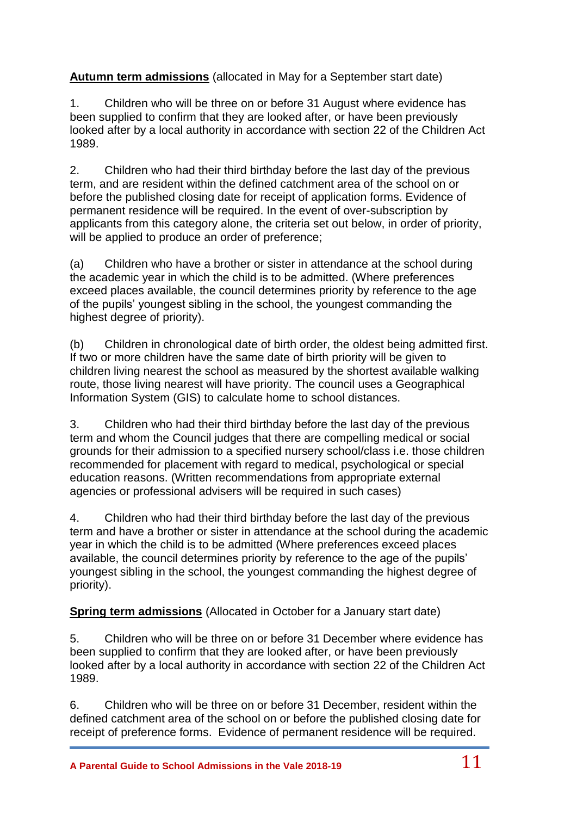**Autumn term admissions** (allocated in May for a September start date)

1. Children who will be three on or before 31 August where evidence has been supplied to confirm that they are looked after, or have been previously looked after by a local authority in accordance with section 22 of the Children Act 1989.

2. Children who had their third birthday before the last day of the previous term, and are resident within the defined catchment area of the school on or before the published closing date for receipt of application forms. Evidence of permanent residence will be required. In the event of over-subscription by applicants from this category alone, the criteria set out below, in order of priority, will be applied to produce an order of preference;

(a) Children who have a brother or sister in attendance at the school during the academic year in which the child is to be admitted. (Where preferences exceed places available, the council determines priority by reference to the age of the pupils' youngest sibling in the school, the youngest commanding the highest degree of priority).

(b) Children in chronological date of birth order, the oldest being admitted first. If two or more children have the same date of birth priority will be given to children living nearest the school as measured by the shortest available walking route, those living nearest will have priority. The council uses a Geographical Information System (GIS) to calculate home to school distances.

3. Children who had their third birthday before the last day of the previous term and whom the Council judges that there are compelling medical or social grounds for their admission to a specified nursery school/class i.e. those children recommended for placement with regard to medical, psychological or special education reasons. (Written recommendations from appropriate external agencies or professional advisers will be required in such cases)

4. Children who had their third birthday before the last day of the previous term and have a brother or sister in attendance at the school during the academic year in which the child is to be admitted (Where preferences exceed places available, the council determines priority by reference to the age of the pupils' youngest sibling in the school, the youngest commanding the highest degree of priority).

**Spring term admissions** (Allocated in October for a January start date)

5. Children who will be three on or before 31 December where evidence has been supplied to confirm that they are looked after, or have been previously looked after by a local authority in accordance with section 22 of the Children Act 1989.

6. Children who will be three on or before 31 December, resident within the defined catchment area of the school on or before the published closing date for receipt of preference forms. Evidence of permanent residence will be required.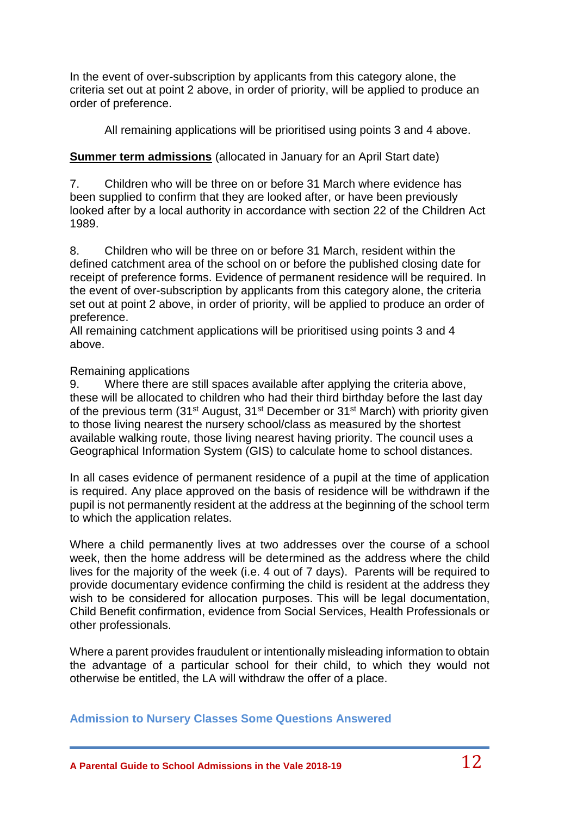In the event of over-subscription by applicants from this category alone, the criteria set out at point 2 above, in order of priority, will be applied to produce an order of preference.

All remaining applications will be prioritised using points 3 and 4 above.

## **Summer term admissions** (allocated in January for an April Start date)

7. Children who will be three on or before 31 March where evidence has been supplied to confirm that they are looked after, or have been previously looked after by a local authority in accordance with section 22 of the Children Act 1989.

8. Children who will be three on or before 31 March, resident within the defined catchment area of the school on or before the published closing date for receipt of preference forms. Evidence of permanent residence will be required. In the event of over-subscription by applicants from this category alone, the criteria set out at point 2 above, in order of priority, will be applied to produce an order of preference.

All remaining catchment applications will be prioritised using points 3 and 4 above.

### Remaining applications

9. Where there are still spaces available after applying the criteria above, these will be allocated to children who had their third birthday before the last day of the previous term (31<sup>st</sup> August, 31<sup>st</sup> December or 31<sup>st</sup> March) with priority given to those living nearest the nursery school/class as measured by the shortest available walking route, those living nearest having priority. The council uses a Geographical Information System (GIS) to calculate home to school distances.

In all cases evidence of permanent residence of a pupil at the time of application is required. Any place approved on the basis of residence will be withdrawn if the pupil is not permanently resident at the address at the beginning of the school term to which the application relates.

Where a child permanently lives at two addresses over the course of a school week, then the home address will be determined as the address where the child lives for the majority of the week (i.e. 4 out of 7 days). Parents will be required to provide documentary evidence confirming the child is resident at the address they wish to be considered for allocation purposes. This will be legal documentation, Child Benefit confirmation, evidence from Social Services, Health Professionals or other professionals.

Where a parent provides fraudulent or intentionally misleading information to obtain the advantage of a particular school for their child, to which they would not otherwise be entitled, the LA will withdraw the offer of a place.

#### **Admission to Nursery Classes Some Questions Answered**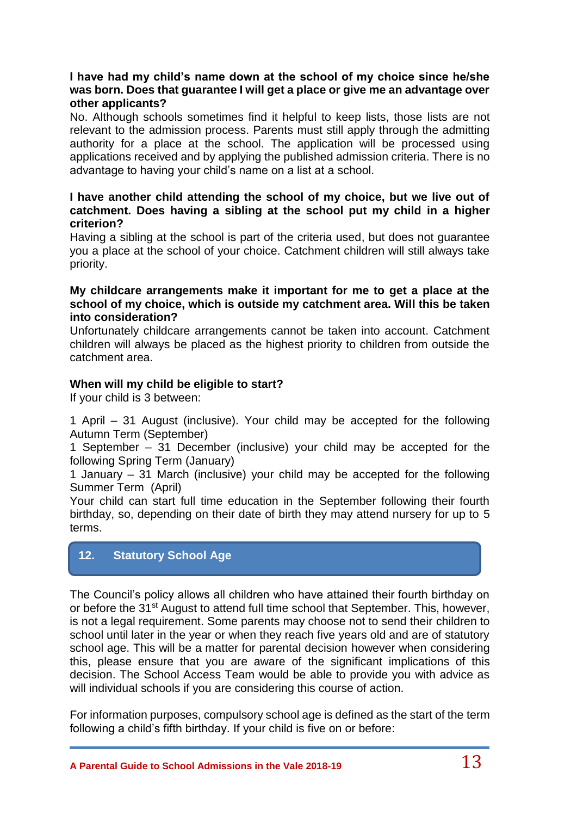### **I have had my child's name down at the school of my choice since he/she was born. Does that guarantee I will get a place or give me an advantage over other applicants?**

No. Although schools sometimes find it helpful to keep lists, those lists are not relevant to the admission process. Parents must still apply through the admitting authority for a place at the school. The application will be processed using applications received and by applying the published admission criteria. There is no advantage to having your child's name on a list at a school.

#### **I have another child attending the school of my choice, but we live out of catchment. Does having a sibling at the school put my child in a higher criterion?**

Having a sibling at the school is part of the criteria used, but does not guarantee you a place at the school of your choice. Catchment children will still always take priority.

#### **My childcare arrangements make it important for me to get a place at the school of my choice, which is outside my catchment area. Will this be taken into consideration?**

Unfortunately childcare arrangements cannot be taken into account. Catchment children will always be placed as the highest priority to children from outside the catchment area.

#### **When will my child be eligible to start?**

If your child is 3 between:

1 April – 31 August (inclusive). Your child may be accepted for the following Autumn Term (September)

1 September – 31 December (inclusive) your child may be accepted for the following Spring Term (January)

1 January – 31 March (inclusive) your child may be accepted for the following Summer Term (April)

Your child can start full time education in the September following their fourth birthday, so, depending on their date of birth they may attend nursery for up to 5 terms.

## **12. Statutory School Age**

The Council's policy allows all children who have attained their fourth birthday on or before the 31<sup>st</sup> August to attend full time school that September. This, however, is not a legal requirement. Some parents may choose not to send their children to school until later in the year or when they reach five years old and are of statutory school age. This will be a matter for parental decision however when considering this, please ensure that you are aware of the significant implications of this decision. The School Access Team would be able to provide you with advice as will individual schools if you are considering this course of action.

For information purposes, compulsory school age is defined as the start of the term following a child's fifth birthday. If your child is five on or before: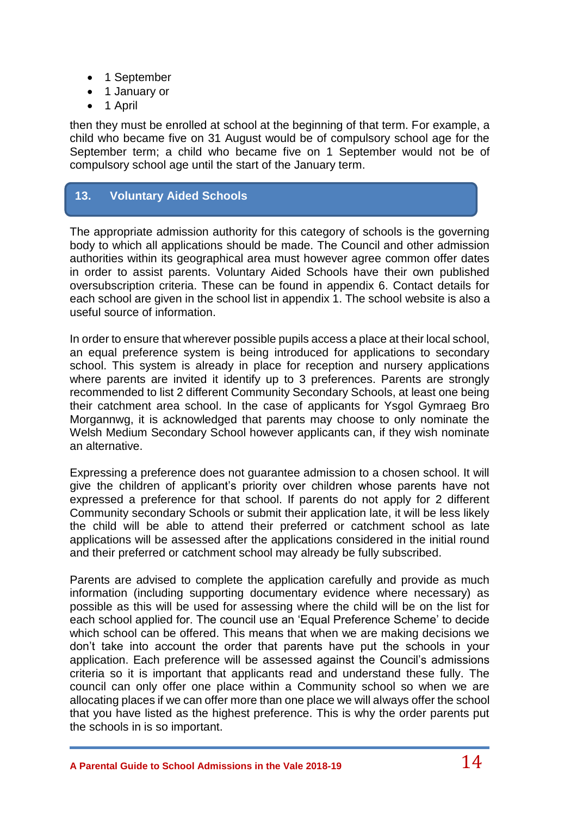- 1 September
- 1 January or
- 1 April

then they must be enrolled at school at the beginning of that term. For example, a child who became five on 31 August would be of compulsory school age for the September term; a child who became five on 1 September would not be of compulsory school age until the start of the January term.

## **13. Voluntary Aided Schools**

The appropriate admission authority for this category of schools is the governing body to which all applications should be made. The Council and other admission authorities within its geographical area must however agree common offer dates in order to assist parents. Voluntary Aided Schools have their own published oversubscription criteria. These can be found in appendix 6. Contact details for each school are given in the school list in appendix 1. The school website is also a useful source of information.

In order to ensure that wherever possible pupils access a place at their local school, an equal preference system is being introduced for applications to secondary school. This system is already in place for reception and nursery applications where parents are invited it identify up to 3 preferences. Parents are strongly recommended to list 2 different Community Secondary Schools, at least one being their catchment area school. In the case of applicants for Ysgol Gymraeg Bro Morgannwg, it is acknowledged that parents may choose to only nominate the Welsh Medium Secondary School however applicants can, if they wish nominate an alternative.

Expressing a preference does not guarantee admission to a chosen school. It will give the children of applicant's priority over children whose parents have not expressed a preference for that school. If parents do not apply for 2 different Community secondary Schools or submit their application late, it will be less likely the child will be able to attend their preferred or catchment school as late applications will be assessed after the applications considered in the initial round and their preferred or catchment school may already be fully subscribed.

Parents are advised to complete the application carefully and provide as much information (including supporting documentary evidence where necessary) as possible as this will be used for assessing where the child will be on the list for each school applied for. The council use an 'Equal Preference Scheme' to decide which school can be offered. This means that when we are making decisions we don't take into account the order that parents have put the schools in your application. Each preference will be assessed against the Council's admissions criteria so it is important that applicants read and understand these fully. The council can only offer one place within a Community school so when we are allocating places if we can offer more than one place we will always offer the school that you have listed as the highest preference. This is why the order parents put the schools in is so important.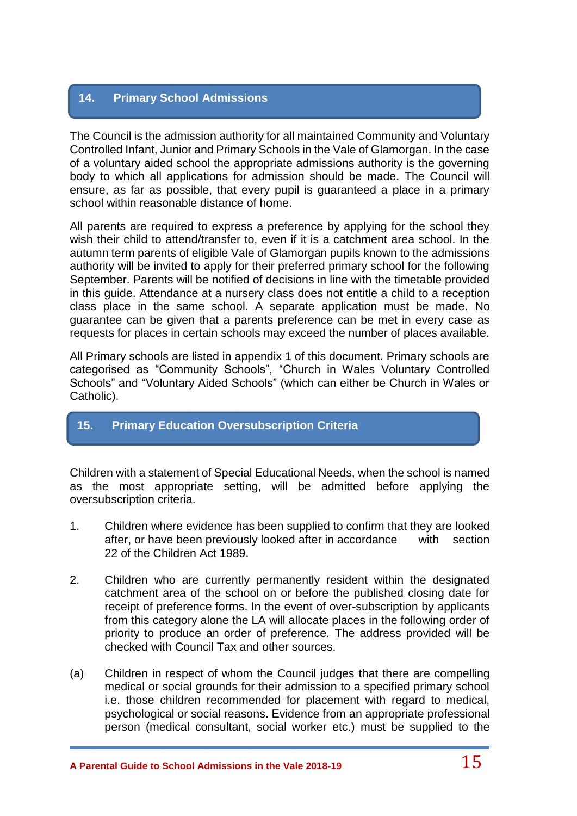## **14. Primary School Admissions**

The Council is the admission authority for all maintained Community and Voluntary Controlled Infant, Junior and Primary Schools in the Vale of Glamorgan. In the case of a voluntary aided school the appropriate admissions authority is the governing body to which all applications for admission should be made. The Council will ensure, as far as possible, that every pupil is guaranteed a place in a primary school within reasonable distance of home.

All parents are required to express a preference by applying for the school they wish their child to attend/transfer to, even if it is a catchment area school. In the autumn term parents of eligible Vale of Glamorgan pupils known to the admissions authority will be invited to apply for their preferred primary school for the following September. Parents will be notified of decisions in line with the timetable provided in this guide. Attendance at a nursery class does not entitle a child to a reception class place in the same school. A separate application must be made. No guarantee can be given that a parents preference can be met in every case as requests for places in certain schools may exceed the number of places available.

All Primary schools are listed in appendix 1 of this document. Primary schools are categorised as "Community Schools", "Church in Wales Voluntary Controlled Schools" and "Voluntary Aided Schools" (which can either be Church in Wales or Catholic).

## **15. Primary Education Oversubscription Criteria**

Children with a statement of Special Educational Needs, when the school is named as the most appropriate setting, will be admitted before applying the oversubscription criteria.

- 1. Children where evidence has been supplied to confirm that they are looked after, or have been previously looked after in accordance with section 22 of the Children Act 1989.
- 2. Children who are currently permanently resident within the designated catchment area of the school on or before the published closing date for receipt of preference forms. In the event of over-subscription by applicants from this category alone the LA will allocate places in the following order of priority to produce an order of preference. The address provided will be checked with Council Tax and other sources.
- (a) Children in respect of whom the Council judges that there are compelling medical or social grounds for their admission to a specified primary school i.e. those children recommended for placement with regard to medical, psychological or social reasons. Evidence from an appropriate professional person (medical consultant, social worker etc.) must be supplied to the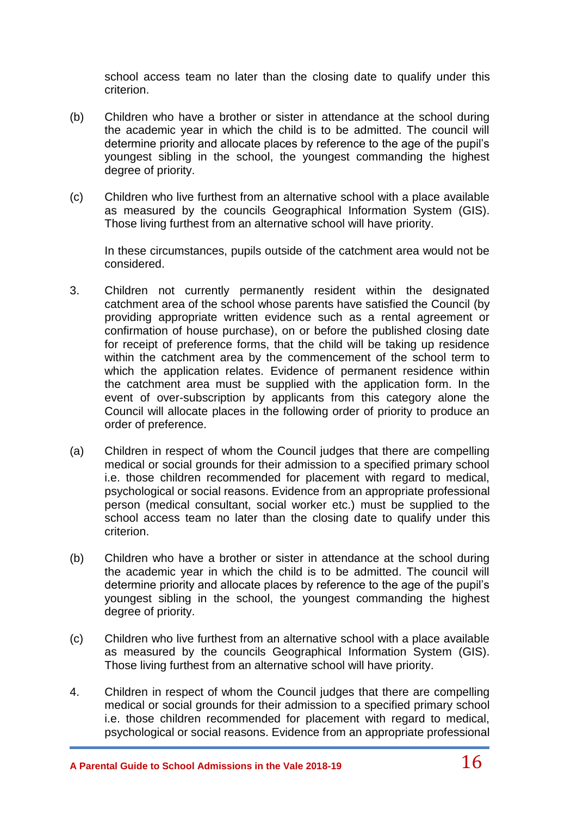school access team no later than the closing date to qualify under this criterion.

- (b) Children who have a brother or sister in attendance at the school during the academic year in which the child is to be admitted. The council will determine priority and allocate places by reference to the age of the pupil's youngest sibling in the school, the youngest commanding the highest degree of priority.
- (c) Children who live furthest from an alternative school with a place available as measured by the councils Geographical Information System (GIS). Those living furthest from an alternative school will have priority.

In these circumstances, pupils outside of the catchment area would not be considered.

- 3. Children not currently permanently resident within the designated catchment area of the school whose parents have satisfied the Council (by providing appropriate written evidence such as a rental agreement or confirmation of house purchase), on or before the published closing date for receipt of preference forms, that the child will be taking up residence within the catchment area by the commencement of the school term to which the application relates. Evidence of permanent residence within the catchment area must be supplied with the application form. In the event of over-subscription by applicants from this category alone the Council will allocate places in the following order of priority to produce an order of preference.
- (a) Children in respect of whom the Council judges that there are compelling medical or social grounds for their admission to a specified primary school i.e. those children recommended for placement with regard to medical, psychological or social reasons. Evidence from an appropriate professional person (medical consultant, social worker etc.) must be supplied to the school access team no later than the closing date to qualify under this criterion.
- (b) Children who have a brother or sister in attendance at the school during the academic year in which the child is to be admitted. The council will determine priority and allocate places by reference to the age of the pupil's youngest sibling in the school, the youngest commanding the highest degree of priority.
- (c) Children who live furthest from an alternative school with a place available as measured by the councils Geographical Information System (GIS). Those living furthest from an alternative school will have priority.
- 4. Children in respect of whom the Council judges that there are compelling medical or social grounds for their admission to a specified primary school i.e. those children recommended for placement with regard to medical, psychological or social reasons. Evidence from an appropriate professional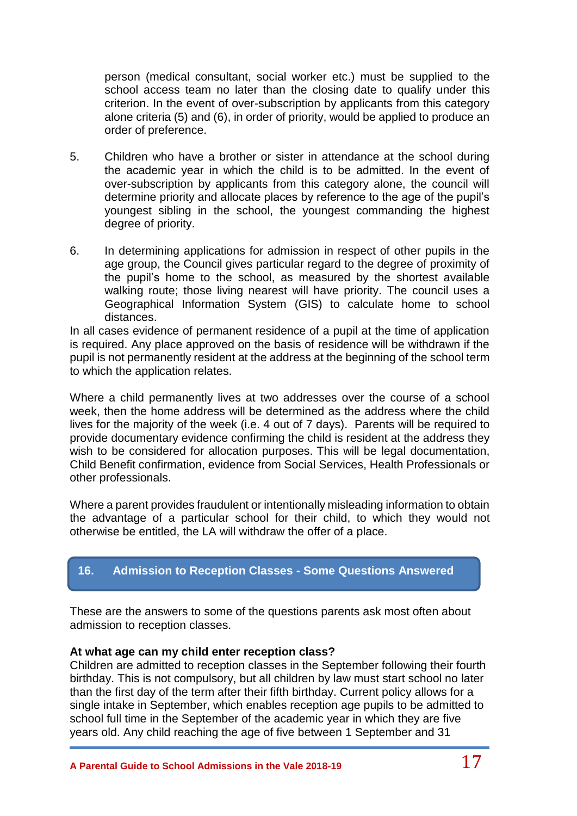person (medical consultant, social worker etc.) must be supplied to the school access team no later than the closing date to qualify under this criterion. In the event of over-subscription by applicants from this category alone criteria (5) and (6), in order of priority, would be applied to produce an order of preference.

- 5. Children who have a brother or sister in attendance at the school during the academic year in which the child is to be admitted. In the event of over-subscription by applicants from this category alone, the council will determine priority and allocate places by reference to the age of the pupil's youngest sibling in the school, the youngest commanding the highest degree of priority.
- 6. In determining applications for admission in respect of other pupils in the age group, the Council gives particular regard to the degree of proximity of the pupil's home to the school, as measured by the shortest available walking route; those living nearest will have priority. The council uses a Geographical Information System (GIS) to calculate home to school distances.

In all cases evidence of permanent residence of a pupil at the time of application is required. Any place approved on the basis of residence will be withdrawn if the pupil is not permanently resident at the address at the beginning of the school term to which the application relates.

Where a child permanently lives at two addresses over the course of a school week, then the home address will be determined as the address where the child lives for the majority of the week (i.e. 4 out of 7 days). Parents will be required to provide documentary evidence confirming the child is resident at the address they wish to be considered for allocation purposes. This will be legal documentation, Child Benefit confirmation, evidence from Social Services, Health Professionals or other professionals.

Where a parent provides fraudulent or intentionally misleading information to obtain the advantage of a particular school for their child, to which they would not otherwise be entitled, the LA will withdraw the offer of a place.

## **16. Admission to Reception Classes - Some Questions Answered**

These are the answers to some of the questions parents ask most often about admission to reception classes.

#### **At what age can my child enter reception class?**

Children are admitted to reception classes in the September following their fourth birthday. This is not compulsory, but all children by law must start school no later than the first day of the term after their fifth birthday. Current policy allows for a single intake in September, which enables reception age pupils to be admitted to school full time in the September of the academic year in which they are five years old. Any child reaching the age of five between 1 September and 31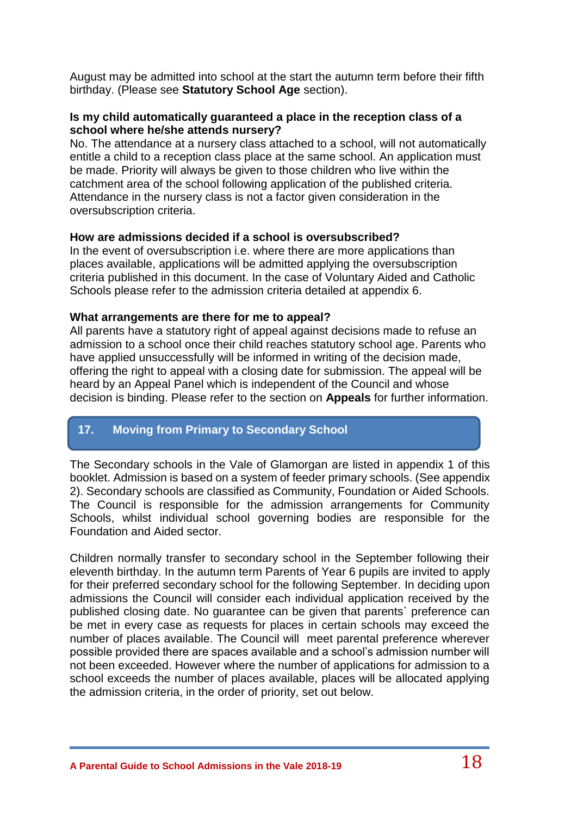August may be admitted into school at the start the autumn term before their fifth birthday. (Please see **Statutory School Age** section).

#### **Is my child automatically guaranteed a place in the reception class of a school where he/she attends nursery?**

No. The attendance at a nursery class attached to a school, will not automatically entitle a child to a reception class place at the same school. An application must be made. Priority will always be given to those children who live within the catchment area of the school following application of the published criteria. Attendance in the nursery class is not a factor given consideration in the oversubscription criteria.

#### **How are admissions decided if a school is oversubscribed?**

In the event of oversubscription i.e. where there are more applications than places available, applications will be admitted applying the oversubscription criteria published in this document. In the case of Voluntary Aided and Catholic Schools please refer to the admission criteria detailed at appendix 6.

#### **What arrangements are there for me to appeal?**

All parents have a statutory right of appeal against decisions made to refuse an admission to a school once their child reaches statutory school age. Parents who have applied unsuccessfully will be informed in writing of the decision made, offering the right to appeal with a closing date for submission. The appeal will be heard by an Appeal Panel which is independent of the Council and whose decision is binding. Please refer to the section on **Appeals** for further information.

## **17. Moving from Primary to Secondary School**

The Secondary schools in the Vale of Glamorgan are listed in appendix 1 of this booklet. Admission is based on a system of feeder primary schools. (See appendix 2). Secondary schools are classified as Community, Foundation or Aided Schools. The Council is responsible for the admission arrangements for Community Schools, whilst individual school governing bodies are responsible for the Foundation and Aided sector.

Children normally transfer to secondary school in the September following their eleventh birthday. In the autumn term Parents of Year 6 pupils are invited to apply for their preferred secondary school for the following September. In deciding upon admissions the Council will consider each individual application received by the published closing date. No guarantee can be given that parents` preference can be met in every case as requests for places in certain schools may exceed the number of places available. The Council will meet parental preference wherever possible provided there are spaces available and a school's admission number will not been exceeded. However where the number of applications for admission to a school exceeds the number of places available, places will be allocated applying the admission criteria, in the order of priority, set out below.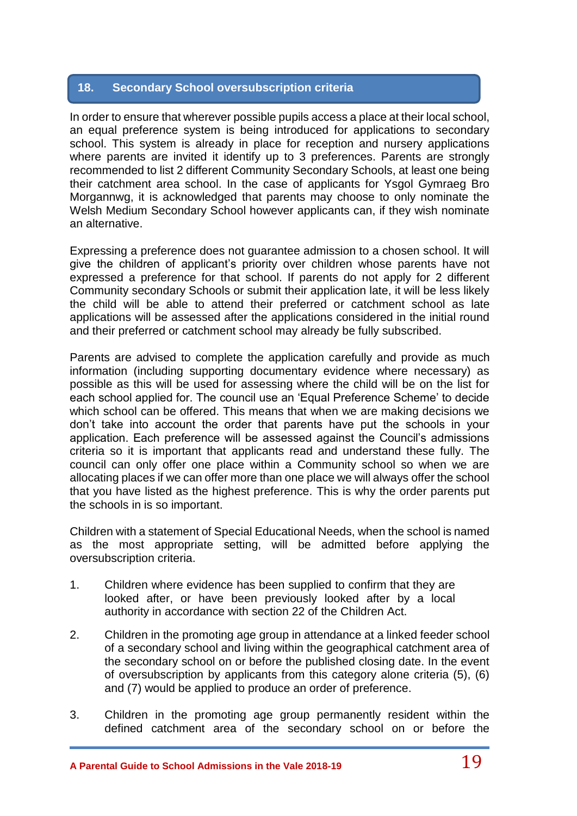## **18. Secondary School oversubscription criteria**

In order to ensure that wherever possible pupils access a place at their local school, an equal preference system is being introduced for applications to secondary school. This system is already in place for reception and nursery applications where parents are invited it identify up to 3 preferences. Parents are strongly recommended to list 2 different Community Secondary Schools, at least one being their catchment area school. In the case of applicants for Ysgol Gymraeg Bro Morgannwg, it is acknowledged that parents may choose to only nominate the Welsh Medium Secondary School however applicants can, if they wish nominate an alternative.

Expressing a preference does not guarantee admission to a chosen school. It will give the children of applicant's priority over children whose parents have not expressed a preference for that school. If parents do not apply for 2 different Community secondary Schools or submit their application late, it will be less likely the child will be able to attend their preferred or catchment school as late applications will be assessed after the applications considered in the initial round and their preferred or catchment school may already be fully subscribed.

Parents are advised to complete the application carefully and provide as much information (including supporting documentary evidence where necessary) as possible as this will be used for assessing where the child will be on the list for each school applied for. The council use an 'Equal Preference Scheme' to decide which school can be offered. This means that when we are making decisions we don't take into account the order that parents have put the schools in your application. Each preference will be assessed against the Council's admissions criteria so it is important that applicants read and understand these fully. The council can only offer one place within a Community school so when we are allocating places if we can offer more than one place we will always offer the school that you have listed as the highest preference. This is why the order parents put the schools in is so important.

Children with a statement of Special Educational Needs, when the school is named as the most appropriate setting, will be admitted before applying the oversubscription criteria.

- 1. Children where evidence has been supplied to confirm that they are looked after, or have been previously looked after by a local authority in accordance with section 22 of the Children Act.
- 2. Children in the promoting age group in attendance at a linked feeder school of a secondary school and living within the geographical catchment area of the secondary school on or before the published closing date. In the event of oversubscription by applicants from this category alone criteria (5), (6) and (7) would be applied to produce an order of preference.
- 3. Children in the promoting age group permanently resident within the defined catchment area of the secondary school on or before the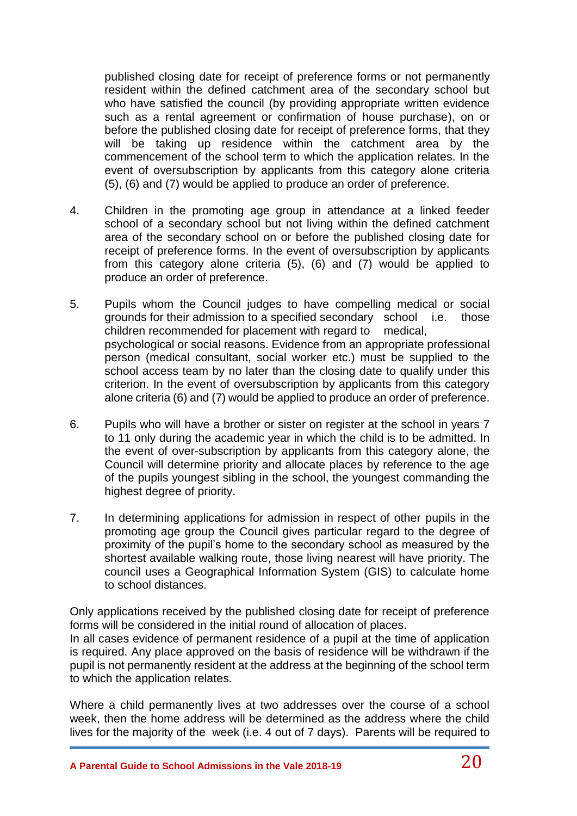published closing date for receipt of preference forms or not permanently resident within the defined catchment area of the secondary school but who have satisfied the council (by providing appropriate written evidence such as a rental agreement or confirmation of house purchase), on or before the published closing date for receipt of preference forms, that they will be taking up residence within the catchment area by the commencement of the school term to which the application relates. In the event of oversubscription by applicants from this category alone criteria (5), (6) and (7) would be applied to produce an order of preference.

- 4. Children in the promoting age group in attendance at a linked feeder school of a secondary school but not living within the defined catchment area of the secondary school on or before the published closing date for receipt of preference forms. In the event of oversubscription by applicants from this category alone criteria (5), (6) and (7) would be applied to produce an order of preference.
- 5. Pupils whom the Council judges to have compelling medical or social grounds for their admission to a specified secondary school i.e. those children recommended for placement with regard to medical, psychological or social reasons. Evidence from an appropriate professional person (medical consultant, social worker etc.) must be supplied to the school access team by no later than the closing date to qualify under this criterion. In the event of oversubscription by applicants from this category alone criteria (6) and (7) would be applied to produce an order of preference.
- 6. Pupils who will have a brother or sister on register at the school in years 7 to 11 only during the academic year in which the child is to be admitted. In the event of over-subscription by applicants from this category alone, the Council will determine priority and allocate places by reference to the age of the pupils youngest sibling in the school, the youngest commanding the highest degree of priority.
- 7. In determining applications for admission in respect of other pupils in the promoting age group the Council gives particular regard to the degree of proximity of the pupil's home to the secondary school as measured by the shortest available walking route, those living nearest will have priority. The council uses a Geographical Information System (GIS) to calculate home to school distances.

Only applications received by the published closing date for receipt of preference forms will be considered in the initial round of allocation of places. In all cases evidence of permanent residence of a pupil at the time of application is required. Any place approved on the basis of residence will be withdrawn if the pupil is not permanently resident at the address at the beginning of the school term to which the application relates.

Where a child permanently lives at two addresses over the course of a school week, then the home address will be determined as the address where the child lives for the majority of the week (i.e. 4 out of 7 days). Parents will be required to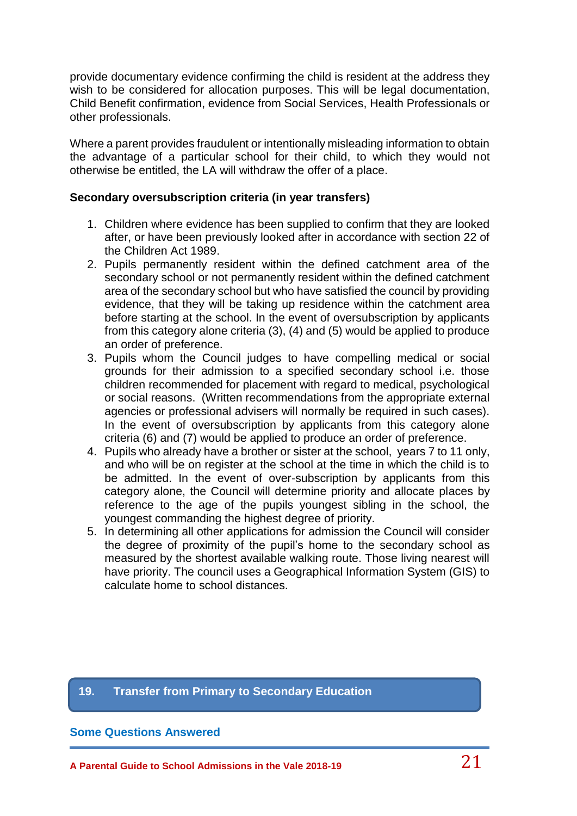provide documentary evidence confirming the child is resident at the address they wish to be considered for allocation purposes. This will be legal documentation, Child Benefit confirmation, evidence from Social Services, Health Professionals or other professionals.

Where a parent provides fraudulent or intentionally misleading information to obtain the advantage of a particular school for their child, to which they would not otherwise be entitled, the LA will withdraw the offer of a place.

#### **Secondary oversubscription criteria (in year transfers)**

- 1. Children where evidence has been supplied to confirm that they are looked after, or have been previously looked after in accordance with section 22 of the Children Act 1989.
- 2. Pupils permanently resident within the defined catchment area of the secondary school or not permanently resident within the defined catchment area of the secondary school but who have satisfied the council by providing evidence, that they will be taking up residence within the catchment area before starting at the school. In the event of oversubscription by applicants from this category alone criteria (3), (4) and (5) would be applied to produce an order of preference.
- 3. Pupils whom the Council judges to have compelling medical or social grounds for their admission to a specified secondary school i.e. those children recommended for placement with regard to medical, psychological or social reasons. (Written recommendations from the appropriate external agencies or professional advisers will normally be required in such cases). In the event of oversubscription by applicants from this category alone criteria (6) and (7) would be applied to produce an order of preference.
- 4. Pupils who already have a brother or sister at the school, years 7 to 11 only, and who will be on register at the school at the time in which the child is to be admitted. In the event of over-subscription by applicants from this category alone, the Council will determine priority and allocate places by reference to the age of the pupils youngest sibling in the school, the youngest commanding the highest degree of priority.
- 5. In determining all other applications for admission the Council will consider the degree of proximity of the pupil's home to the secondary school as measured by the shortest available walking route. Those living nearest will have priority. The council uses a Geographical Information System (GIS) to calculate home to school distances.

#### **19. Transfer from Primary to Secondary Education**

#### **Some Questions Answered**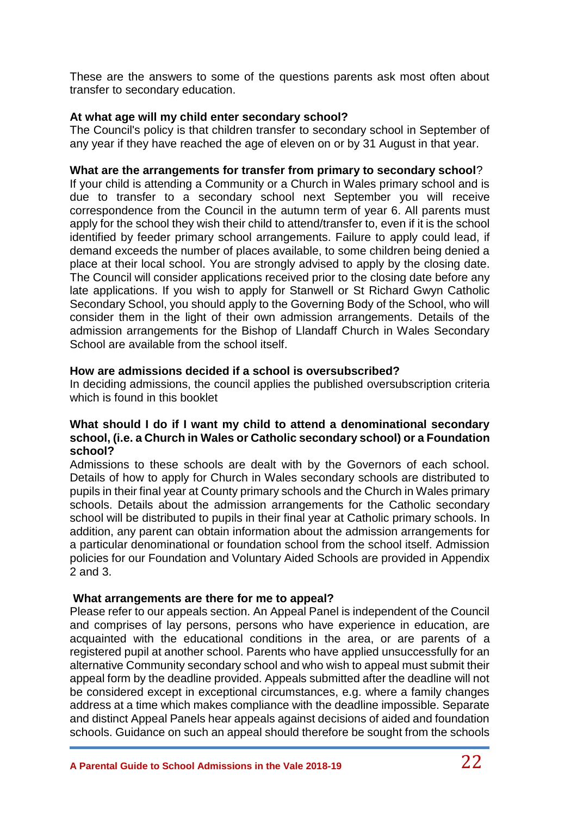These are the answers to some of the questions parents ask most often about transfer to secondary education.

#### **At what age will my child enter secondary school?**

The Council's policy is that children transfer to secondary school in September of any year if they have reached the age of eleven on or by 31 August in that year.

### **What are the arrangements for transfer from primary to secondary school**?

If your child is attending a Community or a Church in Wales primary school and is due to transfer to a secondary school next September you will receive correspondence from the Council in the autumn term of year 6. All parents must apply for the school they wish their child to attend/transfer to, even if it is the school identified by feeder primary school arrangements. Failure to apply could lead, if demand exceeds the number of places available, to some children being denied a place at their local school. You are strongly advised to apply by the closing date. The Council will consider applications received prior to the closing date before any late applications. If you wish to apply for Stanwell or St Richard Gwyn Catholic Secondary School, you should apply to the Governing Body of the School, who will consider them in the light of their own admission arrangements. Details of the admission arrangements for the Bishop of Llandaff Church in Wales Secondary School are available from the school itself.

#### **How are admissions decided if a school is oversubscribed?**

In deciding admissions, the council applies the published oversubscription criteria which is found in this booklet

#### **What should I do if I want my child to attend a denominational secondary school, (i.e. a Church in Wales or Catholic secondary school) or a Foundation school?**

Admissions to these schools are dealt with by the Governors of each school. Details of how to apply for Church in Wales secondary schools are distributed to pupils in their final year at County primary schools and the Church in Wales primary schools. Details about the admission arrangements for the Catholic secondary school will be distributed to pupils in their final year at Catholic primary schools. In addition, any parent can obtain information about the admission arrangements for a particular denominational or foundation school from the school itself. Admission policies for our Foundation and Voluntary Aided Schools are provided in Appendix 2 and 3.

## **What arrangements are there for me to appeal?**

Please refer to our appeals section. An Appeal Panel is independent of the Council and comprises of lay persons, persons who have experience in education, are acquainted with the educational conditions in the area, or are parents of a registered pupil at another school. Parents who have applied unsuccessfully for an alternative Community secondary school and who wish to appeal must submit their appeal form by the deadline provided. Appeals submitted after the deadline will not be considered except in exceptional circumstances, e.g. where a family changes address at a time which makes compliance with the deadline impossible. Separate and distinct Appeal Panels hear appeals against decisions of aided and foundation schools. Guidance on such an appeal should therefore be sought from the schools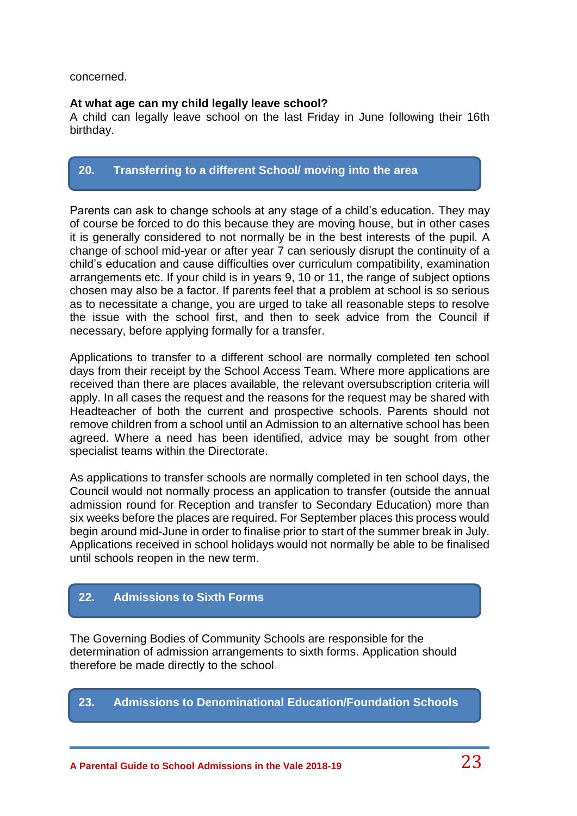#### concerned.

#### **At what age can my child legally leave school?**

A child can legally leave school on the last Friday in June following their 16th birthday.

## **20. Transferring to a different School/ moving into the area**

Parents can ask to change schools at any stage of a child's education. They may of course be forced to do this because they are moving house, but in other cases it is generally considered to not normally be in the best interests of the pupil. A change of school mid-year or after year 7 can seriously disrupt the continuity of a child's education and cause difficulties over curriculum compatibility, examination arrangements etc. If your child is in years 9, 10 or 11, the range of subject options chosen may also be a factor. If parents feel that a problem at school is so serious as to necessitate a change, you are urged to take all reasonable steps to resolve the issue with the school first, and then to seek advice from the Council if necessary, before applying formally for a transfer.

Applications to transfer to a different school are normally completed ten school days from their receipt by the School Access Team. Where more applications are received than there are places available, the relevant oversubscription criteria will apply. In all cases the request and the reasons for the request may be shared with Headteacher of both the current and prospective schools. Parents should not remove children from a school until an Admission to an alternative school has been agreed. Where a need has been identified, advice may be sought from other specialist teams within the Directorate.

As applications to transfer schools are normally completed in ten school days, the Council would not normally process an application to transfer (outside the annual admission round for Reception and transfer to Secondary Education) more than six weeks before the places are required. For September places this process would begin around mid-June in order to finalise prior to start of the summer break in July. Applications received in school holidays would not normally be able to be finalised until schools reopen in the new term.

## **22. Admissions to Sixth Forms**

The Governing Bodies of Community Schools are responsible for the determination of admission arrangements to sixth forms. Application should therefore be made directly to the school.

## **23. Admissions to Denominational Education/Foundation Schools**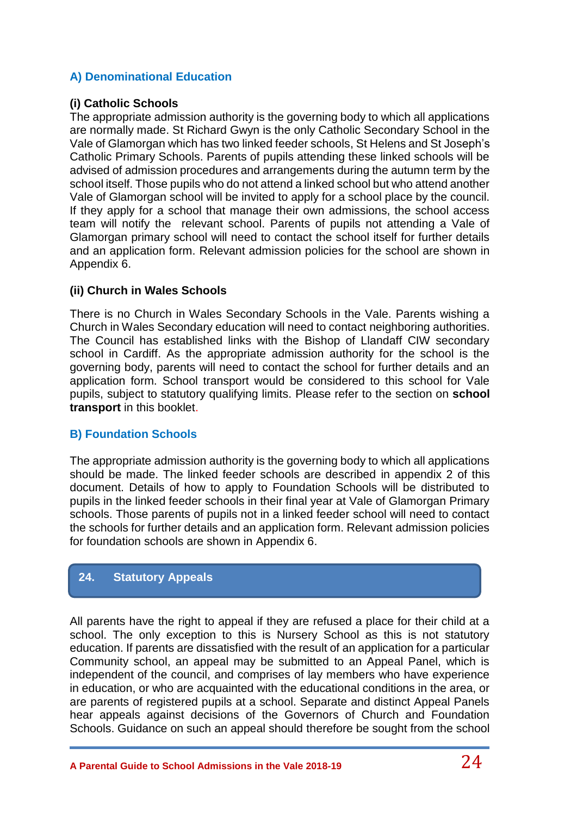## **A) Denominational Education**

### **(i) Catholic Schools**

The appropriate admission authority is the governing body to which all applications are normally made. St Richard Gwyn is the only Catholic Secondary School in the Vale of Glamorgan which has two linked feeder schools, St Helens and St Joseph's Catholic Primary Schools. Parents of pupils attending these linked schools will be advised of admission procedures and arrangements during the autumn term by the school itself. Those pupils who do not attend a linked school but who attend another Vale of Glamorgan school will be invited to apply for a school place by the council. If they apply for a school that manage their own admissions, the school access team will notify the relevant school. Parents of pupils not attending a Vale of Glamorgan primary school will need to contact the school itself for further details and an application form. Relevant admission policies for the school are shown in Appendix 6.

### **(ii) Church in Wales Schools**

There is no Church in Wales Secondary Schools in the Vale. Parents wishing a Church in Wales Secondary education will need to contact neighboring authorities. The Council has established links with the Bishop of Llandaff CIW secondary school in Cardiff. As the appropriate admission authority for the school is the governing body, parents will need to contact the school for further details and an application form. School transport would be considered to this school for Vale pupils, subject to statutory qualifying limits. Please refer to the section on **school transport** in this booklet.

#### **B) Foundation Schools**

The appropriate admission authority is the governing body to which all applications should be made. The linked feeder schools are described in appendix 2 of this document. Details of how to apply to Foundation Schools will be distributed to pupils in the linked feeder schools in their final year at Vale of Glamorgan Primary schools. Those parents of pupils not in a linked feeder school will need to contact the schools for further details and an application form. Relevant admission policies for foundation schools are shown in Appendix 6.

## **24. Statutory Appeals**

All parents have the right to appeal if they are refused a place for their child at a school. The only exception to this is Nursery School as this is not statutory education. If parents are dissatisfied with the result of an application for a particular Community school, an appeal may be submitted to an Appeal Panel, which is independent of the council, and comprises of lay members who have experience in education, or who are acquainted with the educational conditions in the area, or are parents of registered pupils at a school. Separate and distinct Appeal Panels hear appeals against decisions of the Governors of Church and Foundation Schools. Guidance on such an appeal should therefore be sought from the school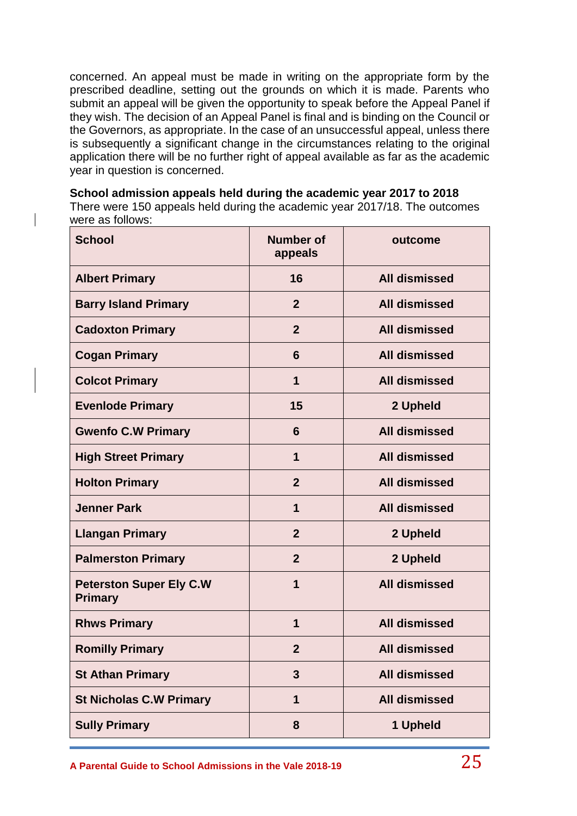concerned. An appeal must be made in writing on the appropriate form by the prescribed deadline, setting out the grounds on which it is made. Parents who submit an appeal will be given the opportunity to speak before the Appeal Panel if they wish. The decision of an Appeal Panel is final and is binding on the Council or the Governors, as appropriate. In the case of an unsuccessful appeal, unless there is subsequently a significant change in the circumstances relating to the original application there will be no further right of appeal available as far as the academic year in question is concerned.

**School admission appeals held during the academic year 2017 to 2018** There were 150 appeals held during the academic year 2017/18. The outcomes were as follows:

| <b>School</b>                                    | <b>Number of</b><br>appeals | outcome              |
|--------------------------------------------------|-----------------------------|----------------------|
| <b>Albert Primary</b>                            | 16                          | <b>All dismissed</b> |
| <b>Barry Island Primary</b>                      | $\overline{2}$              | <b>All dismissed</b> |
| <b>Cadoxton Primary</b>                          | $\overline{2}$              | <b>All dismissed</b> |
| <b>Cogan Primary</b>                             | 6                           | <b>All dismissed</b> |
| <b>Colcot Primary</b>                            | $\mathbf 1$                 | <b>All dismissed</b> |
| <b>Evenlode Primary</b>                          | 15                          | 2 Upheld             |
| <b>Gwenfo C.W Primary</b>                        | 6                           | <b>All dismissed</b> |
| <b>High Street Primary</b>                       | 1                           | <b>All dismissed</b> |
| <b>Holton Primary</b>                            | $\overline{2}$              | <b>All dismissed</b> |
| <b>Jenner Park</b>                               | $\mathbf 1$                 | <b>All dismissed</b> |
| <b>Llangan Primary</b>                           | $\overline{2}$              | 2 Upheld             |
| <b>Palmerston Primary</b>                        | $\overline{2}$              | 2 Upheld             |
| <b>Peterston Super Ely C.W</b><br><b>Primary</b> | 1                           | <b>All dismissed</b> |
| <b>Rhws Primary</b>                              | 1                           | <b>All dismissed</b> |
| <b>Romilly Primary</b>                           | $\overline{2}$              | <b>All dismissed</b> |
| <b>St Athan Primary</b>                          | 3                           | <b>All dismissed</b> |
| <b>St Nicholas C.W Primary</b>                   | $\mathbf 1$                 | <b>All dismissed</b> |
| <b>Sully Primary</b>                             | 8                           | 1 Upheld             |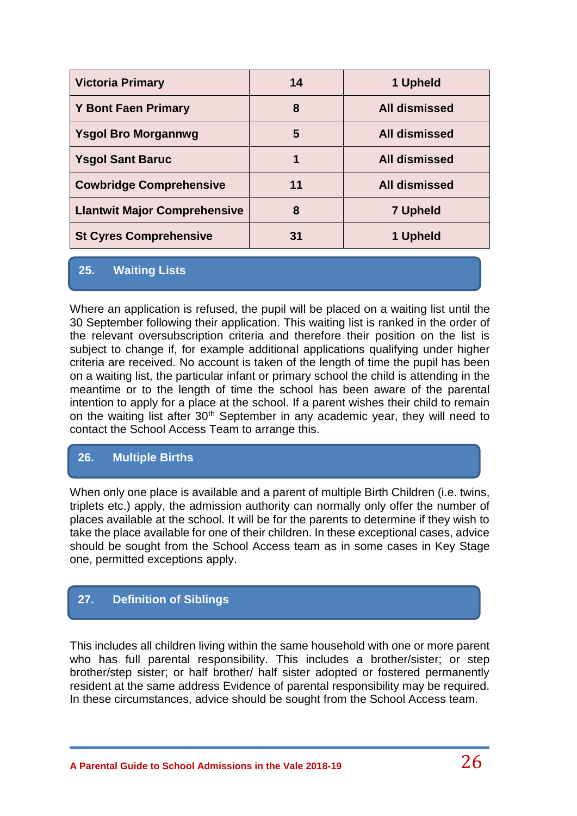| <b>Victoria Primary</b>             | 14 | 1 Upheld             |
|-------------------------------------|----|----------------------|
| <b>Y Bont Faen Primary</b>          | 8  | <b>All dismissed</b> |
| <b>Ysgol Bro Morgannwg</b>          | 5  | <b>All dismissed</b> |
| <b>Ysgol Sant Baruc</b>             | 1  | <b>All dismissed</b> |
| <b>Cowbridge Comprehensive</b>      | 11 | <b>All dismissed</b> |
| <b>Llantwit Major Comprehensive</b> | 8  | <b>7 Upheld</b>      |
| <b>St Cyres Comprehensive</b>       | 31 | 1 Upheld             |

## **25. Waiting Lists**

Where an application is refused, the pupil will be placed on a waiting list until the 30 September following their application. This waiting list is ranked in the order of the relevant oversubscription criteria and therefore their position on the list is subject to change if, for example additional applications qualifying under higher criteria are received. No account is taken of the length of time the pupil has been on a waiting list, the particular infant or primary school the child is attending in the meantime or to the length of time the school has been aware of the parental intention to apply for a place at the school. If a parent wishes their child to remain on the waiting list after 30<sup>th</sup> September in any academic year, they will need to contact the School Access Team to arrange this.

## **26. Multiple Births**

When only one place is available and a parent of multiple Birth Children (i.e. twins, triplets etc.) apply, the admission authority can normally only offer the number of places available at the school. It will be for the parents to determine if they wish to take the place available for one of their children. In these exceptional cases, advice should be sought from the School Access team as in some cases in Key Stage one, permitted exceptions apply.

## **27. Definition of Siblings**

This includes all children living within the same household with one or more parent who has full parental responsibility. This includes a brother/sister; or step brother/step sister; or half brother/ half sister adopted or fostered permanently resident at the same address Evidence of parental responsibility may be required. In these circumstances, advice should be sought from the School Access team.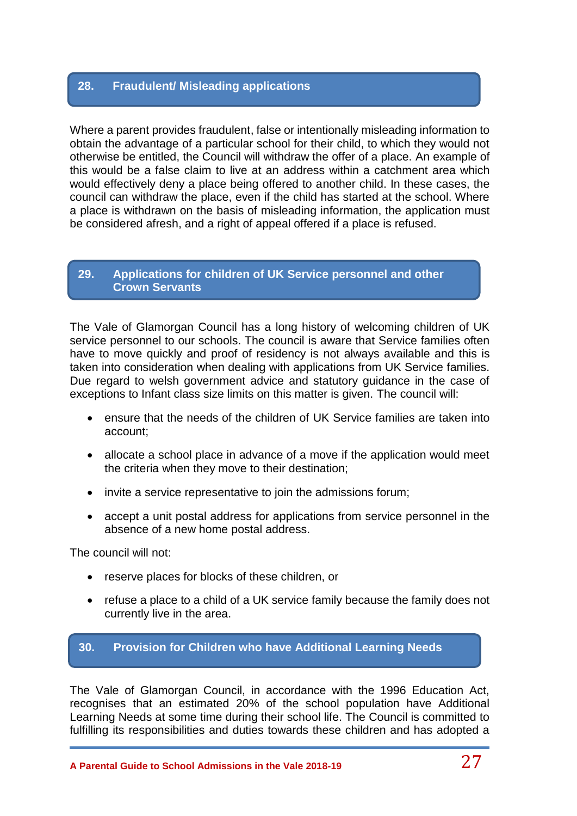## **28. Fraudulent/ Misleading applications**

Where a parent provides fraudulent, false or intentionally misleading information to obtain the advantage of a particular school for their child, to which they would not otherwise be entitled, the Council will withdraw the offer of a place. An example of this would be a false claim to live at an address within a catchment area which would effectively deny a place being offered to another child. In these cases, the council can withdraw the place, even if the child has started at the school. Where a place is withdrawn on the basis of misleading information, the application must be considered afresh, and a right of appeal offered if a place is refused.

### **29. Applications for children of UK Service personnel and other Crown Servants**

The Vale of Glamorgan Council has a long history of welcoming children of UK service personnel to our schools. The council is aware that Service families often have to move quickly and proof of residency is not always available and this is taken into consideration when dealing with applications from UK Service families. Due regard to welsh government advice and statutory guidance in the case of exceptions to Infant class size limits on this matter is given. The council will:

- ensure that the needs of the children of UK Service families are taken into account;
- allocate a school place in advance of a move if the application would meet the criteria when they move to their destination;
- invite a service representative to join the admissions forum;
- accept a unit postal address for applications from service personnel in the absence of a new home postal address.

The council will not:

- reserve places for blocks of these children, or
- refuse a place to a child of a UK service family because the family does not currently live in the area.

## **30. Provision for Children who have Additional Learning Needs**

The Vale of Glamorgan Council, in accordance with the 1996 Education Act, recognises that an estimated 20% of the school population have Additional Learning Needs at some time during their school life. The Council is committed to fulfilling its responsibilities and duties towards these children and has adopted a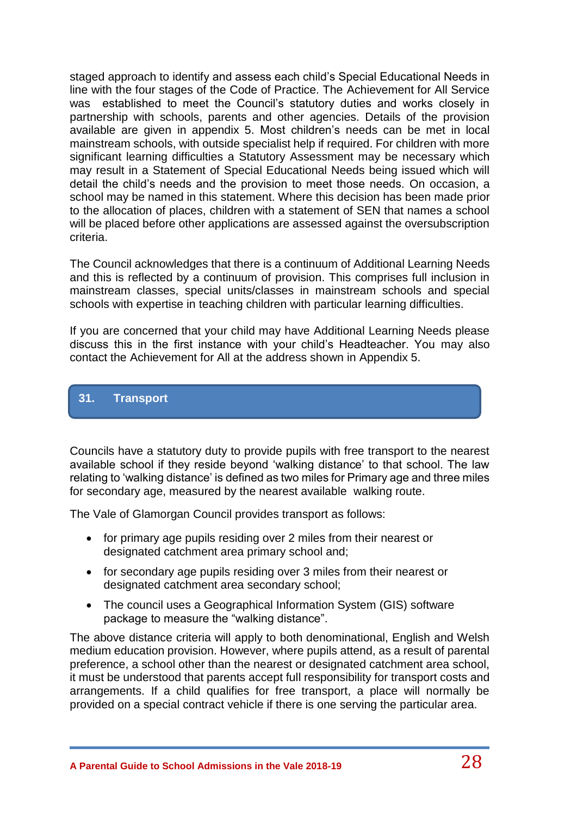staged approach to identify and assess each child's Special Educational Needs in line with the four stages of the Code of Practice. The Achievement for All Service was established to meet the Council's statutory duties and works closely in partnership with schools, parents and other agencies. Details of the provision available are given in appendix 5. Most children's needs can be met in local mainstream schools, with outside specialist help if required. For children with more significant learning difficulties a Statutory Assessment may be necessary which may result in a Statement of Special Educational Needs being issued which will detail the child's needs and the provision to meet those needs. On occasion, a school may be named in this statement. Where this decision has been made prior to the allocation of places, children with a statement of SEN that names a school will be placed before other applications are assessed against the oversubscription criteria.

The Council acknowledges that there is a continuum of Additional Learning Needs and this is reflected by a continuum of provision. This comprises full inclusion in mainstream classes, special units/classes in mainstream schools and special schools with expertise in teaching children with particular learning difficulties.

If you are concerned that your child may have Additional Learning Needs please discuss this in the first instance with your child's Headteacher. You may also contact the Achievement for All at the address shown in Appendix 5.

## **31. Transport**

Councils have a statutory duty to provide pupils with free transport to the nearest available school if they reside beyond 'walking distance' to that school. The law relating to 'walking distance' is defined as two miles for Primary age and three miles for secondary age, measured by the nearest available walking route.

The Vale of Glamorgan Council provides transport as follows:

- for primary age pupils residing over 2 miles from their nearest or designated catchment area primary school and;
- for secondary age pupils residing over 3 miles from their nearest or designated catchment area secondary school;
- The council uses a Geographical Information System (GIS) software package to measure the "walking distance".

The above distance criteria will apply to both denominational, English and Welsh medium education provision. However, where pupils attend, as a result of parental preference, a school other than the nearest or designated catchment area school, it must be understood that parents accept full responsibility for transport costs and arrangements. If a child qualifies for free transport, a place will normally be provided on a special contract vehicle if there is one serving the particular area.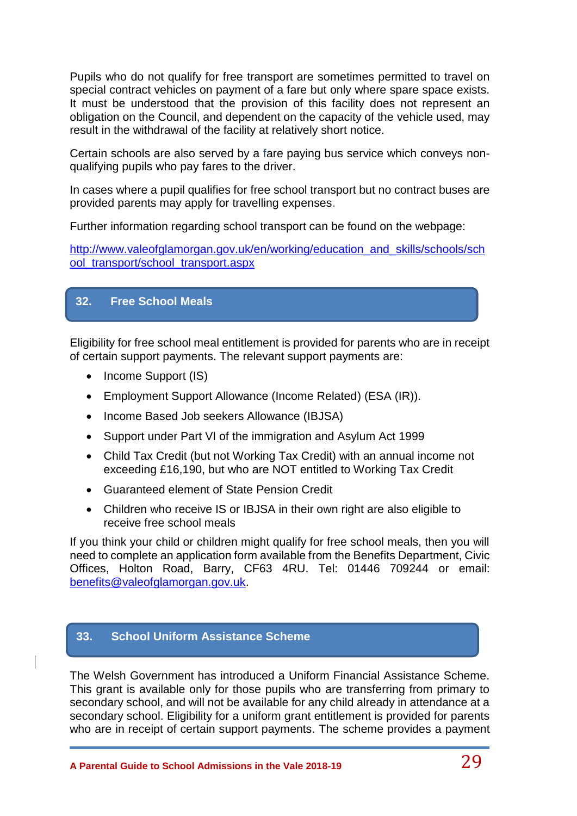Pupils who do not qualify for free transport are sometimes permitted to travel on special contract vehicles on payment of a fare but only where spare space exists. It must be understood that the provision of this facility does not represent an obligation on the Council, and dependent on the capacity of the vehicle used, may result in the withdrawal of the facility at relatively short notice.

Certain schools are also served by a fare paying bus service which conveys nonqualifying pupils who pay fares to the driver.

In cases where a pupil qualifies for free school transport but no contract buses are provided parents may apply for travelling expenses.

Further information regarding school transport can be found on the webpage:

[http://www.valeofglamorgan.gov.uk/en/working/education\\_and\\_skills/schools/sch](http://www.valeofglamorgan.gov.uk/en/working/education_and_skills/schools/school_transport/school_transport.aspx) [ool\\_transport/school\\_transport.aspx](http://www.valeofglamorgan.gov.uk/en/working/education_and_skills/schools/school_transport/school_transport.aspx)

## **32. Free School Meals**

Eligibility for free school meal entitlement is provided for parents who are in receipt of certain support payments. The relevant support payments are:

- Income Support (IS)
- Employment Support Allowance (Income Related) (ESA (IR)).
- Income Based Job seekers Allowance (IBJSA)
- Support under Part VI of the immigration and Asylum Act 1999
- Child Tax Credit (but not Working Tax Credit) with an annual income not exceeding £16,190, but who are NOT entitled to Working Tax Credit
- Guaranteed element of State Pension Credit
- Children who receive IS or IBJSA in their own right are also eligible to receive free school meals

If you think your child or children might qualify for free school meals, then you will need to complete an application form available from the Benefits Department, Civic Offices, Holton Road, Barry, CF63 4RU. Tel: 01446 709244 or email: [benefits@valeofglamorgan.gov.uk.](mailto:benefits@valeofglamorgan.gov.uk)

## **33. School Uniform Assistance Scheme**

The Welsh Government has introduced a Uniform Financial Assistance Scheme. This grant is available only for those pupils who are transferring from primary to secondary school, and will not be available for any child already in attendance at a secondary school. Eligibility for a uniform grant entitlement is provided for parents who are in receipt of certain support payments. The scheme provides a payment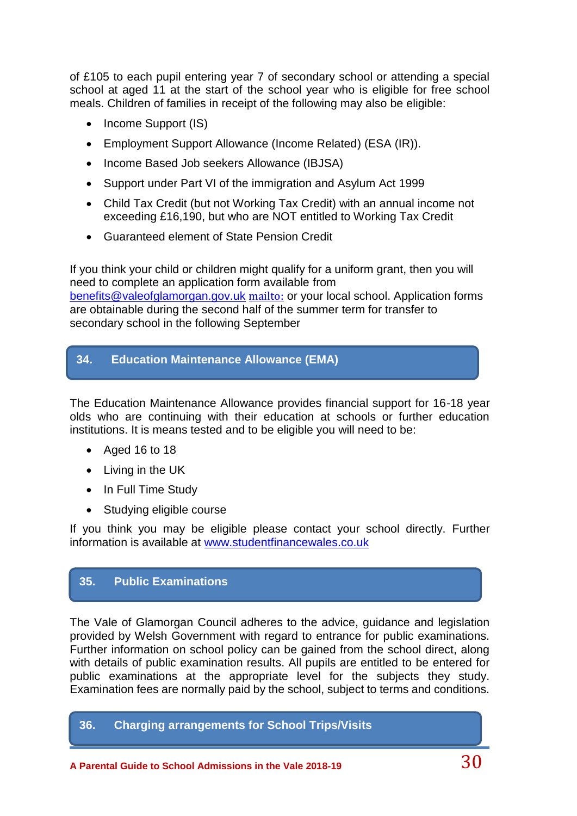of £105 to each pupil entering year 7 of secondary school or attending a special school at aged 11 at the start of the school year who is eligible for free school meals. Children of families in receipt of the following may also be eligible:

- Income Support (IS)
- Employment Support Allowance (Income Related) (ESA (IR)).
- Income Based Job seekers Allowance (IBJSA)
- Support under Part VI of the immigration and Asylum Act 1999
- Child Tax Credit (but not Working Tax Credit) with an annual income not exceeding £16,190, but who are NOT entitled to Working Tax Credit
- Guaranteed element of State Pension Credit

If you think your child or children might qualify for a uniform grant, then you will need to complete an application form available from [benefits@valeofglamorgan.gov.uk](mailto:benefits@valeofglamorgan.gov.uk) <mailto:> or your local school. Application forms are obtainable during the second half of the summer term for transfer to secondary school in the following September

## **34. Education Maintenance Allowance (EMA)**

The Education Maintenance Allowance provides financial support for 16-18 year olds who are continuing with their education at schools or further education institutions. It is means tested and to be eligible you will need to be:

- Aged 16 to 18
- Living in the UK
- In Full Time Study
- Studying eligible course

If you think you may be eligible please contact your school directly. Further information is available at [www.studentfinancewales.co.uk](http://www.studentfinancewales.co.uk/)

## **35. Public Examinations**

The Vale of Glamorgan Council adheres to the advice, guidance and legislation provided by Welsh Government with regard to entrance for public examinations. Further information on school policy can be gained from the school direct, along with details of public examination results. All pupils are entitled to be entered for public examinations at the appropriate level for the subjects they study. Examination fees are normally paid by the school, subject to terms and conditions.

## **36. Charging arrangements for School Trips/Visits**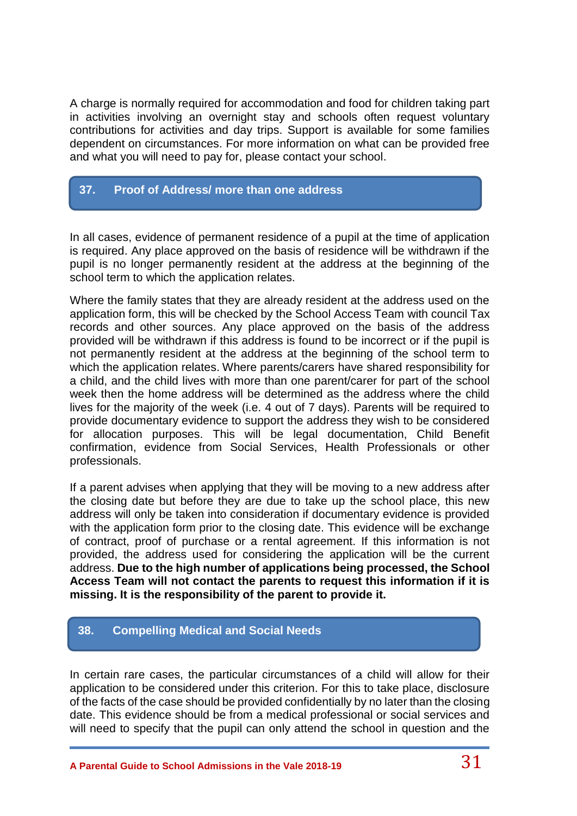A charge is normally required for accommodation and food for children taking part in activities involving an overnight stay and schools often request voluntary contributions for activities and day trips. Support is available for some families dependent on circumstances. For more information on what can be provided free and what you will need to pay for, please contact your school.

## **37. Proof of Address/ more than one address**

In all cases, evidence of permanent residence of a pupil at the time of application is required. Any place approved on the basis of residence will be withdrawn if the pupil is no longer permanently resident at the address at the beginning of the school term to which the application relates.

Where the family states that they are already resident at the address used on the application form, this will be checked by the School Access Team with council Tax records and other sources. Any place approved on the basis of the address provided will be withdrawn if this address is found to be incorrect or if the pupil is not permanently resident at the address at the beginning of the school term to which the application relates. Where parents/carers have shared responsibility for a child, and the child lives with more than one parent/carer for part of the school week then the home address will be determined as the address where the child lives for the majority of the week (i.e. 4 out of 7 days). Parents will be required to provide documentary evidence to support the address they wish to be considered for allocation purposes. This will be legal documentation, Child Benefit confirmation, evidence from Social Services, Health Professionals or other professionals.

If a parent advises when applying that they will be moving to a new address after the closing date but before they are due to take up the school place, this new address will only be taken into consideration if documentary evidence is provided with the application form prior to the closing date. This evidence will be exchange of contract, proof of purchase or a rental agreement. If this information is not provided, the address used for considering the application will be the current address. **Due to the high number of applications being processed, the School Access Team will not contact the parents to request this information if it is missing. It is the responsibility of the parent to provide it.**

## **38. Compelling Medical and Social Needs**

In certain rare cases, the particular circumstances of a child will allow for their application to be considered under this criterion. For this to take place, disclosure of the facts of the case should be provided confidentially by no later than the closing date. This evidence should be from a medical professional or social services and will need to specify that the pupil can only attend the school in question and the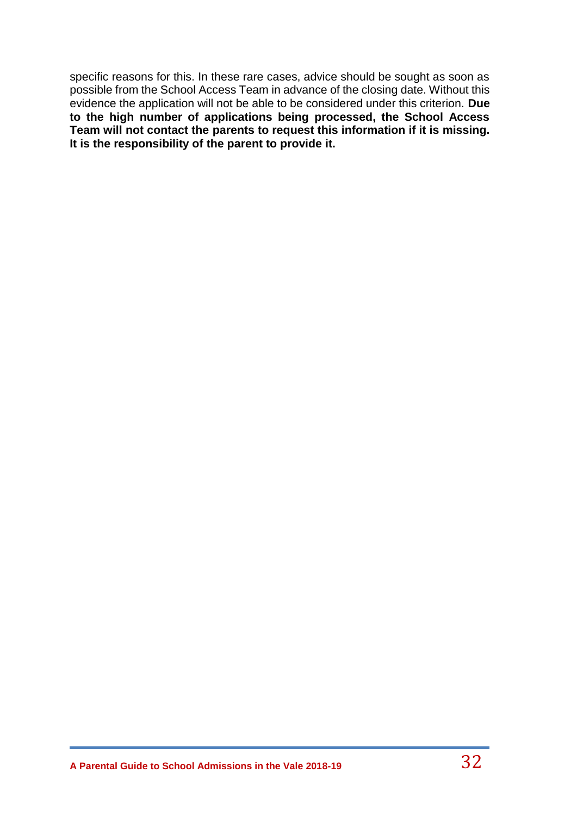specific reasons for this. In these rare cases, advice should be sought as soon as possible from the School Access Team in advance of the closing date. Without this evidence the application will not be able to be considered under this criterion. **Due to the high number of applications being processed, the School Access Team will not contact the parents to request this information if it is missing. It is the responsibility of the parent to provide it.**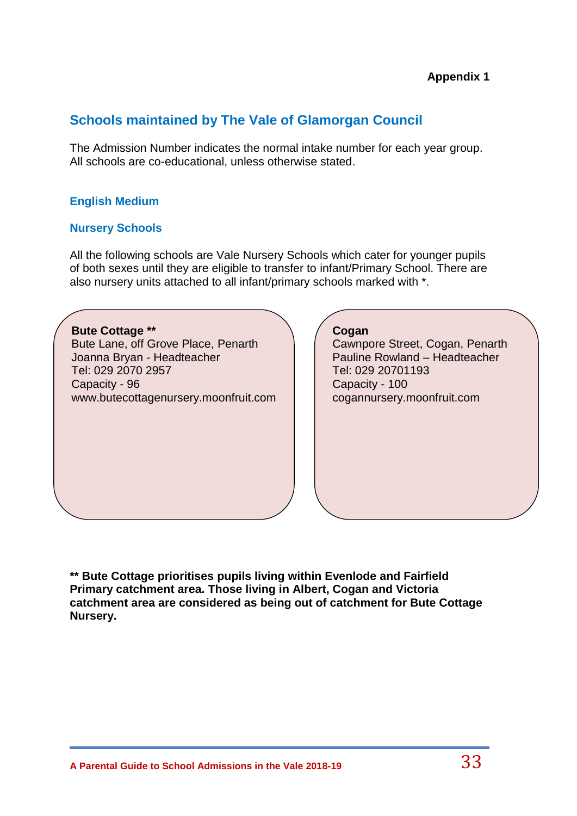## **Schools maintained by The Vale of Glamorgan Council**

The Admission Number indicates the normal intake number for each year group. All schools are co-educational, unless otherwise stated.

## **English Medium**

### **Nursery Schools**

All the following schools are Vale Nursery Schools which cater for younger pupils of both sexes until they are eligible to transfer to infant/Primary School. There are also nursery units attached to all infant/primary schools marked with \*.

**Bute Cottage \*\*** Bute Lane, off Grove Place, Penarth Joanna Bryan - Headteacher Tel: 029 2070 2957 Capacity - 96 www.butecottagenursery.moonfruit.com

### **Cogan**

Cawnpore Street, Cogan, Penarth Pauline Rowland – Headteacher Tel: 029 20701193 Capacity - 100 cogannursery.moonfruit.com

**\*\* Bute Cottage prioritises pupils living within Evenlode and Fairfield Primary catchment area. Those living in Albert, Cogan and Victoria catchment area are considered as being out of catchment for Bute Cottage Nursery.**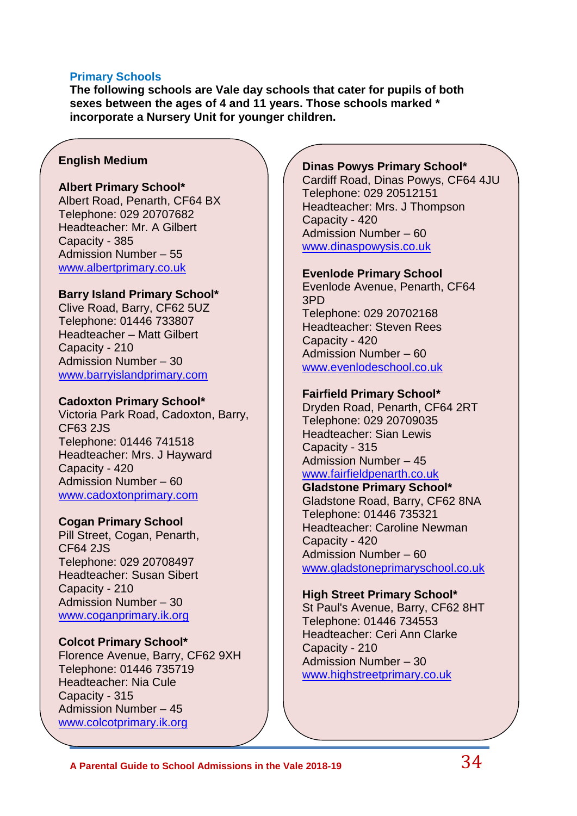#### **Primary Schools**

**The following schools are Vale day schools that cater for pupils of both sexes between the ages of 4 and 11 years. Those schools marked \* incorporate a Nursery Unit for younger children.** 

#### **English Medium**

#### **Albert Primary School\***

Albert Road, Penarth, CF64 BX Telephone: 029 20707682 Headteacher: Mr. A Gilbert Capacity - 385 Admission Number – 55 [www.albertprimary.co.uk](http://www.albertprimary.co.uk/)

#### **Barry Island Primary School\***

Clive Road, Barry, CF62 5UZ Telephone: 01446 733807 Headteacher – Matt Gilbert Capacity - 210 Admission Number – 30 [www.barryislandprimary.com](http://www.barryislandprimary.com/)

#### **Cadoxton Primary School\***

Victoria Park Road, Cadoxton, Barry, CF63 2JS Telephone: 01446 741518 Headteacher: Mrs. J Hayward Capacity - 420 Admission Number – 60 [www.cadoxtonprimary.com](http://www.cadoxtonprimary.com/)

#### **Cogan Primary School**

Pill Street, Cogan, Penarth, CF64 2JS Telephone: 029 20708497 Headteacher: Susan Sibert Capacity - 210 Admission Number – 30 [www.coganprimary.ik.org](http://www.coganprimary.ik.org/)

#### **Colcot Primary School\***

Florence Avenue, Barry, CF62 9XH Telephone: 01446 735719 Headteacher: Nia Cule Capacity - 315 Admission Number – 45 [www.colcotprimary.ik.org](http://www.colcotprimary.ik.org/)

#### **Dinas Powys Primary School\***

Cardiff Road, Dinas Powys, CF64 4JU Telephone: 029 20512151 Headteacher: Mrs. J Thompson Capacity - 420 Admission Number – 60 [www.dinaspowysis.co.uk](http://www.dinaspowysis.co.uk/)

#### **Evenlode Primary School**

Evenlode Avenue, Penarth, CF64 3PD Telephone: 029 20702168 Headteacher: Steven Rees Capacity - 420 Admission Number – 60 [www.evenlodeschool.co.uk](http://www.evenlodeschool.co.uk/)

#### **Fairfield Primary School\***

Dryden Road, Penarth, CF64 2RT Telephone: 029 20709035 Headteacher: Sian Lewis Capacity - 315 Admission Number – 45 [www.fairfieldpenarth.co.uk](http://www.fairfieldpenarth.co.uk/)

#### **Gladstone Primary School\***

Gladstone Road, Barry, CF62 8NA Telephone: 01446 735321 Headteacher: Caroline Newman Capacity - 420 Admission Number – 60 [www.gladstoneprimaryschool.co.uk](http://www.gladstoneprimaryschool.co.uk/)

#### **High Street Primary School\***

St Paul's Avenue, Barry, CF62 8HT Telephone: 01446 734553 Headteacher: Ceri Ann Clarke Capacity - 210 Admission Number – 30 [www.highstreetprimary.co.uk](http://www.highstreetprimary.co.uk/)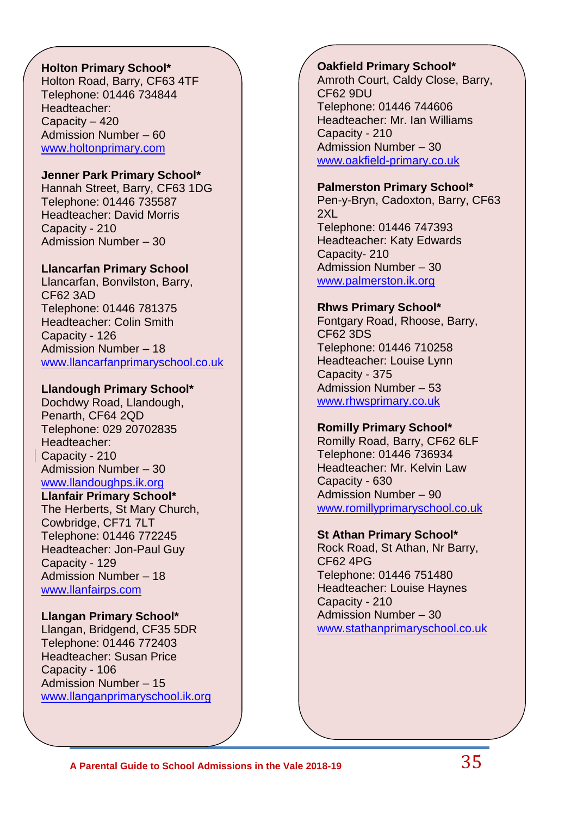## **Holton Primary School\***

Holton Road, Barry, CF63 4TF Telephone: 01446 734844 Headteacher: Capacity – 420 Admission Number – 60 [www.holtonprimary.com](http://www.holtonprimary.com/)

#### **Jenner Park Primary School\***

Hannah Street, Barry, CF63 1DG Telephone: 01446 735587 Headteacher: David Morris Capacity - 210 Admission Number – 30

### **Llancarfan Primary School**

Llancarfan, Bonvilston, Barry, CF62 3AD Telephone: 01446 781375 Headteacher: Colin Smith Capacity - 126 Admission Number – 18 [www.llancarfanprimaryschool.co.uk](http://www.llancarfanprimaryschool.co.uk/)

### **Llandough Primary School\***

Dochdwy Road, Llandough, Penarth, CF64 2QD Telephone: 029 20702835 Headteacher: Capacity - 210 Admission Number – 30

## [www.llandoughps.ik.org](http://www.llandoughps.ik.org/)

**Llanfair Primary School\*** The Herberts, St Mary Church, Cowbridge, CF71 7LT Telephone: 01446 772245 Headteacher: Jon-Paul Guy Capacity - 129 Admission Number – 18 [www.llanfairps.com](http://www.llanfairps.com/)

#### **Llangan Primary School\***

Llangan, Bridgend, CF35 5DR Telephone: 01446 772403 Headteacher: Susan Price Capacity - 106 Admission Number – 15 [www.llanganprimaryschool.ik.org](http://www.llanganprimaryschool.ik.org/)

#### **Oakfield Primary School\***

Amroth Court, Caldy Close, Barry, CF62 9DU Telephone: 01446 744606 Headteacher: Mr. Ian Williams Capacity - 210 Admission Number – 30 [www.oakfield-primary.co.uk](http://www.oakfield-primary.co.uk/)

#### **Palmerston Primary School\***

Pen-y-Bryn, Cadoxton, Barry, CF63 2XL Telephone: 01446 747393 Headteacher: Katy Edwards Capacity- 210 Admission Number – 30 [www.palmerston.ik.org](http://www.palmerston.ik.org/)

### **Rhws Primary School\***

Fontgary Road, Rhoose, Barry, CF62 3DS Telephone: 01446 710258 Headteacher: Louise Lynn Capacity - 375 Admission Number – 53 [www.rhwsprimary.co.uk](http://www.rhwsprimary.co.uk/)

## **Romilly Primary School\***

Romilly Road, Barry, CF62 6LF Telephone: 01446 736934 Headteacher: Mr. Kelvin Law Capacity - 630 Admission Number – 90 [www.romillyprimaryschool.co.uk](http://www.romillyprimaryschool.co.uk/)

## **St Athan Primary School\***

Rock Road, St Athan, Nr Barry, CF62 4PG Telephone: 01446 751480 Headteacher: Louise Haynes Capacity - 210 Admission Number – 30 [www.stathanprimaryschool.co.uk](http://www.stathanprimaryschool.co.uk/)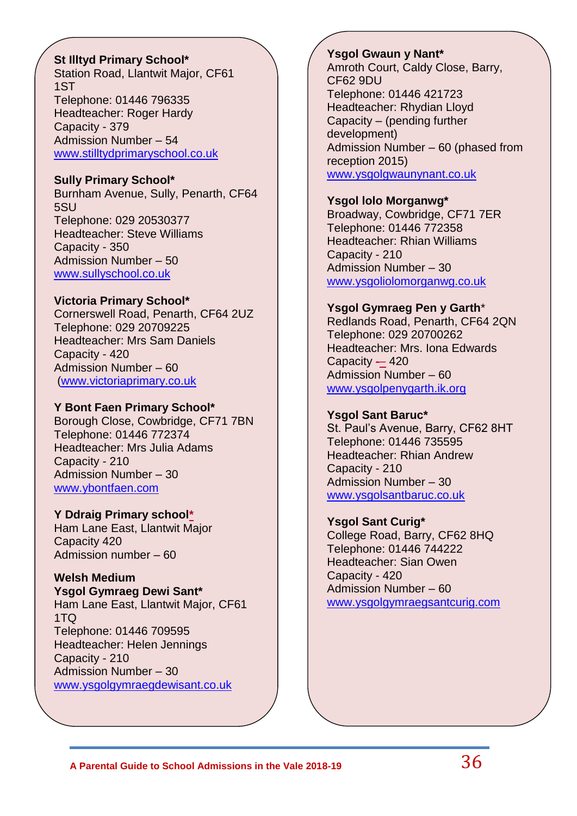### **St Illtyd Primary School\***

Station Road, Llantwit Major, CF61 1ST Telephone: 01446 796335 Headteacher: Roger Hardy Capacity - 379 Admission Number – 54 [www.stilltydprimaryschool.co.uk](http://www.stilltydprimaryschool.co.uk/)

### **Sully Primary School\***

Burnham Avenue, Sully, Penarth, CF64 5SU Telephone: 029 20530377 Headteacher: Steve Williams Capacity - 350 Admission Number – 50 [www.sullyschool.co.uk](http://www.sullyschool.co.uk/)

### **Victoria Primary School\***

Cornerswell Road, Penarth, CF64 2UZ Telephone: 029 20709225 Headteacher: Mrs Sam Daniels Capacity - 420 Admission Number – 60 [\(www.victoriaprimary.co.uk](http://www.victoriaprimary.co.uk/)

#### **Y Bont Faen Primary School\***

Borough Close, Cowbridge, CF71 7BN Telephone: 01446 772374 Headteacher: Mrs Julia Adams Capacity - 210 Admission Number – 30 [www.ybontfaen.com](http://www.ybontfaen.com/)

#### **Y Ddraig Primary school\***

Ham Lane East, Llantwit Major Capacity 420 Admission number – 60

## **Welsh Medium**

**Ysgol Gymraeg Dewi Sant\*** Ham Lane East, Llantwit Major, CF61 1TQ Telephone: 01446 709595 Headteacher: Helen Jennings Capacity - 210 Admission Number – 30 [www.ysgolgymraegdewisant.co.uk](http://www.ysgolgymraegdewisant.co.uk/)

#### **Ysgol Gwaun y Nant\*** Amroth Court, Caldy Close, Barry, CF62 9DU Telephone: 01446 421723 Headteacher: Rhydian Lloyd Capacity – (pending further development) Admission Number – 60 (phased from reception 2015)

[www.ysgolgwaunynant.co.uk](http://www.ysgolgwaunynant.co.uk/)

### **Ysgol lolo Morganwg\***

Broadway, Cowbridge, CF71 7ER Telephone: 01446 772358 Headteacher: Rhian Williams Capacity - 210 Admission Number – 30 [www.ysgoliolomorganwg.co.uk](http://www.ysgoliolomorganwg.co.uk/)

## **Ysgol Gymraeg Pen y Garth**\*

Redlands Road, Penarth, CF64 2QN Telephone: 029 20700262 Headteacher: Mrs. Iona Edwards Capacity — 420 Admission Number – 60 [www.ysgolpenygarth.ik.org](http://www.ysgolpenygarth.ik.org/)

## **Ysgol Sant Baruc\***

St. Paul's Avenue, Barry, CF62 8HT Telephone: 01446 735595 Headteacher: Rhian Andrew Capacity - 210 Admission Number – 30 [www.ysgolsantbaruc.co.uk](http://www.ysgolsantbaruc.co.uk/)

## **Ysgol Sant Curig\***

College Road, Barry, CF62 8HQ Telephone: 01446 744222 Headteacher: Sian Owen Capacity - 420 Admission Number – 60 [www.ysgolgymraegsantcurig.com](http://www.ysgolgymraegsantcurig.com/)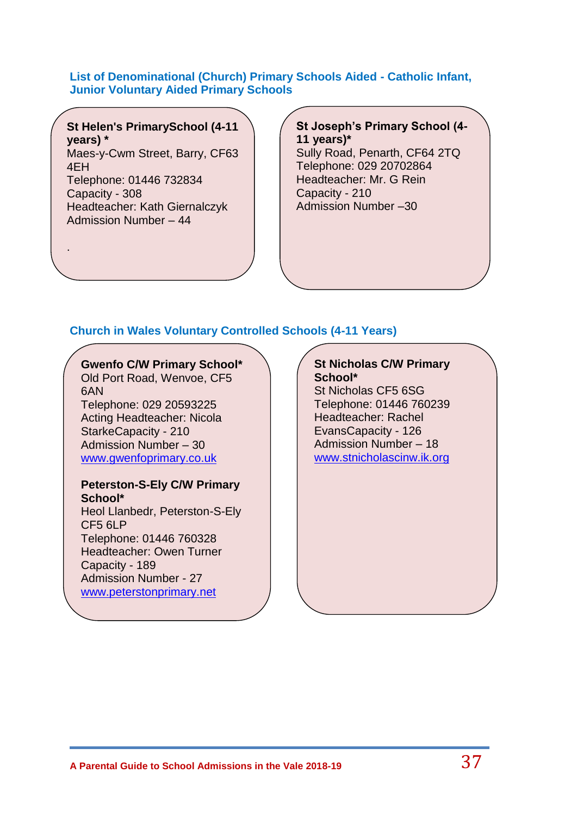#### **List of Denominational (Church) Primary Schools Aided - Catholic Infant, Junior Voluntary Aided Primary Schools**

**St Helen's PrimarySchool (4-11 years) \***

Maes-y-Cwm Street, Barry, CF63 4EH Telephone: 01446 732834

Capacity - 308 Headteacher: Kath Giernalczyk Admission Number – 44

.

**St Joseph's Primary School (4- 11 years)\*** Sully Road, Penarth, CF64 2TQ Telephone: 029 20702864 Headteacher: Mr. G Rein Capacity - 210 Admission Number –30

# **Church in Wales Voluntary Controlled Schools (4-11 Years)**

# **Gwenfo C/W Primary School\***

Old Port Road, Wenvoe, CF5 6AN Telephone: 029 20593225 Acting Headteacher: Nicola StarkeCapacity - 210 Admission Number – 30 [www.gwenfoprimary.co.uk](http://www.gwenfoprimary.co.uk/)

#### **Peterston-S-Ely C/W Primary School\***

Heol Llanbedr, Peterston-S-Ely CF5 6LP Telephone: 01446 760328 Headteacher: Owen Turner Capacity - 189 Admission Number - 27 [www.peterstonprimary.net](http://www.peterstonprimary.net/)

#### **St Nicholas C/W Primary School\***

St Nicholas CF5 6SG Telephone: 01446 760239 Headteacher: Rachel EvansCapacity - 126 Admission Number – 18 [www.stnicholascinw.ik.org](http://www.stnicholascinw.ik.org/)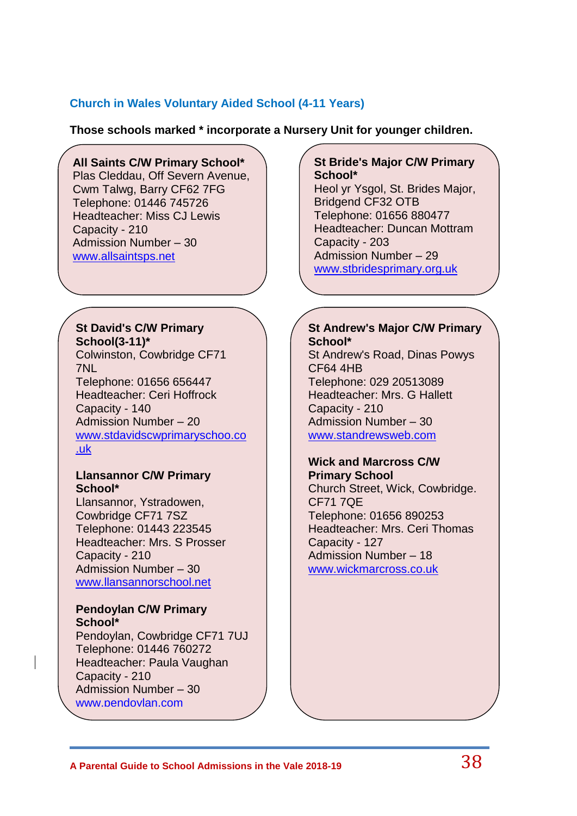# **Church in Wales Voluntary Aided School (4-11 Years)**

**Those schools marked \* incorporate a Nursery Unit for younger children.**

# **All Saints C/W Primary School\***

Plas Cleddau, Off Severn Avenue, Cwm Talwg, Barry CF62 7FG Telephone: 01446 745726 Headteacher: Miss CJ Lewis Capacity - 210 Admission Number – 30 [www.allsaintsps.net](http://www.allsaintsps.net/)

#### **St David's C/W Primary School(3-11)\***

Colwinston, Cowbridge CF71 7NL Telephone: 01656 656447 Headteacher: Ceri Hoffrock Capacity - 140 Admission Number – 20 [www.stdavidscwprimaryschoo.co](http://www.stdavidscwprimaryschoo.co.uk/) [.uk](http://www.stdavidscwprimaryschoo.co.uk/)

### **Llansannor C/W Primary School\***

Llansannor, Ystradowen, Cowbridge CF71 7SZ Telephone: 01443 223545 Headteacher: Mrs. S Prosser Capacity - 210 Admission Number – 30 [www.llansannorschool.net](http://www.llansannorschool.net/)

#### **Pendoylan C/W Primary School\***

Pendoylan, Cowbridge CF71 7UJ Telephone: 01446 760272 Headteacher: Paula Vaughan Capacity - 210 Admission Number – 30 [www.pendoylan.com](http://www.pendoylan.com/)

# **St Bride's Major C/W Primary School\***

Heol yr Ysgol, St. Brides Major, Bridgend CF32 OTB Telephone: 01656 880477 Headteacher: Duncan Mottram Capacity - 203 Admission Number – 29 [www.stbridesprimary.org.uk](http://www.stbridesprimary.org.uk/)

# **St Andrew's Major C/W Primary School\***

St Andrew's Road, Dinas Powys CF64 4HB Telephone: 029 20513089 Headteacher: Mrs. G Hallett Capacity - 210 Admission Number – 30 [www.standrewsweb.com](http://www.standrewsweb.com/)

#### **Wick and Marcross C/W Primary School**

Church Street, Wick, Cowbridge. CF71 7QE Telephone: 01656 890253 Headteacher: Mrs. Ceri Thomas Capacity - 127 Admission Number – 18 [www.wickmarcross.co.uk](http://www.wickmarcross.co.uk/)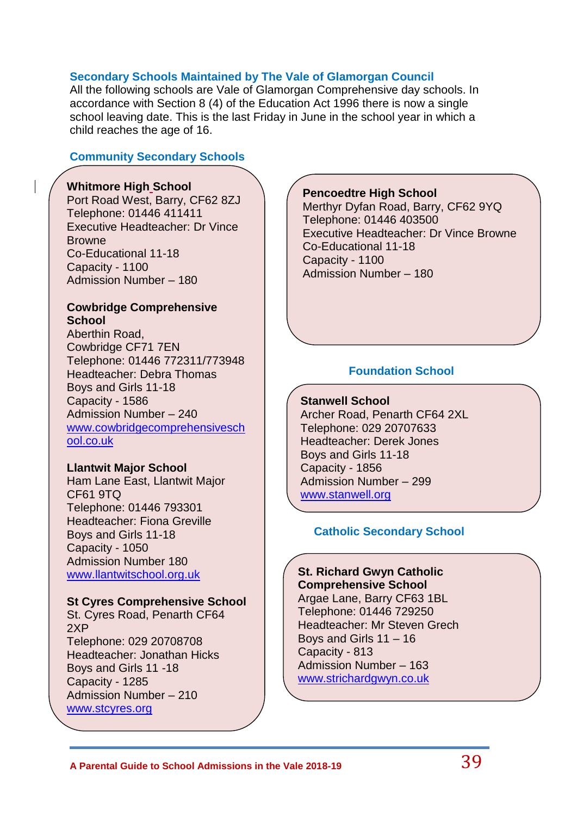# **Secondary Schools Maintained by The Vale of Glamorgan Council**

All the following schools are Vale of Glamorgan Comprehensive day schools. In accordance with Section 8 (4) of the Education Act 1996 there is now a single school leaving date. This is the last Friday in June in the school year in which a child reaches the age of 16.

# **Community Secondary Schools**

# **Whitmore High School**

Port Road West, Barry, CF62 8ZJ Telephone: 01446 411411 Executive Headteacher: Dr Vince **Browne** Co-Educational 11-18 Capacity - 1100 Admission Number – 180

### **Cowbridge Comprehensive School**

**<u>[ool.co.uk](http://www.cowbridgecomprehensiveschool.co.uk/)</u>** Aberthin Road, Cowbridge CF71 7EN Telephone: 01446 772311/773948 Headteacher: Debra Thomas Boys and Girls 11-18 Capacity - 1586 Admission Number – 240 [www.cowbridgecomprehensivesch](http://www.cowbridgecomprehensiveschool.co.uk/)

### **Llantwit Major School**

Ham Lane East, Llantwit Major CF61 9TQ Telephone: 01446 793301 Headteacher: Fiona Greville Boys and Girls 11-18 Capacity - 1050 Admission Number 180 [www.llantwitschool.org.uk](http://www.llantwitschool.org.uk/)

# **St Cyres Comprehensive School**

St. Cyres Road, Penarth CF64 [www.stcyres.org](http://www.stcyres.org/) 2XP Telephone: 029 20708708 Headteacher: Jonathan Hicks Boys and Girls 11 -18 Capacity - 1285 Admission Number – 210

# **Pencoedtre High School**

Merthyr Dyfan Road, Barry, CF62 9YQ Telephone: 01446 403500 Executive Headteacher: Dr Vince Browne Co-Educational 11-18 Capacity - 1100 Admission Number – 180

# **Foundation School**

**Stanwell School** Archer Road, Penarth CF64 2XL Telephone: 029 20707633 Headteacher: Derek Jones Boys and Girls 11-18 Capacity - 1856 Admission Number – 299 [www.stanwell.org](http://www.stanwell.org/)

# **Catholic Secondary School**

#### **St. Richard Gwyn Catholic Comprehensive School**

Argae Lane, Barry CF63 1BL Telephone: 01446 729250 Headteacher: Mr Steven Grech Boys and Girls 11 – 16 Capacity - 813 Admission Number – 163 [www.strichardgwyn.co.uk](http://www.strichardgwyn.co.uk/)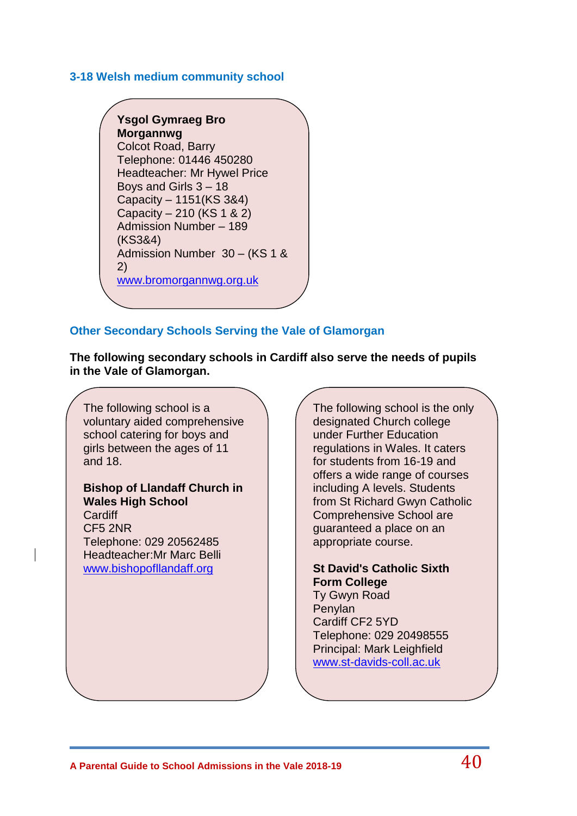### **3-18 Welsh medium community school**

**Ysgol Gymraeg Bro Morgannwg** Colcot Road, Barry Telephone: 01446 450280 Headteacher: Mr Hywel Price Boys and Girls 3 – 18 Capacity – 1151(KS 3&4) Capacity – 210 (KS 1 & 2) Admission Number – 189 (KS3&4) Admission Number 30 – (KS 1 & 2) [www.bromorgannwg.org.uk](http://www.bromorgannwg.org.uk/)

# **Other Secondary Schools Serving the Vale of Glamorgan**

**The following secondary schools in Cardiff also serve the needs of pupils in the Vale of Glamorgan.**

The following school is a voluntary aided comprehensive school catering for boys and girls between the ages of 11 and 18.

# **Bishop of Llandaff Church in Wales High School**

**Cardiff** CF5 2NR Telephone: 029 20562485 Headteacher:Mr Marc Belli [www.bishopofllandaff.org](http://www.bishopofllandaff.org/)

The following school is the only designated Church college under Further Education regulations in Wales. It caters for students from 16-19 and offers a wide range of courses including A levels. Students from St Richard Gwyn Catholic Comprehensive School are guaranteed a place on an appropriate course.

# **St David's Catholic Sixth Form College**

Ty Gwyn Road Penylan Cardiff CF2 5YD Telephone: 029 20498555 Principal: Mark Leighfield [www.st-davids-coll.ac.uk](http://www.st-davids-coll.ac.uk/)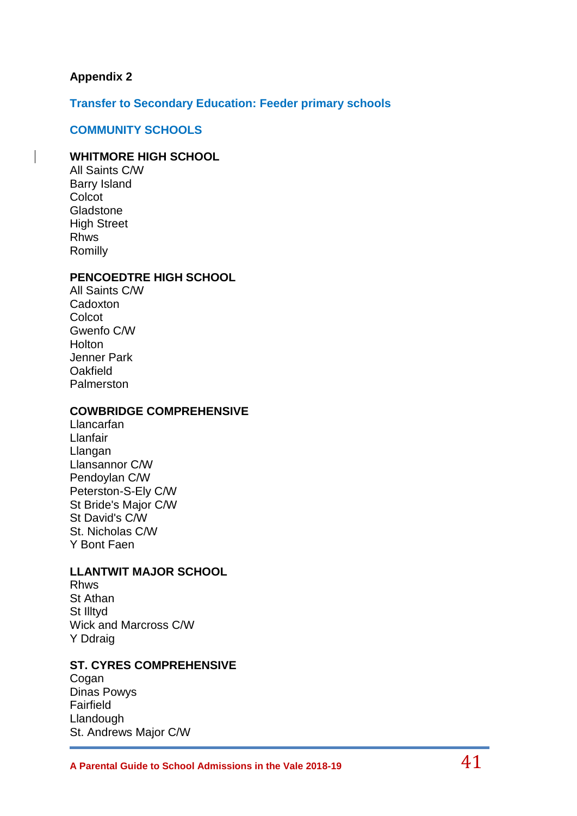# **Appendix 2**

**Transfer to Secondary Education: Feeder primary schools**

#### **COMMUNITY SCHOOLS**

#### **WHITMORE HIGH SCHOOL**

All Saints C/W Barry Island **Colcot** Gladstone High Street Rhws Romilly

#### **PENCOEDTRE HIGH SCHOOL**

All Saints C/W **Cadoxton Colcot** Gwenfo C/W **Holton** Jenner Park **Oakfield** Palmerston

#### **COWBRIDGE COMPREHENSIVE**

Llancarfan Llanfair Llangan Llansannor C/W Pendoylan C/W Peterston-S-Ely C/W St Bride's Major C/W St David's C/W St. Nicholas C/W Y Bont Faen

### **LLANTWIT MAJOR SCHOOL**

Rhws St Athan St Illtyd Wick and Marcross C/W Y Ddraig

# **ST. CYRES COMPREHENSIVE**

Cogan Dinas Powys Fairfield Llandough St. Andrews Major C/W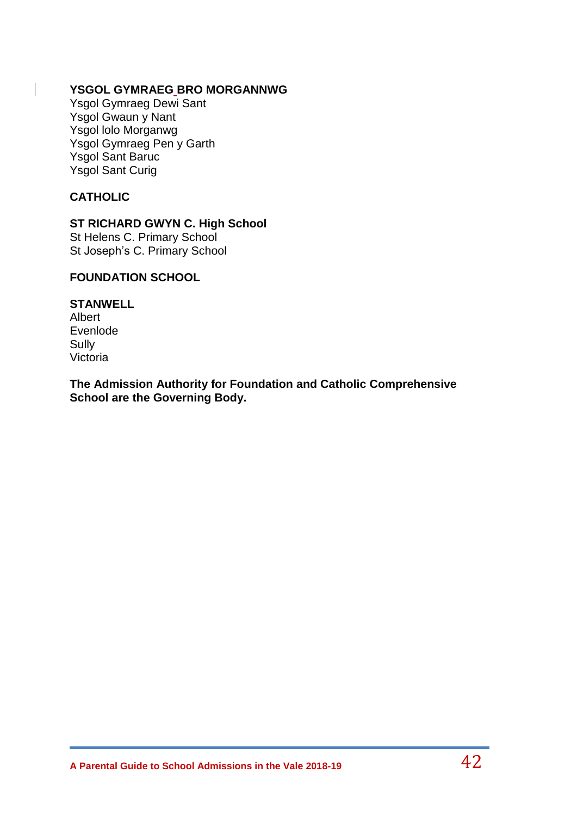### **YSGOL GYMRAEG BRO MORGANNWG**

Ysgol Gymraeg Dewi Sant Ysgol Gwaun y Nant Ysgol lolo Morganwg Ysgol Gymraeg Pen y Garth Ysgol Sant Baruc Ysgol Sant Curig

# **CATHOLIC**

# **ST RICHARD GWYN C. High School**

St Helens C. Primary School St Joseph's C. Primary School

# **FOUNDATION SCHOOL**

**STANWELL** Albert Evenlode Sully Victoria

**The Admission Authority for Foundation and Catholic Comprehensive School are the Governing Body.**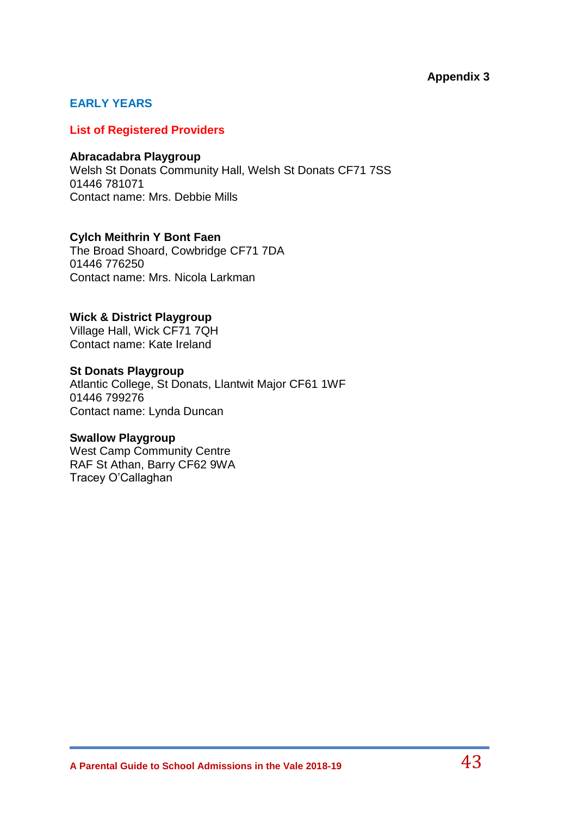# **Appendix 3**

# **EARLY YEARS**

#### **List of Registered Providers**

#### **Abracadabra Playgroup**

Welsh St Donats Community Hall, Welsh St Donats CF71 7SS 01446 781071 Contact name: Mrs. Debbie Mills

#### **Cylch Meithrin Y Bont Faen**

The Broad Shoard, Cowbridge CF71 7DA 01446 776250 Contact name: Mrs. Nicola Larkman

### **Wick & District Playgroup**

Village Hall, Wick CF71 7QH Contact name: Kate Ireland

# **St Donats Playgroup**

Atlantic College, St Donats, Llantwit Major CF61 1WF 01446 799276 Contact name: Lynda Duncan

### **Swallow Playgroup**

West Camp Community Centre RAF St Athan, Barry CF62 9WA Tracey O'Callaghan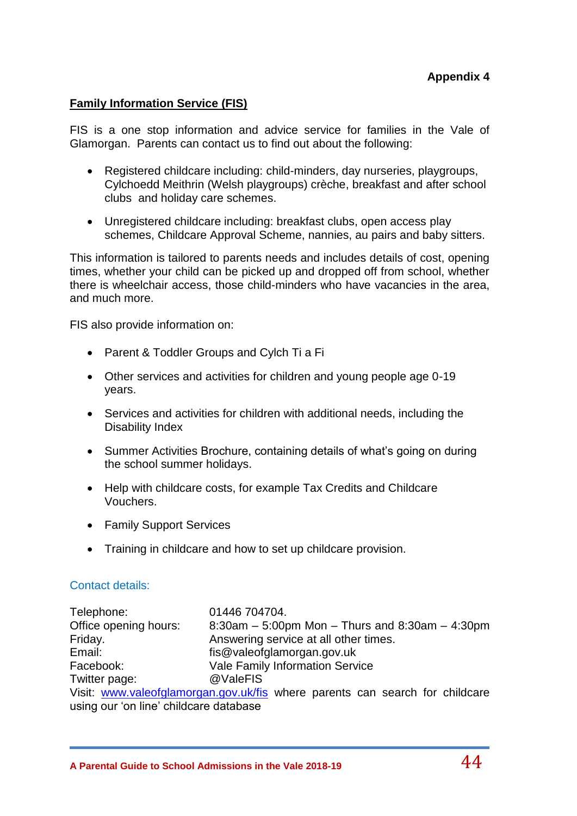### **Family Information Service (FIS)**

FIS is a one stop information and advice service for families in the Vale of Glamorgan. Parents can contact us to find out about the following:

- Registered childcare including: child-minders, day nurseries, playgroups, Cylchoedd Meithrin (Welsh playgroups) crèche, breakfast and after school clubs and holiday care schemes.
- Unregistered childcare including: breakfast clubs, open access play schemes, Childcare Approval Scheme, nannies, au pairs and baby sitters.

This information is tailored to parents needs and includes details of cost, opening times, whether your child can be picked up and dropped off from school, whether there is wheelchair access, those child-minders who have vacancies in the area, and much more.

FIS also provide information on:

- Parent & Toddler Groups and Cylch Ti a Fi
- Other services and activities for children and young people age 0-19 years.
- Services and activities for children with additional needs, including the Disability Index
- Summer Activities Brochure, containing details of what's going on during the school summer holidays.
- Help with childcare costs, for example Tax Credits and Childcare Vouchers.
- Family Support Services
- Training in childcare and how to set up childcare provision.

#### Contact details:

Telephone: 01446 704704. Office opening hours: 8:30am – 5:00pm Mon – Thurs and 8:30am – 4:30pm Friday. The answering service at all other times. Email: fis@valeofglamorgan.gov.uk Facebook: Vale Family Information Service Twitter page: @ValeFIS Visit: [www.valeofglamorgan.gov.uk/fis](http://www.valeofglamorgan.gov.uk/fis) where parents can search for childcare using our 'on line' childcare database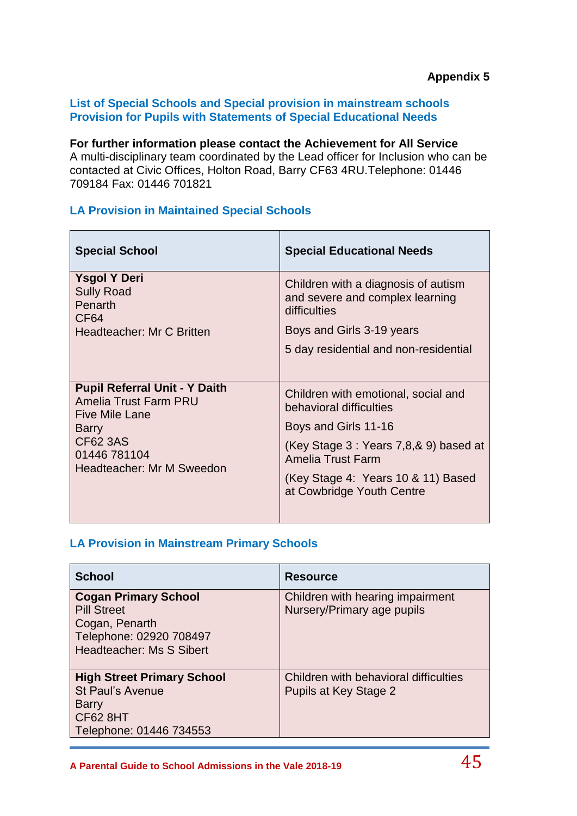### **List of Special Schools and Special provision in mainstream schools Provision for Pupils with Statements of Special Educational Needs**

**For further information please contact the Achievement for All Service** A multi-disciplinary team coordinated by the Lead officer for Inclusion who can be contacted at Civic Offices, Holton Road, Barry CF63 4RU.Telephone: 01446 709184 Fax: 01446 701821

# **LA Provision in Maintained Special Schools**

| <b>Special School</b>                                                                                                                                           | <b>Special Educational Needs</b>                                                       |
|-----------------------------------------------------------------------------------------------------------------------------------------------------------------|----------------------------------------------------------------------------------------|
| <b>Ysgol Y Deri</b><br><b>Sully Road</b><br>Penarth<br>CF <sub>64</sub>                                                                                         | Children with a diagnosis of autism<br>and severe and complex learning<br>difficulties |
| Headteacher: Mr C Britten                                                                                                                                       | Boys and Girls 3-19 years                                                              |
|                                                                                                                                                                 | 5 day residential and non-residential                                                  |
| <b>Pupil Referral Unit - Y Daith</b><br>Amelia Trust Farm PRU<br><b>Five Mile Lane</b><br><b>Barry</b><br>CF62 3AS<br>01446 781104<br>Headteacher: Mr M Sweedon | Children with emotional, social and<br>behavioral difficulties<br>Boys and Girls 11-16 |
|                                                                                                                                                                 | (Key Stage 3 : Years 7,8,& 9) based at                                                 |
|                                                                                                                                                                 | Amelia Trust Farm                                                                      |
|                                                                                                                                                                 | (Key Stage 4: Years 10 & 11) Based<br>at Cowbridge Youth Centre                        |
|                                                                                                                                                                 |                                                                                        |

# **LA Provision in Mainstream Primary Schools**

| <b>School</b>                                                                                                              | <b>Resource</b>                                                |
|----------------------------------------------------------------------------------------------------------------------------|----------------------------------------------------------------|
| <b>Cogan Primary School</b><br><b>Pill Street</b><br>Cogan, Penarth<br>Telephone: 02920 708497<br>Headteacher: Ms S Sibert | Children with hearing impairment<br>Nursery/Primary age pupils |
| <b>High Street Primary School</b><br><b>St Paul's Avenue</b><br><b>Barry</b><br><b>CF62 8HT</b><br>Telephone: 01446 734553 | Children with behavioral difficulties<br>Pupils at Key Stage 2 |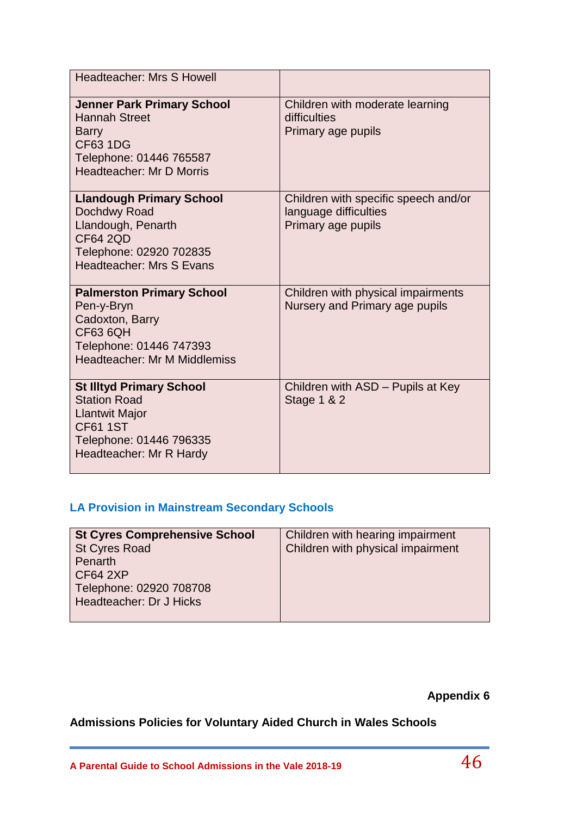| <b>Headteacher: Mrs S Howell</b>                                                                                                                         |                                                                                     |
|----------------------------------------------------------------------------------------------------------------------------------------------------------|-------------------------------------------------------------------------------------|
| <b>Jenner Park Primary School</b><br><b>Hannah Street</b><br><b>Barry</b><br><b>CF63 1DG</b><br>Telephone: 01446 765587<br>Headteacher: Mr D Morris      | Children with moderate learning<br>difficulties<br>Primary age pupils               |
| <b>Llandough Primary School</b><br>Dochdwy Road<br>Llandough, Penarth<br><b>CF64 2QD</b><br>Telephone: 02920 702835<br>Headteacher: Mrs S Evans          | Children with specific speech and/or<br>language difficulties<br>Primary age pupils |
| <b>Palmerston Primary School</b><br>Pen-y-Bryn<br>Cadoxton, Barry<br><b>CF63 6QH</b><br>Telephone: 01446 747393<br><b>Headteacher: Mr M Middlemiss</b>   | Children with physical impairments<br>Nursery and Primary age pupils                |
| <b>St Illtyd Primary School</b><br><b>Station Road</b><br><b>Llantwit Major</b><br><b>CF61 1ST</b><br>Telephone: 01446 796335<br>Headteacher: Mr R Hardy | Children with ASD - Pupils at Key<br><b>Stage 1 &amp; 2</b>                         |

# **LA Provision in Mainstream Secondary Schools**

| <b>St Cyres Comprehensive School</b> | Children with hearing impairment  |
|--------------------------------------|-----------------------------------|
| <b>St Cyres Road</b>                 | Children with physical impairment |
| Penarth                              |                                   |
| <b>CF64 2XP</b>                      |                                   |
| Telephone: 02920 708708              |                                   |
| Headteacher: Dr J Hicks              |                                   |
|                                      |                                   |

**Appendix 6**

**Admissions Policies for Voluntary Aided Church in Wales Schools**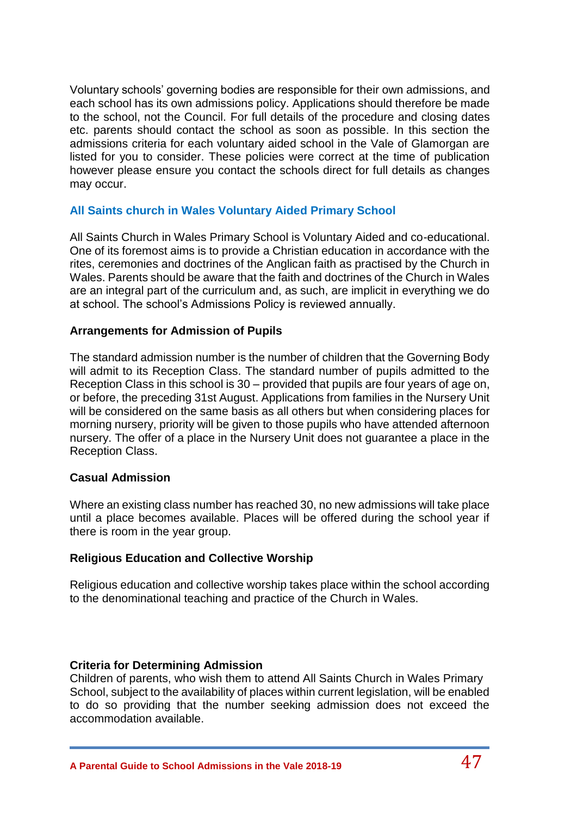Voluntary schools' governing bodies are responsible for their own admissions, and each school has its own admissions policy. Applications should therefore be made to the school, not the Council. For full details of the procedure and closing dates etc. parents should contact the school as soon as possible. In this section the admissions criteria for each voluntary aided school in the Vale of Glamorgan are listed for you to consider. These policies were correct at the time of publication however please ensure you contact the schools direct for full details as changes may occur.

# **All Saints church in Wales Voluntary Aided Primary School**

All Saints Church in Wales Primary School is Voluntary Aided and co-educational. One of its foremost aims is to provide a Christian education in accordance with the rites, ceremonies and doctrines of the Anglican faith as practised by the Church in Wales. Parents should be aware that the faith and doctrines of the Church in Wales are an integral part of the curriculum and, as such, are implicit in everything we do at school. The school's Admissions Policy is reviewed annually.

### **Arrangements for Admission of Pupils**

The standard admission number is the number of children that the Governing Body will admit to its Reception Class. The standard number of pupils admitted to the Reception Class in this school is 30 – provided that pupils are four years of age on, or before, the preceding 31st August. Applications from families in the Nursery Unit will be considered on the same basis as all others but when considering places for morning nursery, priority will be given to those pupils who have attended afternoon nursery. The offer of a place in the Nursery Unit does not guarantee a place in the Reception Class.

#### **Casual Admission**

Where an existing class number has reached 30, no new admissions will take place until a place becomes available. Places will be offered during the school year if there is room in the year group.

### **Religious Education and Collective Worship**

Religious education and collective worship takes place within the school according to the denominational teaching and practice of the Church in Wales.

### **Criteria for Determining Admission**

Children of parents, who wish them to attend All Saints Church in Wales Primary School, subject to the availability of places within current legislation, will be enabled to do so providing that the number seeking admission does not exceed the accommodation available.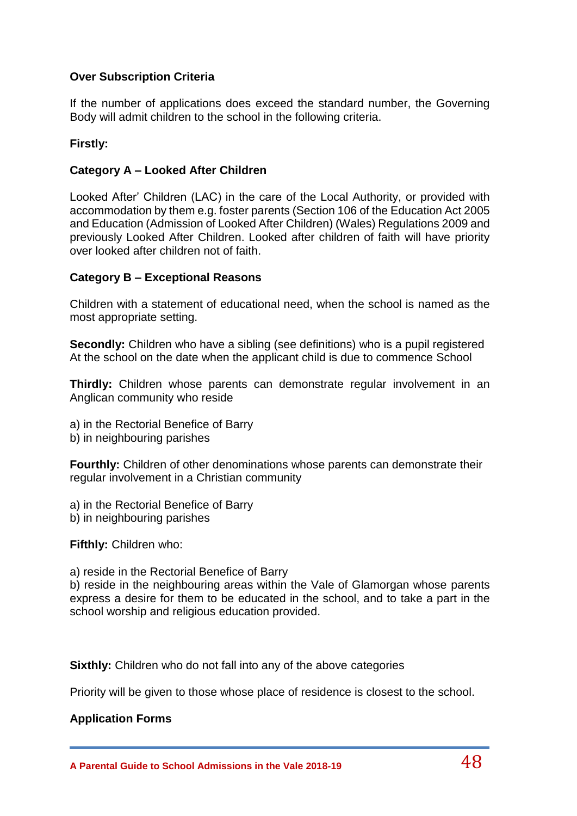# **Over Subscription Criteria**

If the number of applications does exceed the standard number, the Governing Body will admit children to the school in the following criteria.

### **Firstly:**

### **Category A – Looked After Children**

Looked After' Children (LAC) in the care of the Local Authority, or provided with accommodation by them e.g. foster parents (Section 106 of the Education Act 2005 and Education (Admission of Looked After Children) (Wales) Regulations 2009 and previously Looked After Children. Looked after children of faith will have priority over looked after children not of faith.

### **Category B – Exceptional Reasons**

Children with a statement of educational need, when the school is named as the most appropriate setting.

**Secondly:** Children who have a sibling (see definitions) who is a pupil registered At the school on the date when the applicant child is due to commence School

**Thirdly:** Children whose parents can demonstrate regular involvement in an Anglican community who reside

- a) in the Rectorial Benefice of Barry
- b) in neighbouring parishes

**Fourthly:** Children of other denominations whose parents can demonstrate their regular involvement in a Christian community

- a) in the Rectorial Benefice of Barry
- b) in neighbouring parishes

**Fifthly:** Children who:

a) reside in the Rectorial Benefice of Barry

b) reside in the neighbouring areas within the Vale of Glamorgan whose parents express a desire for them to be educated in the school, and to take a part in the school worship and religious education provided.

**Sixthly:** Children who do not fall into any of the above categories

Priority will be given to those whose place of residence is closest to the school.

### **Application Forms**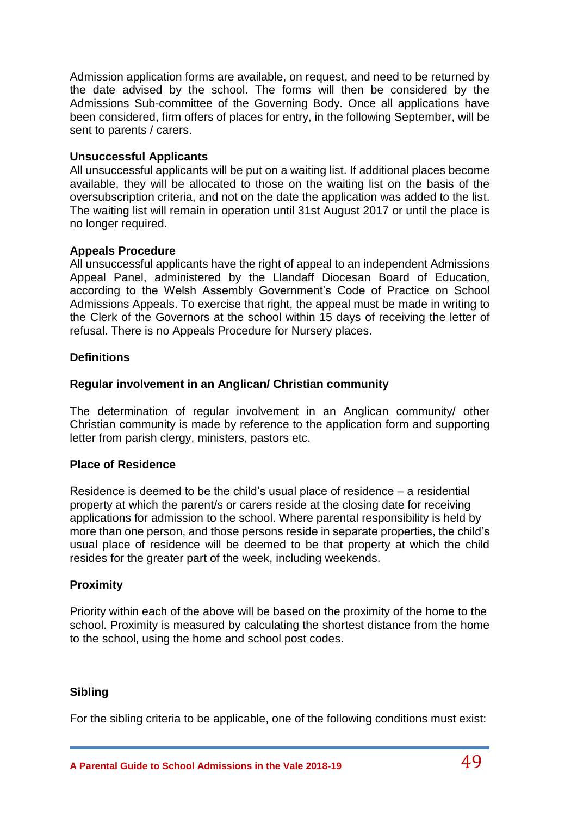Admission application forms are available, on request, and need to be returned by the date advised by the school. The forms will then be considered by the Admissions Sub-committee of the Governing Body. Once all applications have been considered, firm offers of places for entry, in the following September, will be sent to parents / carers.

# **Unsuccessful Applicants**

All unsuccessful applicants will be put on a waiting list. If additional places become available, they will be allocated to those on the waiting list on the basis of the oversubscription criteria, and not on the date the application was added to the list. The waiting list will remain in operation until 31st August 2017 or until the place is no longer required.

# **Appeals Procedure**

All unsuccessful applicants have the right of appeal to an independent Admissions Appeal Panel, administered by the Llandaff Diocesan Board of Education, according to the Welsh Assembly Government's Code of Practice on School Admissions Appeals. To exercise that right, the appeal must be made in writing to the Clerk of the Governors at the school within 15 days of receiving the letter of refusal. There is no Appeals Procedure for Nursery places.

# **Definitions**

# **Regular involvement in an Anglican/ Christian community**

The determination of regular involvement in an Anglican community/ other Christian community is made by reference to the application form and supporting letter from parish clergy, ministers, pastors etc.

### **Place of Residence**

Residence is deemed to be the child's usual place of residence – a residential property at which the parent/s or carers reside at the closing date for receiving applications for admission to the school. Where parental responsibility is held by more than one person, and those persons reside in separate properties, the child's usual place of residence will be deemed to be that property at which the child resides for the greater part of the week, including weekends.

# **Proximity**

Priority within each of the above will be based on the proximity of the home to the school. Proximity is measured by calculating the shortest distance from the home to the school, using the home and school post codes.

### **Sibling**

For the sibling criteria to be applicable, one of the following conditions must exist: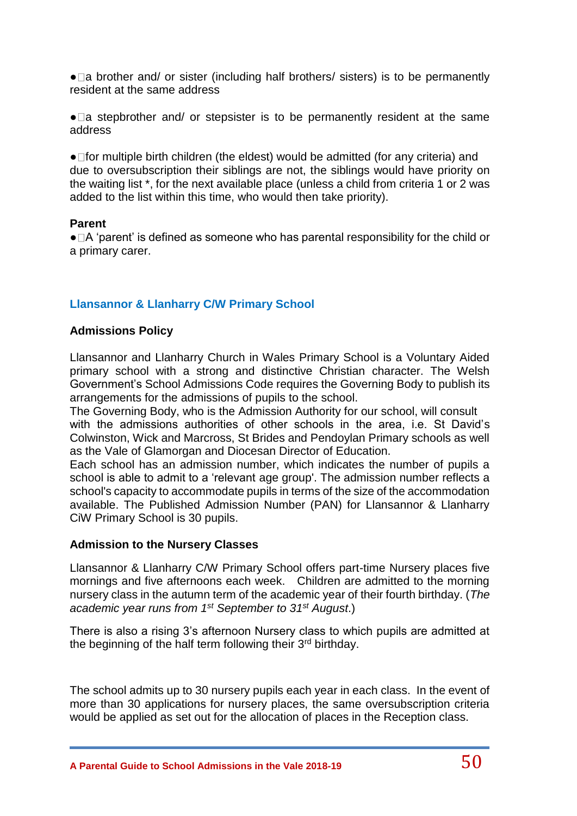$\bullet$  a brother and/ or sister (including half brothers/ sisters) is to be permanently resident at the same address

 $\bullet$  a stepbrother and/ or stepsister is to be permanently resident at the same address

 $\bullet$  for multiple birth children (the eldest) would be admitted (for any criteria) and due to oversubscription their siblings are not, the siblings would have priority on the waiting list \*, for the next available place (unless a child from criteria 1 or 2 was added to the list within this time, who would then take priority).

#### **Parent**

 $\bullet$   $\Box$  A 'parent' is defined as someone who has parental responsibility for the child or a primary carer.

# **Llansannor & Llanharry C/W Primary School**

### **Admissions Policy**

Llansannor and Llanharry Church in Wales Primary School is a Voluntary Aided primary school with a strong and distinctive Christian character. The Welsh Government's School Admissions Code requires the Governing Body to publish its arrangements for the admissions of pupils to the school.

The Governing Body, who is the Admission Authority for our school, will consult with the admissions authorities of other schools in the area, i.e. St David's Colwinston, Wick and Marcross, St Brides and Pendoylan Primary schools as well as the Vale of Glamorgan and Diocesan Director of Education.

Each school has an admission number, which indicates the number of pupils a school is able to admit to a 'relevant age group'. The admission number reflects a school's capacity to accommodate pupils in terms of the size of the accommodation available. The Published Admission Number (PAN) for Llansannor & Llanharry CiW Primary School is 30 pupils.

#### **Admission to the Nursery Classes**

Llansannor & Llanharry C/W Primary School offers part-time Nursery places five mornings and five afternoons each week. Children are admitted to the morning nursery class in the autumn term of the academic year of their fourth birthday. (*The academic year runs from 1st September to 31st August*.)

There is also a rising 3's afternoon Nursery class to which pupils are admitted at the beginning of the half term following their 3<sup>rd</sup> birthday.

The school admits up to 30 nursery pupils each year in each class. In the event of more than 30 applications for nursery places, the same oversubscription criteria would be applied as set out for the allocation of places in the Reception class.

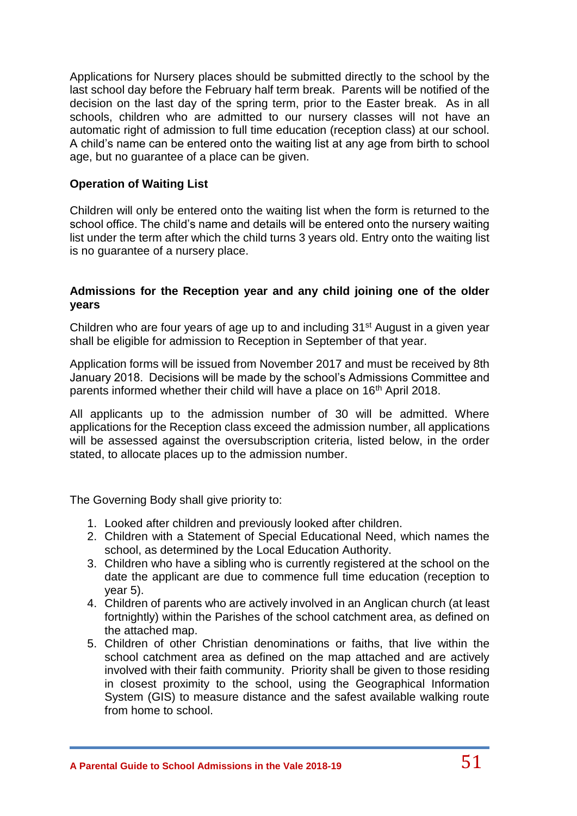Applications for Nursery places should be submitted directly to the school by the last school day before the February half term break. Parents will be notified of the decision on the last day of the spring term, prior to the Easter break. As in all schools, children who are admitted to our nursery classes will not have an automatic right of admission to full time education (reception class) at our school. A child's name can be entered onto the waiting list at any age from birth to school age, but no guarantee of a place can be given.

### **Operation of Waiting List**

Children will only be entered onto the waiting list when the form is returned to the school office. The child's name and details will be entered onto the nursery waiting list under the term after which the child turns 3 years old. Entry onto the waiting list is no guarantee of a nursery place.

# **Admissions for the Reception year and any child joining one of the older years**

Children who are four years of age up to and including 31<sup>st</sup> August in a given year shall be eligible for admission to Reception in September of that year.

Application forms will be issued from November 2017 and must be received by 8th January 2018. Decisions will be made by the school's Admissions Committee and parents informed whether their child will have a place on 16<sup>th</sup> April 2018.

All applicants up to the admission number of 30 will be admitted. Where applications for the Reception class exceed the admission number, all applications will be assessed against the oversubscription criteria, listed below, in the order stated, to allocate places up to the admission number.

The Governing Body shall give priority to:

- 1. Looked after children and previously looked after children.
- 2. Children with a Statement of Special Educational Need, which names the school, as determined by the Local Education Authority.
- 3. Children who have a sibling who is currently registered at the school on the date the applicant are due to commence full time education (reception to year 5).
- 4. Children of parents who are actively involved in an Anglican church (at least fortnightly) within the Parishes of the school catchment area, as defined on the attached map.
- 5. Children of other Christian denominations or faiths, that live within the school catchment area as defined on the map attached and are actively involved with their faith community. Priority shall be given to those residing in closest proximity to the school, using the Geographical Information System (GIS) to measure distance and the safest available walking route from home to school.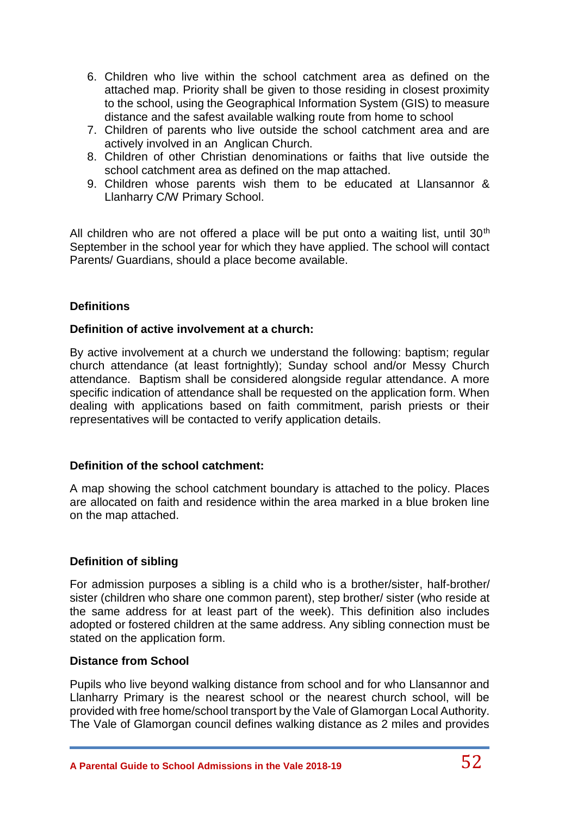- 6. Children who live within the school catchment area as defined on the attached map. Priority shall be given to those residing in closest proximity to the school, using the Geographical Information System (GIS) to measure distance and the safest available walking route from home to school
- 7. Children of parents who live outside the school catchment area and are actively involved in an Anglican Church.
- 8. Children of other Christian denominations or faiths that live outside the school catchment area as defined on the map attached.
- 9. Children whose parents wish them to be educated at Llansannor & Llanharry C/W Primary School.

All children who are not offered a place will be put onto a waiting list, until  $30<sup>th</sup>$ September in the school year for which they have applied. The school will contact Parents/ Guardians, should a place become available.

# **Definitions**

### **Definition of active involvement at a church:**

By active involvement at a church we understand the following: baptism; regular church attendance (at least fortnightly); Sunday school and/or Messy Church attendance. Baptism shall be considered alongside regular attendance. A more specific indication of attendance shall be requested on the application form. When dealing with applications based on faith commitment, parish priests or their representatives will be contacted to verify application details.

### **Definition of the school catchment:**

A map showing the school catchment boundary is attached to the policy. Places are allocated on faith and residence within the area marked in a blue broken line on the map attached.

### **Definition of sibling**

For admission purposes a sibling is a child who is a brother/sister, half-brother/ sister (children who share one common parent), step brother/ sister (who reside at the same address for at least part of the week). This definition also includes adopted or fostered children at the same address. Any sibling connection must be stated on the application form.

### **Distance from School**

Pupils who live beyond walking distance from school and for who Llansannor and Llanharry Primary is the nearest school or the nearest church school, will be provided with free home/school transport by the Vale of Glamorgan Local Authority. The Vale of Glamorgan council defines walking distance as 2 miles and provides

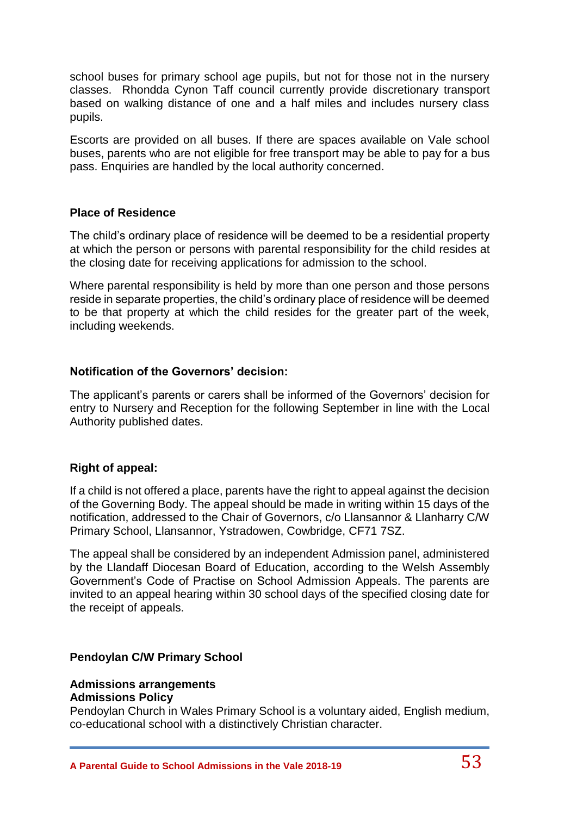school buses for primary school age pupils, but not for those not in the nursery classes. Rhondda Cynon Taff council currently provide discretionary transport based on walking distance of one and a half miles and includes nursery class pupils.

Escorts are provided on all buses. If there are spaces available on Vale school buses, parents who are not eligible for free transport may be able to pay for a bus pass. Enquiries are handled by the local authority concerned.

#### **Place of Residence**

The child's ordinary place of residence will be deemed to be a residential property at which the person or persons with parental responsibility for the child resides at the closing date for receiving applications for admission to the school.

Where parental responsibility is held by more than one person and those persons reside in separate properties, the child's ordinary place of residence will be deemed to be that property at which the child resides for the greater part of the week, including weekends.

#### **Notification of the Governors' decision:**

The applicant's parents or carers shall be informed of the Governors' decision for entry to Nursery and Reception for the following September in line with the Local Authority published dates.

#### **Right of appeal:**

If a child is not offered a place, parents have the right to appeal against the decision of the Governing Body. The appeal should be made in writing within 15 days of the notification, addressed to the Chair of Governors, c/o Llansannor & Llanharry C/W Primary School, Llansannor, Ystradowen, Cowbridge, CF71 7SZ.

The appeal shall be considered by an independent Admission panel, administered by the Llandaff Diocesan Board of Education, according to the Welsh Assembly Government's Code of Practise on School Admission Appeals. The parents are invited to an appeal hearing within 30 school days of the specified closing date for the receipt of appeals.

#### **Pendoylan C/W Primary School**

#### **Admissions arrangements Admissions Policy**

Pendoylan Church in Wales Primary School is a voluntary aided, English medium, co-educational school with a distinctively Christian character.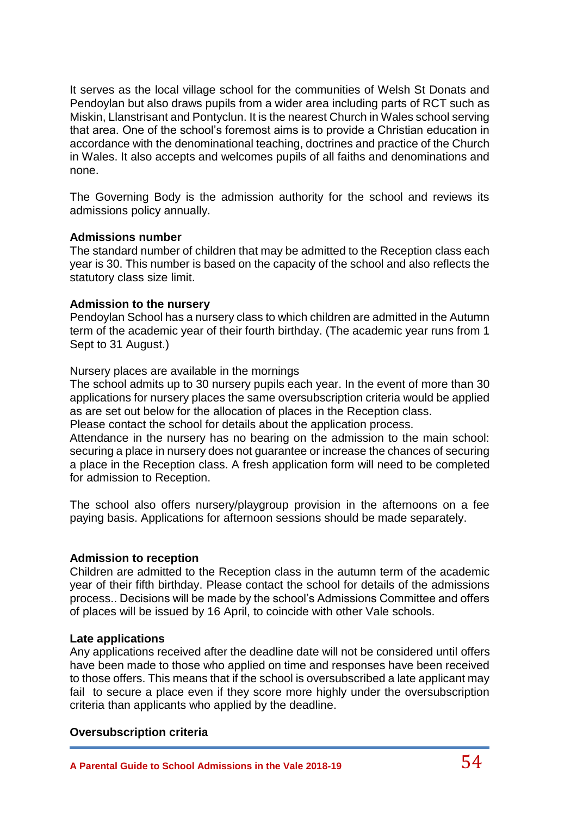It serves as the local village school for the communities of Welsh St Donats and Pendoylan but also draws pupils from a wider area including parts of RCT such as Miskin, Llanstrisant and Pontyclun. It is the nearest Church in Wales school serving that area. One of the school's foremost aims is to provide a Christian education in accordance with the denominational teaching, doctrines and practice of the Church in Wales. It also accepts and welcomes pupils of all faiths and denominations and none.

The Governing Body is the admission authority for the school and reviews its admissions policy annually.

#### **Admissions number**

The standard number of children that may be admitted to the Reception class each year is 30. This number is based on the capacity of the school and also reflects the statutory class size limit.

#### **Admission to the nursery**

Pendoylan School has a nursery class to which children are admitted in the Autumn term of the academic year of their fourth birthday. (The academic year runs from 1 Sept to 31 August.)

Nursery places are available in the mornings

The school admits up to 30 nursery pupils each year. In the event of more than 30 applications for nursery places the same oversubscription criteria would be applied as are set out below for the allocation of places in the Reception class.

Please contact the school for details about the application process.

Attendance in the nursery has no bearing on the admission to the main school: securing a place in nursery does not guarantee or increase the chances of securing a place in the Reception class. A fresh application form will need to be completed for admission to Reception.

The school also offers nursery/playgroup provision in the afternoons on a fee paying basis. Applications for afternoon sessions should be made separately.

### **Admission to reception**

Children are admitted to the Reception class in the autumn term of the academic year of their fifth birthday. Please contact the school for details of the admissions process.. Decisions will be made by the school's Admissions Committee and offers of places will be issued by 16 April, to coincide with other Vale schools.

### **Late applications**

Any applications received after the deadline date will not be considered until offers have been made to those who applied on time and responses have been received to those offers. This means that if the school is oversubscribed a late applicant may fail to secure a place even if they score more highly under the oversubscription criteria than applicants who applied by the deadline.

### **Oversubscription criteria**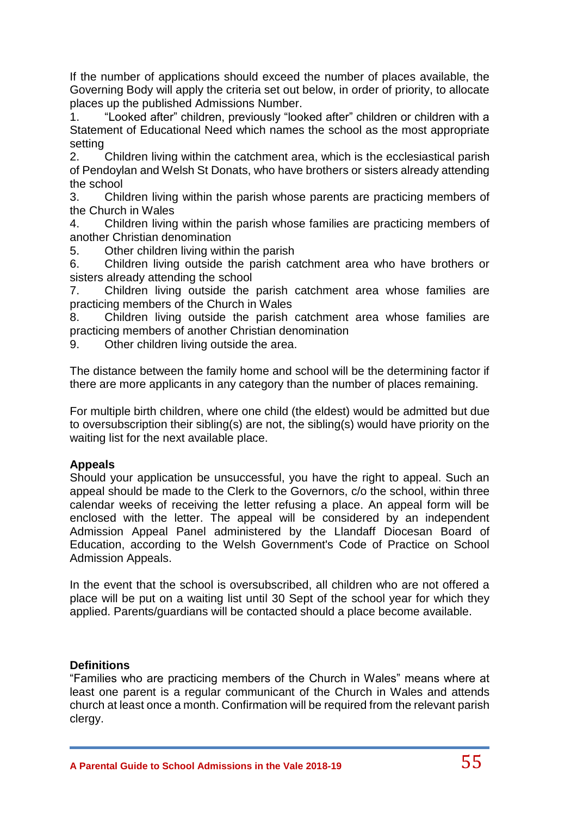If the number of applications should exceed the number of places available, the Governing Body will apply the criteria set out below, in order of priority, to allocate places up the published Admissions Number.

1. "Looked after" children, previously "looked after" children or children with a Statement of Educational Need which names the school as the most appropriate setting

2. Children living within the catchment area, which is the ecclesiastical parish of Pendoylan and Welsh St Donats, who have brothers or sisters already attending the school

3. Children living within the parish whose parents are practicing members of the Church in Wales

4. Children living within the parish whose families are practicing members of another Christian denomination

5. Other children living within the parish

6. Children living outside the parish catchment area who have brothers or sisters already attending the school

7. Children living outside the parish catchment area whose families are practicing members of the Church in Wales

8. Children living outside the parish catchment area whose families are practicing members of another Christian denomination

9. Other children living outside the area.

The distance between the family home and school will be the determining factor if there are more applicants in any category than the number of places remaining.

For multiple birth children, where one child (the eldest) would be admitted but due to oversubscription their sibling(s) are not, the sibling(s) would have priority on the waiting list for the next available place.

### **Appeals**

Should your application be unsuccessful, you have the right to appeal. Such an appeal should be made to the Clerk to the Governors, c/o the school, within three calendar weeks of receiving the letter refusing a place. An appeal form will be enclosed with the letter. The appeal will be considered by an independent Admission Appeal Panel administered by the Llandaff Diocesan Board of Education, according to the Welsh Government's Code of Practice on School Admission Appeals.

In the event that the school is oversubscribed, all children who are not offered a place will be put on a waiting list until 30 Sept of the school year for which they applied. Parents/guardians will be contacted should a place become available.

### **Definitions**

"Families who are practicing members of the Church in Wales" means where at least one parent is a regular communicant of the Church in Wales and attends church at least once a month. Confirmation will be required from the relevant parish clergy.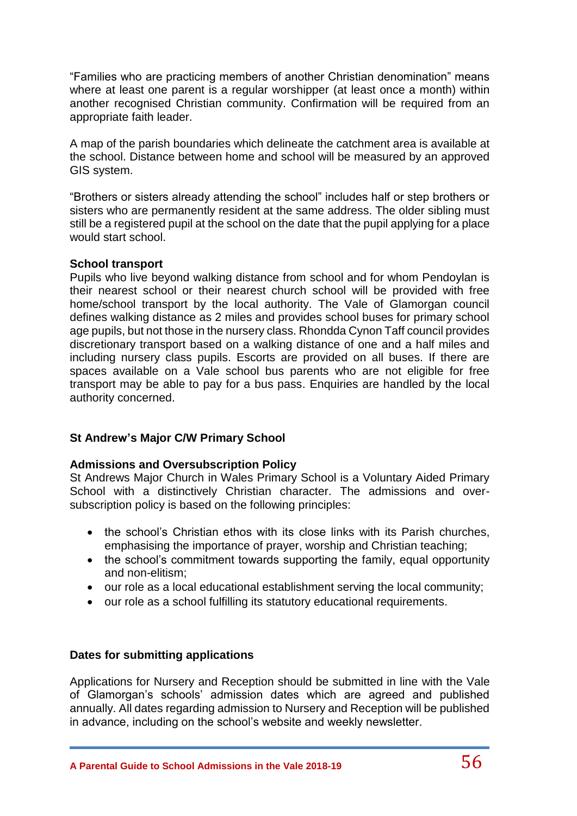"Families who are practicing members of another Christian denomination" means where at least one parent is a regular worshipper (at least once a month) within another recognised Christian community. Confirmation will be required from an appropriate faith leader.

A map of the parish boundaries which delineate the catchment area is available at the school. Distance between home and school will be measured by an approved GIS system.

"Brothers or sisters already attending the school" includes half or step brothers or sisters who are permanently resident at the same address. The older sibling must still be a registered pupil at the school on the date that the pupil applying for a place would start school.

#### **School transport**

Pupils who live beyond walking distance from school and for whom Pendoylan is their nearest school or their nearest church school will be provided with free home/school transport by the local authority. The Vale of Glamorgan council defines walking distance as 2 miles and provides school buses for primary school age pupils, but not those in the nursery class. Rhondda Cynon Taff council provides discretionary transport based on a walking distance of one and a half miles and including nursery class pupils. Escorts are provided on all buses. If there are spaces available on a Vale school bus parents who are not eligible for free transport may be able to pay for a bus pass. Enquiries are handled by the local authority concerned.

### **St Andrew's Major C/W Primary School**

#### **Admissions and Oversubscription Policy**

St Andrews Major Church in Wales Primary School is a Voluntary Aided Primary School with a distinctively Christian character. The admissions and oversubscription policy is based on the following principles:

- the school's Christian ethos with its close links with its Parish churches, emphasising the importance of prayer, worship and Christian teaching;
- the school's commitment towards supporting the family, equal opportunity and non-elitism;
- our role as a local educational establishment serving the local community;
- our role as a school fulfilling its statutory educational requirements.

#### **Dates for submitting applications**

Applications for Nursery and Reception should be submitted in line with the Vale of Glamorgan's schools' admission dates which are agreed and published annually. All dates regarding admission to Nursery and Reception will be published in advance, including on the school's website and weekly newsletter.

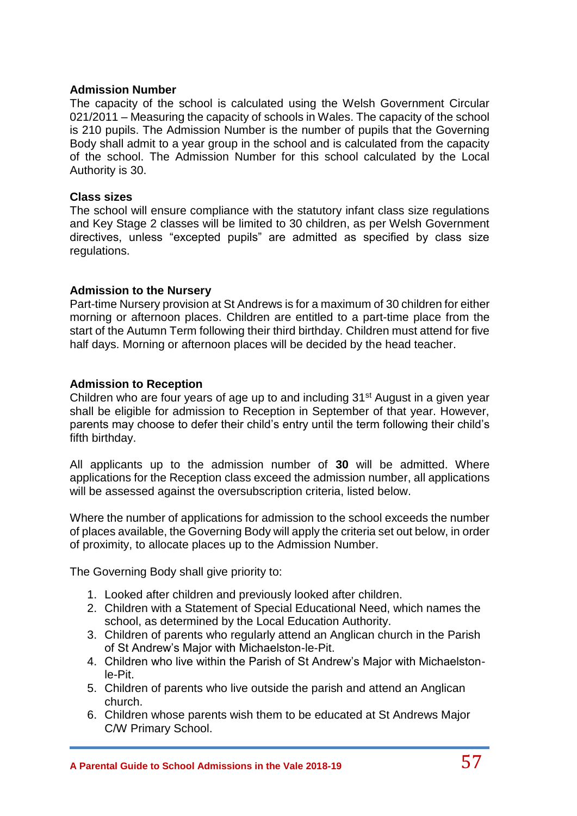#### **Admission Number**

The capacity of the school is calculated using the Welsh Government Circular 021/2011 – Measuring the capacity of schools in Wales. The capacity of the school is 210 pupils. The Admission Number is the number of pupils that the Governing Body shall admit to a year group in the school and is calculated from the capacity of the school. The Admission Number for this school calculated by the Local Authority is 30.

#### **Class sizes**

The school will ensure compliance with the statutory infant class size regulations and Key Stage 2 classes will be limited to 30 children, as per Welsh Government directives, unless "excepted pupils" are admitted as specified by class size regulations.

#### **Admission to the Nursery**

Part-time Nursery provision at St Andrews is for a maximum of 30 children for either morning or afternoon places. Children are entitled to a part-time place from the start of the Autumn Term following their third birthday. Children must attend for five half days. Morning or afternoon places will be decided by the head teacher.

#### **Admission to Reception**

Children who are four years of age up to and including 31st August in a given year shall be eligible for admission to Reception in September of that year. However, parents may choose to defer their child's entry until the term following their child's fifth birthday.

All applicants up to the admission number of **30** will be admitted. Where applications for the Reception class exceed the admission number, all applications will be assessed against the oversubscription criteria, listed below.

Where the number of applications for admission to the school exceeds the number of places available, the Governing Body will apply the criteria set out below, in order of proximity, to allocate places up to the Admission Number.

The Governing Body shall give priority to:

- 1. Looked after children and previously looked after children.
- 2. Children with a Statement of Special Educational Need, which names the school, as determined by the Local Education Authority.
- 3. Children of parents who regularly attend an Anglican church in the Parish of St Andrew's Major with Michaelston-le-Pit.
- 4. Children who live within the Parish of St Andrew's Major with Michaelstonle-Pit.
- 5. Children of parents who live outside the parish and attend an Anglican church.
- 6. Children whose parents wish them to be educated at St Andrews Major C/W Primary School.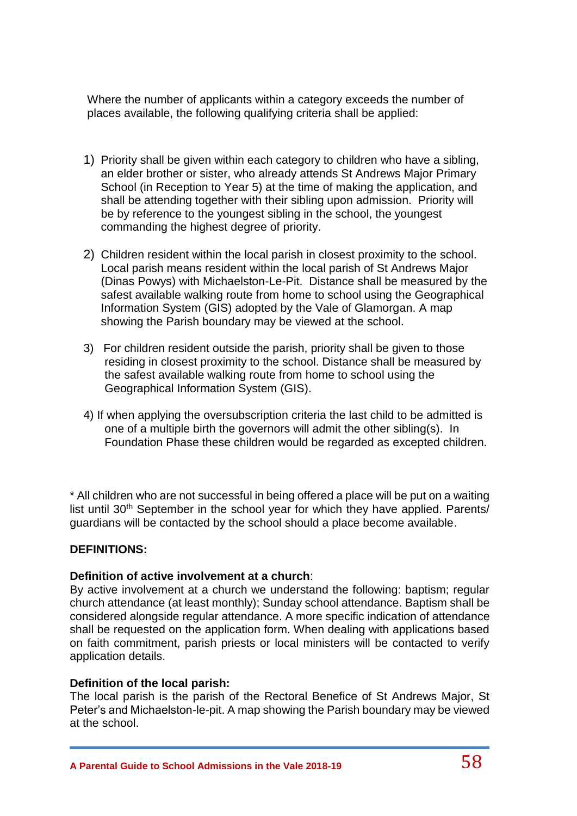Where the number of applicants within a category exceeds the number of places available, the following qualifying criteria shall be applied:

- 1) Priority shall be given within each category to children who have a sibling, an elder brother or sister, who already attends St Andrews Major Primary School (in Reception to Year 5) at the time of making the application, and shall be attending together with their sibling upon admission. Priority will be by reference to the youngest sibling in the school, the youngest commanding the highest degree of priority.
- 2) Children resident within the local parish in closest proximity to the school. Local parish means resident within the local parish of St Andrews Major (Dinas Powys) with Michaelston-Le-Pit. Distance shall be measured by the safest available walking route from home to school using the Geographical Information System (GIS) adopted by the Vale of Glamorgan. A map showing the Parish boundary may be viewed at the school.
- 3) For children resident outside the parish, priority shall be given to those residing in closest proximity to the school. Distance shall be measured by the safest available walking route from home to school using the Geographical Information System (GIS).
- 4) If when applying the oversubscription criteria the last child to be admitted is one of a multiple birth the governors will admit the other sibling(s). In Foundation Phase these children would be regarded as excepted children.

\* All children who are not successful in being offered a place will be put on a waiting list until 30<sup>th</sup> September in the school year for which they have applied. Parents/ guardians will be contacted by the school should a place become available.

# **DEFINITIONS:**

### **Definition of active involvement at a church**:

By active involvement at a church we understand the following: baptism; regular church attendance (at least monthly); Sunday school attendance. Baptism shall be considered alongside regular attendance. A more specific indication of attendance shall be requested on the application form. When dealing with applications based on faith commitment, parish priests or local ministers will be contacted to verify application details.

### **Definition of the local parish:**

The local parish is the parish of the Rectoral Benefice of St Andrews Major, St Peter's and Michaelston-le-pit. A map showing the Parish boundary may be viewed at the school.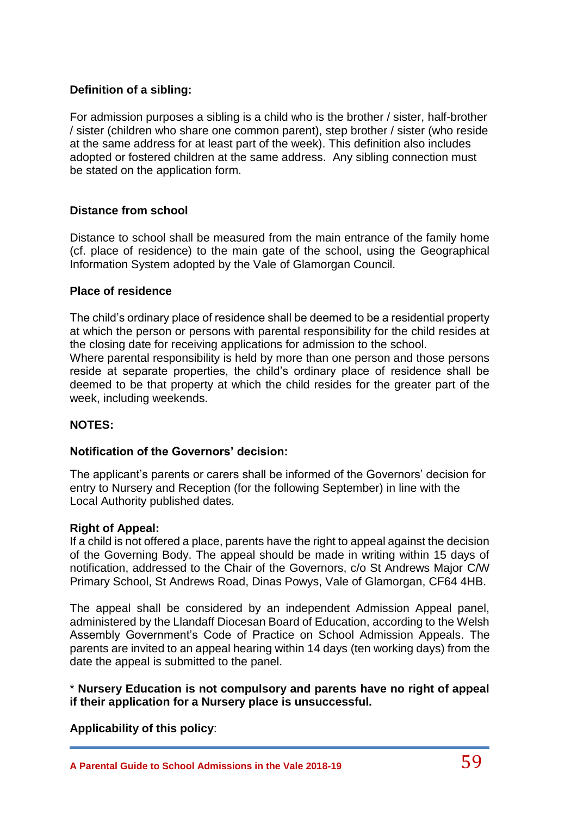# **Definition of a sibling:**

For admission purposes a sibling is a child who is the brother / sister, half-brother / sister (children who share one common parent), step brother / sister (who reside at the same address for at least part of the week). This definition also includes adopted or fostered children at the same address. Any sibling connection must be stated on the application form.

# **Distance from school**

Distance to school shall be measured from the main entrance of the family home (cf. place of residence) to the main gate of the school, using the Geographical Information System adopted by the Vale of Glamorgan Council.

#### **Place of residence**

week, including weekends.

The child's ordinary place of residence shall be deemed to be a residential property at which the person or persons with parental responsibility for the child resides at the closing date for receiving applications for admission to the school. Where parental responsibility is held by more than one person and those persons reside at separate properties, the child's ordinary place of residence shall be deemed to be that property at which the child resides for the greater part of the

### **NOTES:**

### **Notification of the Governors' decision:**

The applicant's parents or carers shall be informed of the Governors' decision for entry to Nursery and Reception (for the following September) in line with the Local Authority published dates.

#### **Right of Appeal:**

If a child is not offered a place, parents have the right to appeal against the decision of the Governing Body. The appeal should be made in writing within 15 days of notification, addressed to the Chair of the Governors, c/o St Andrews Major C/W Primary School, St Andrews Road, Dinas Powys, Vale of Glamorgan, CF64 4HB.

The appeal shall be considered by an independent Admission Appeal panel, administered by the Llandaff Diocesan Board of Education, according to the Welsh Assembly Government's Code of Practice on School Admission Appeals. The parents are invited to an appeal hearing within 14 days (ten working days) from the date the appeal is submitted to the panel.

\* **Nursery Education is not compulsory and parents have no right of appeal if their application for a Nursery place is unsuccessful.**

**Applicability of this policy**: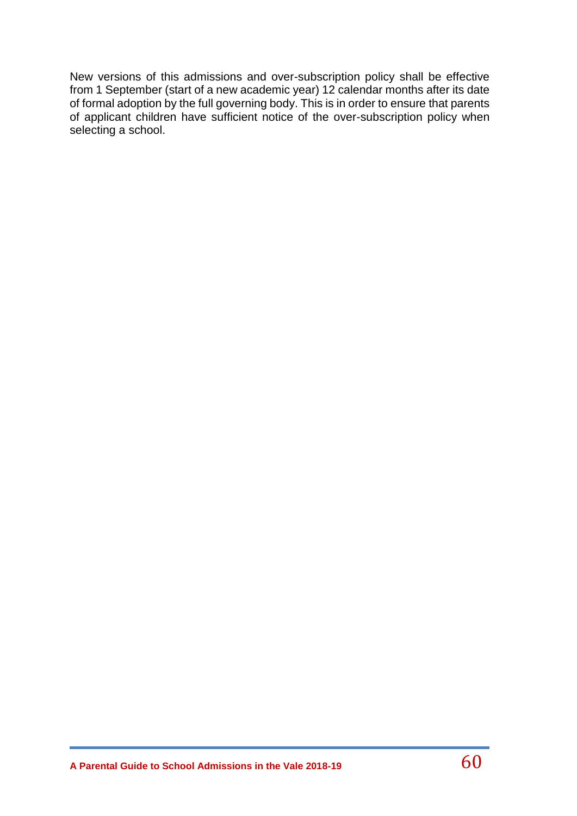New versions of this admissions and over-subscription policy shall be effective from 1 September (start of a new academic year) 12 calendar months after its date of formal adoption by the full governing body. This is in order to ensure that parents of applicant children have sufficient notice of the over-subscription policy when selecting a school.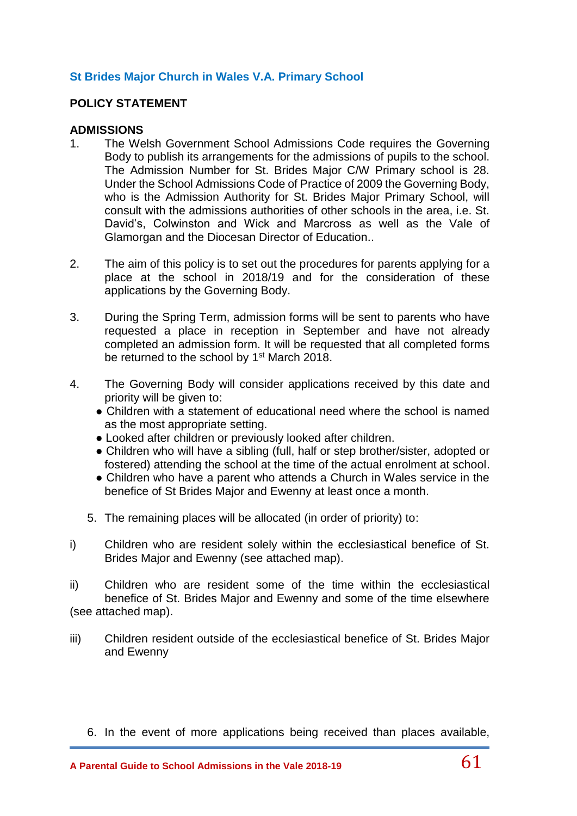# **St Brides Major Church in Wales V.A. Primary School**

#### **POLICY STATEMENT**

#### **ADMISSIONS**

- 1. The Welsh Government School Admissions Code requires the Governing Body to publish its arrangements for the admissions of pupils to the school. The Admission Number for St. Brides Major C/W Primary school is 28. Under the School Admissions Code of Practice of 2009 the Governing Body, who is the Admission Authority for St. Brides Major Primary School, will consult with the admissions authorities of other schools in the area, i.e. St. David's, Colwinston and Wick and Marcross as well as the Vale of Glamorgan and the Diocesan Director of Education..
- 2. The aim of this policy is to set out the procedures for parents applying for a place at the school in 2018/19 and for the consideration of these applications by the Governing Body.
- 3. During the Spring Term, admission forms will be sent to parents who have requested a place in reception in September and have not already completed an admission form. It will be requested that all completed forms be returned to the school by 1<sup>st</sup> March 2018.
- 4. The Governing Body will consider applications received by this date and priority will be given to:
	- Children with a statement of educational need where the school is named as the most appropriate setting.
	- Looked after children or previously looked after children.
	- Children who will have a sibling (full, half or step brother/sister, adopted or fostered) attending the school at the time of the actual enrolment at school.
	- Children who have a parent who attends a Church in Wales service in the benefice of St Brides Major and Ewenny at least once a month.
	- 5. The remaining places will be allocated (in order of priority) to:
- i) Children who are resident solely within the ecclesiastical benefice of St. Brides Major and Ewenny (see attached map).
- ii) Children who are resident some of the time within the ecclesiastical benefice of St. Brides Major and Ewenny and some of the time elsewhere (see attached map).
- iii) Children resident outside of the ecclesiastical benefice of St. Brides Major and Ewenny
	- 6. In the event of more applications being received than places available,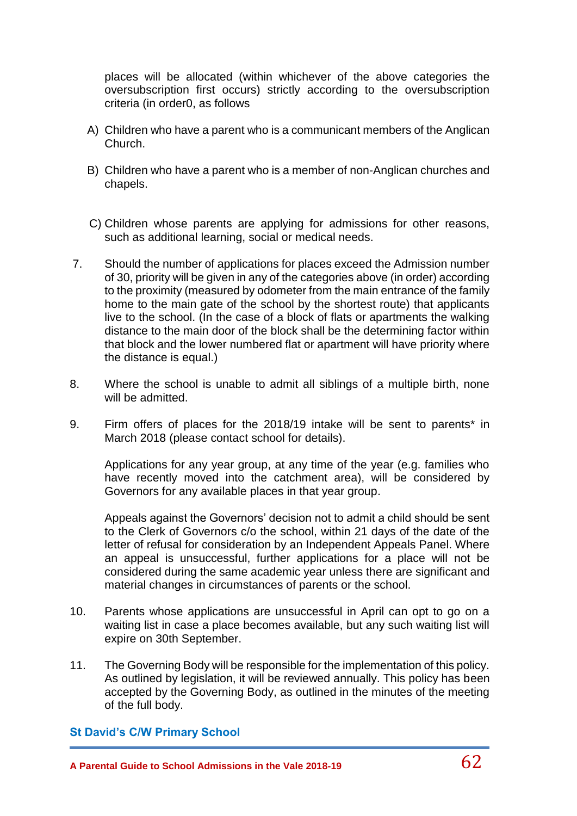places will be allocated (within whichever of the above categories the oversubscription first occurs) strictly according to the oversubscription criteria (in order0, as follows

- A) Children who have a parent who is a communicant members of the Anglican Church.
- B) Children who have a parent who is a member of non-Anglican churches and chapels.
- C) Children whose parents are applying for admissions for other reasons, such as additional learning, social or medical needs.
- 7. Should the number of applications for places exceed the Admission number of 30, priority will be given in any of the categories above (in order) according to the proximity (measured by odometer from the main entrance of the family home to the main gate of the school by the shortest route) that applicants live to the school. (In the case of a block of flats or apartments the walking distance to the main door of the block shall be the determining factor within that block and the lower numbered flat or apartment will have priority where the distance is equal.)
- 8. Where the school is unable to admit all siblings of a multiple birth, none will be admitted.
- 9. Firm offers of places for the 2018/19 intake will be sent to parents\* in March 2018 (please contact school for details).

Applications for any year group, at any time of the year (e.g. families who have recently moved into the catchment area), will be considered by Governors for any available places in that year group.

Appeals against the Governors' decision not to admit a child should be sent to the Clerk of Governors c/o the school, within 21 days of the date of the letter of refusal for consideration by an Independent Appeals Panel. Where an appeal is unsuccessful, further applications for a place will not be considered during the same academic year unless there are significant and material changes in circumstances of parents or the school.

- 10. Parents whose applications are unsuccessful in April can opt to go on a waiting list in case a place becomes available, but any such waiting list will expire on 30th September.
- 11. The Governing Body will be responsible for the implementation of this policy. As outlined by legislation, it will be reviewed annually. This policy has been accepted by the Governing Body, as outlined in the minutes of the meeting of the full body.

### **St David's C/W Primary School**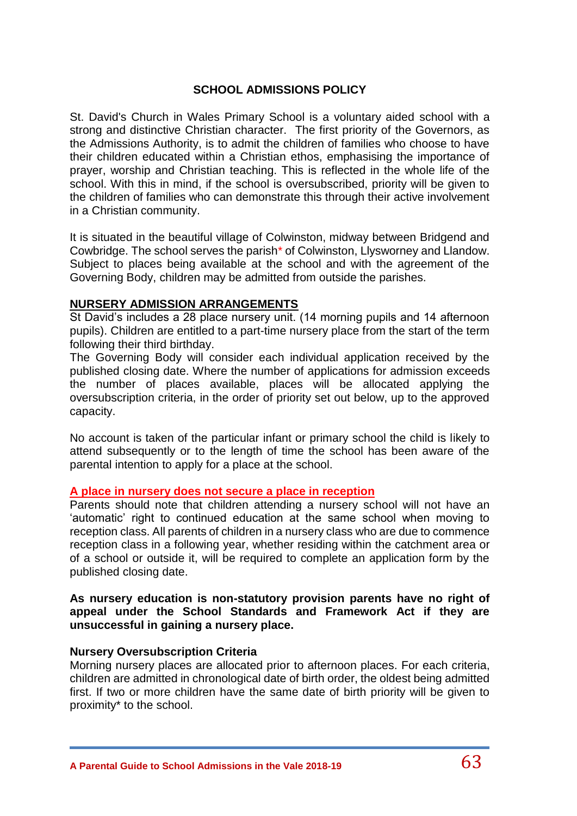# **SCHOOL ADMISSIONS POLICY**

St. David's Church in Wales Primary School is a voluntary aided school with a strong and distinctive Christian character. The first priority of the Governors, as the Admissions Authority, is to admit the children of families who choose to have their children educated within a Christian ethos, emphasising the importance of prayer, worship and Christian teaching. This is reflected in the whole life of the school. With this in mind, if the school is oversubscribed, priority will be given to the children of families who can demonstrate this through their active involvement in a Christian community.

It is situated in the beautiful village of Colwinston, midway between Bridgend and Cowbridge. The school serves the parish\* of Colwinston, Llysworney and Llandow. Subject to places being available at the school and with the agreement of the Governing Body, children may be admitted from outside the parishes.

### **NURSERY ADMISSION ARRANGEMENTS**

St David's includes a 28 place nursery unit. (14 morning pupils and 14 afternoon pupils). Children are entitled to a part-time nursery place from the start of the term following their third birthday.

The Governing Body will consider each individual application received by the published closing date. Where the number of applications for admission exceeds the number of places available, places will be allocated applying the oversubscription criteria, in the order of priority set out below, up to the approved capacity.

No account is taken of the particular infant or primary school the child is likely to attend subsequently or to the length of time the school has been aware of the parental intention to apply for a place at the school.

### **A place in nursery does not secure a place in reception**

Parents should note that children attending a nursery school will not have an 'automatic' right to continued education at the same school when moving to reception class. All parents of children in a nursery class who are due to commence reception class in a following year, whether residing within the catchment area or of a school or outside it, will be required to complete an application form by the published closing date.

#### **As nursery education is non-statutory provision parents have no right of appeal under the School Standards and Framework Act if they are unsuccessful in gaining a nursery place.**

### **Nursery Oversubscription Criteria**

Morning nursery places are allocated prior to afternoon places. For each criteria, children are admitted in chronological date of birth order, the oldest being admitted first. If two or more children have the same date of birth priority will be given to proximity\* to the school.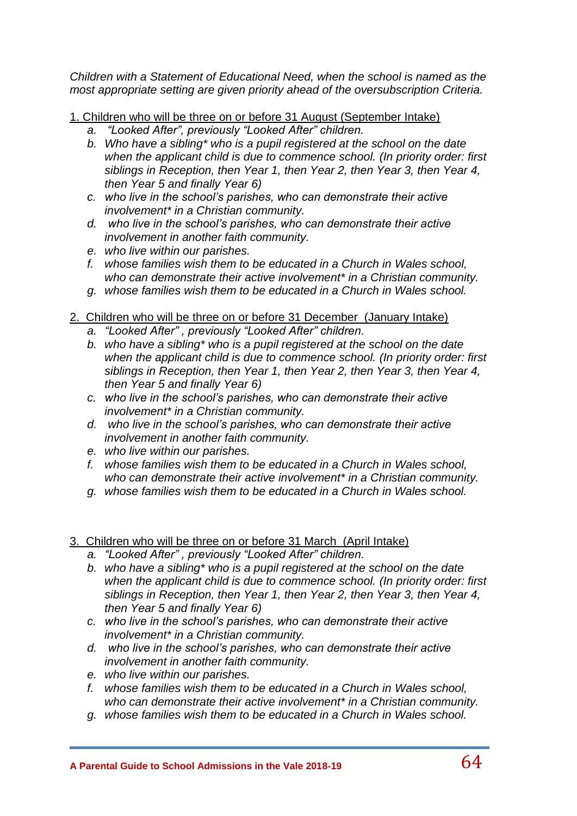*Children with a Statement of Educational Need, when the school is named as the most appropriate setting are given priority ahead of the oversubscription Criteria.*

1. Children who will be three on or before 31 August (September Intake)

- *a. "Looked After", previously "Looked After" children.*
- *b. Who have a sibling\* who is a pupil registered at the school on the date when the applicant child is due to commence school. (In priority order: first siblings in Reception, then Year 1, then Year 2, then Year 3, then Year 4, then Year 5 and finally Year 6)*
- *c. who live in the school's parishes, who can demonstrate their active involvement\* in a Christian community.*
- *d. who live in the school's parishes, who can demonstrate their active involvement in another faith community.*
- *e. who live within our parishes.*
- *f. whose families wish them to be educated in a Church in Wales school, who can demonstrate their active involvement\* in a Christian community.*
- *g. whose families wish them to be educated in a Church in Wales school.*
- 2. Children who will be three on or before 31 December (January Intake)
	- *a. "Looked After" , previously "Looked After" children.*
	- *b. who have a sibling\* who is a pupil registered at the school on the date when the applicant child is due to commence school. (In priority order: first siblings in Reception, then Year 1, then Year 2, then Year 3, then Year 4, then Year 5 and finally Year 6)*
	- *c. who live in the school's parishes, who can demonstrate their active involvement\* in a Christian community.*
	- *d. who live in the school's parishes, who can demonstrate their active involvement in another faith community.*
	- *e. who live within our parishes.*
	- *f. whose families wish them to be educated in a Church in Wales school, who can demonstrate their active involvement\* in a Christian community.*
	- *g. whose families wish them to be educated in a Church in Wales school.*

# 3. Children who will be three on or before 31 March (April Intake)

- *a. "Looked After" , previously "Looked After" children.*
- *b. who have a sibling\* who is a pupil registered at the school on the date when the applicant child is due to commence school. (In priority order: first siblings in Reception, then Year 1, then Year 2, then Year 3, then Year 4, then Year 5 and finally Year 6)*
- *c. who live in the school's parishes, who can demonstrate their active involvement\* in a Christian community.*
- *d. who live in the school's parishes, who can demonstrate their active involvement in another faith community.*
- *e. who live within our parishes.*
- *f. whose families wish them to be educated in a Church in Wales school, who can demonstrate their active involvement\* in a Christian community.*
- *g. whose families wish them to be educated in a Church in Wales school.*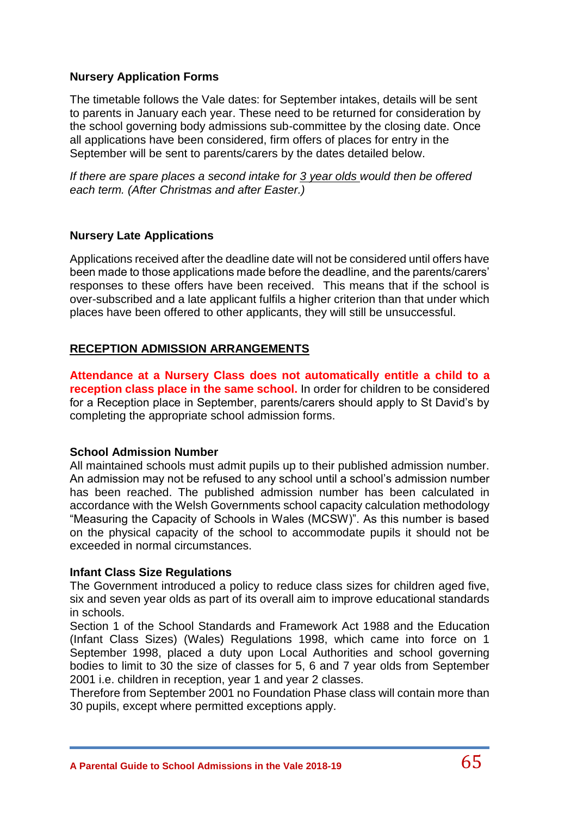# **Nursery Application Forms**

The timetable follows the Vale dates: for September intakes, details will be sent to parents in January each year. These need to be returned for consideration by the school governing body admissions sub-committee by the closing date. Once all applications have been considered, firm offers of places for entry in the September will be sent to parents/carers by the dates detailed below.

*If there are spare places a second intake for 3 year olds would then be offered each term. (After Christmas and after Easter.)*

# **Nursery Late Applications**

Applications received after the deadline date will not be considered until offers have been made to those applications made before the deadline, and the parents/carers' responses to these offers have been received. This means that if the school is over-subscribed and a late applicant fulfils a higher criterion than that under which places have been offered to other applicants, they will still be unsuccessful.

# **RECEPTION ADMISSION ARRANGEMENTS**

**Attendance at a Nursery Class does not automatically entitle a child to a reception class place in the same school.** In order for children to be considered for a Reception place in September, parents/carers should apply to St David's by completing the appropriate school admission forms.

### **School Admission Number**

All maintained schools must admit pupils up to their published admission number. An admission may not be refused to any school until a school's admission number has been reached. The published admission number has been calculated in accordance with the Welsh Governments school capacity calculation methodology "Measuring the Capacity of Schools in Wales (MCSW)". As this number is based on the physical capacity of the school to accommodate pupils it should not be exceeded in normal circumstances.

### **Infant Class Size Regulations**

The Government introduced a policy to reduce class sizes for children aged five, six and seven year olds as part of its overall aim to improve educational standards in schools.

Section 1 of the School Standards and Framework Act 1988 and the Education (Infant Class Sizes) (Wales) Regulations 1998, which came into force on 1 September 1998, placed a duty upon Local Authorities and school governing bodies to limit to 30 the size of classes for 5, 6 and 7 year olds from September 2001 i.e. children in reception, year 1 and year 2 classes.

Therefore from September 2001 no Foundation Phase class will contain more than 30 pupils, except where permitted exceptions apply.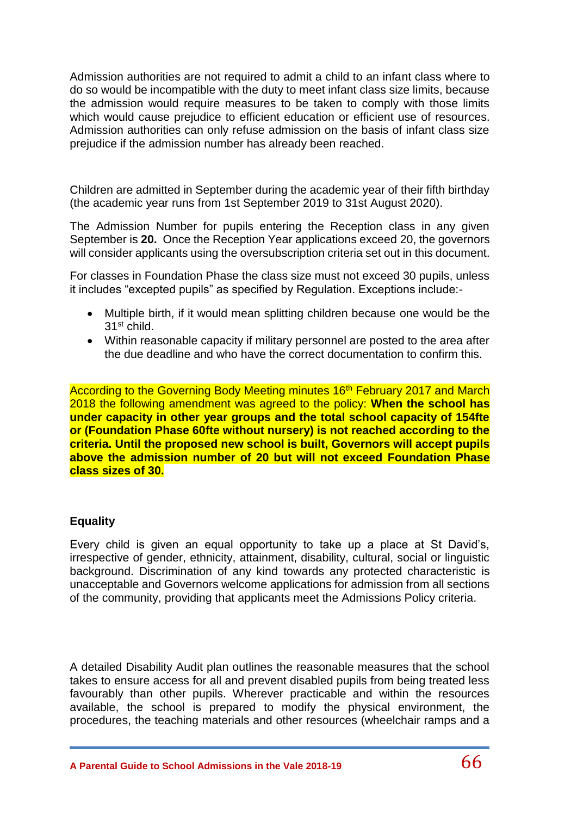Admission authorities are not required to admit a child to an infant class where to do so would be incompatible with the duty to meet infant class size limits, because the admission would require measures to be taken to comply with those limits which would cause prejudice to efficient education or efficient use of resources. Admission authorities can only refuse admission on the basis of infant class size prejudice if the admission number has already been reached.

Children are admitted in September during the academic year of their fifth birthday (the academic year runs from 1st September 2019 to 31st August 2020).

The Admission Number for pupils entering the Reception class in any given September is **20.** Once the Reception Year applications exceed 20, the governors will consider applicants using the oversubscription criteria set out in this document.

For classes in Foundation Phase the class size must not exceed 30 pupils, unless it includes "excepted pupils" as specified by Regulation. Exceptions include:-

- Multiple birth, if it would mean splitting children because one would be the 31st child.
- Within reasonable capacity if military personnel are posted to the area after the due deadline and who have the correct documentation to confirm this.

According to the Governing Body Meeting minutes 16<sup>th</sup> February 2017 and March 2018 the following amendment was agreed to the policy: **When the school has under capacity in other year groups and the total school capacity of 154fte or (Foundation Phase 60fte without nursery) is not reached according to the criteria. Until the proposed new school is built, Governors will accept pupils above the admission number of 20 but will not exceed Foundation Phase class sizes of 30.** 

### **Equality**

Every child is given an equal opportunity to take up a place at St David's, irrespective of gender, ethnicity, attainment, disability, cultural, social or linguistic background. Discrimination of any kind towards any protected characteristic is unacceptable and Governors welcome applications for admission from all sections of the community, providing that applicants meet the Admissions Policy criteria.

A detailed Disability Audit plan outlines the reasonable measures that the school takes to ensure access for all and prevent disabled pupils from being treated less favourably than other pupils. Wherever practicable and within the resources available, the school is prepared to modify the physical environment, the procedures, the teaching materials and other resources (wheelchair ramps and a

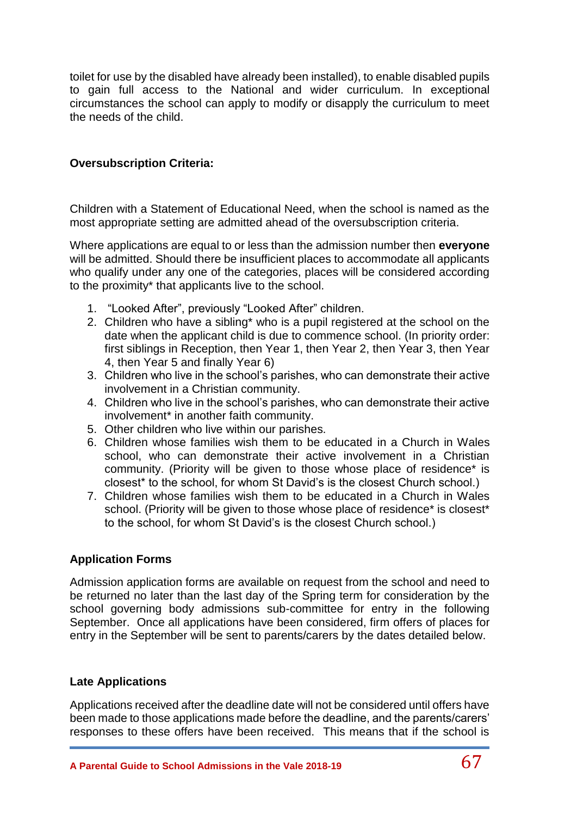toilet for use by the disabled have already been installed), to enable disabled pupils to gain full access to the National and wider curriculum. In exceptional circumstances the school can apply to modify or disapply the curriculum to meet the needs of the child.

### **Oversubscription Criteria:**

Children with a Statement of Educational Need, when the school is named as the most appropriate setting are admitted ahead of the oversubscription criteria.

Where applications are equal to or less than the admission number then **everyone**  will be admitted. Should there be insufficient places to accommodate all applicants who qualify under any one of the categories, places will be considered according to the proximity\* that applicants live to the school.

- 1. "Looked After", previously "Looked After" children.
- 2. Children who have a sibling\* who is a pupil registered at the school on the date when the applicant child is due to commence school. (In priority order: first siblings in Reception, then Year 1, then Year 2, then Year 3, then Year 4, then Year 5 and finally Year 6)
- 3. Children who live in the school's parishes, who can demonstrate their active involvement in a Christian community.
- 4. Children who live in the school's parishes, who can demonstrate their active involvement\* in another faith community.
- 5. Other children who live within our parishes.
- 6. Children whose families wish them to be educated in a Church in Wales school, who can demonstrate their active involvement in a Christian community. (Priority will be given to those whose place of residence\* is closest\* to the school, for whom St David's is the closest Church school.)
- 7. Children whose families wish them to be educated in a Church in Wales school. (Priority will be given to those whose place of residence\* is closest\* to the school, for whom St David's is the closest Church school.)

### **Application Forms**

Admission application forms are available on request from the school and need to be returned no later than the last day of the Spring term for consideration by the school governing body admissions sub-committee for entry in the following September. Once all applications have been considered, firm offers of places for entry in the September will be sent to parents/carers by the dates detailed below.

### **Late Applications**

Applications received after the deadline date will not be considered until offers have been made to those applications made before the deadline, and the parents/carers' responses to these offers have been received. This means that if the school is

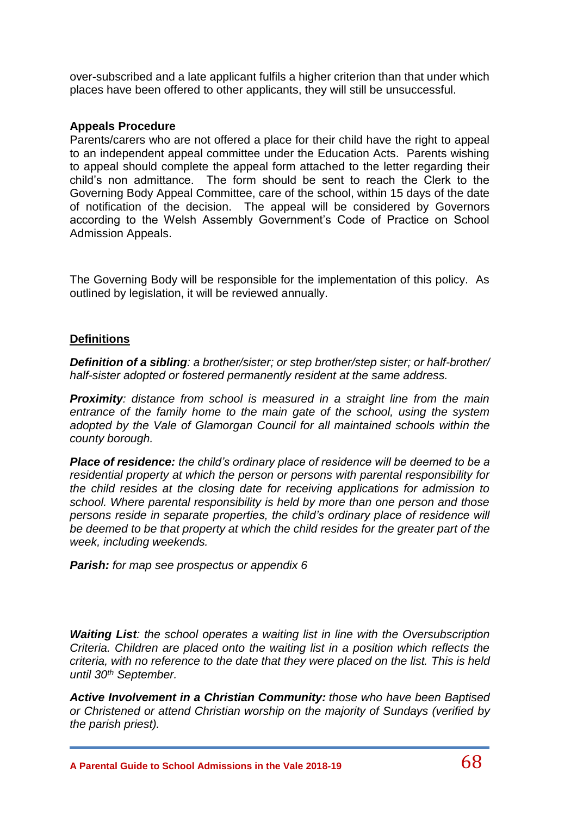over-subscribed and a late applicant fulfils a higher criterion than that under which places have been offered to other applicants, they will still be unsuccessful.

### **Appeals Procedure**

Parents/carers who are not offered a place for their child have the right to appeal to an independent appeal committee under the Education Acts. Parents wishing to appeal should complete the appeal form attached to the letter regarding their child's non admittance. The form should be sent to reach the Clerk to the Governing Body Appeal Committee, care of the school, within 15 days of the date of notification of the decision. The appeal will be considered by Governors according to the Welsh Assembly Government's Code of Practice on School Admission Appeals.

The Governing Body will be responsible for the implementation of this policy. As outlined by legislation, it will be reviewed annually.

# **Definitions**

*Definition of a sibling: a brother/sister; or step brother/step sister; or half-brother/ half-sister adopted or fostered permanently resident at the same address.*

*Proximity: distance from school is measured in a straight line from the main entrance of the family home to the main gate of the school, using the system adopted by the Vale of Glamorgan Council for all maintained schools within the county borough.*

*Place of residence: the child's ordinary place of residence will be deemed to be a residential property at which the person or persons with parental responsibility for the child resides at the closing date for receiving applications for admission to school. Where parental responsibility is held by more than one person and those persons reside in separate properties, the child's ordinary place of residence will be deemed to be that property at which the child resides for the greater part of the week, including weekends.*

*Parish: for map see prospectus or appendix 6*

*Waiting List: the school operates a waiting list in line with the Oversubscription Criteria. Children are placed onto the waiting list in a position which reflects the criteria, with no reference to the date that they were placed on the list. This is held until 30th September.*

*Active Involvement in a Christian Community: those who have been Baptised or Christened or attend Christian worship on the majority of Sundays (verified by the parish priest).*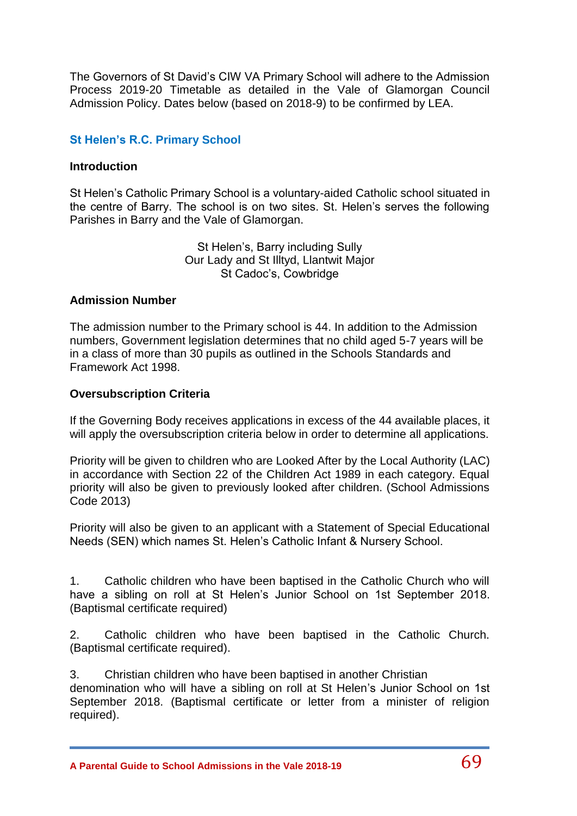The Governors of St David's CIW VA Primary School will adhere to the Admission Process 2019-20 Timetable as detailed in the Vale of Glamorgan Council Admission Policy. Dates below (based on 2018-9) to be confirmed by LEA.

# **St Helen's R.C. Primary School**

#### **Introduction**

St Helen's Catholic Primary School is a voluntary-aided Catholic school situated in the centre of Barry. The school is on two sites. St. Helen's serves the following Parishes in Barry and the Vale of Glamorgan.

> St Helen's, Barry including Sully Our Lady and St Illtyd, Llantwit Major St Cadoc's, Cowbridge

#### **Admission Number**

The admission number to the Primary school is 44. In addition to the Admission numbers, Government legislation determines that no child aged 5-7 years will be in a class of more than 30 pupils as outlined in the Schools Standards and Framework Act 1998.

#### **Oversubscription Criteria**

If the Governing Body receives applications in excess of the 44 available places, it will apply the oversubscription criteria below in order to determine all applications.

Priority will be given to children who are Looked After by the Local Authority (LAC) in accordance with Section 22 of the Children Act 1989 in each category. Equal priority will also be given to previously looked after children. (School Admissions Code 2013)

Priority will also be given to an applicant with a Statement of Special Educational Needs (SEN) which names St. Helen's Catholic Infant & Nursery School.

1. Catholic children who have been baptised in the Catholic Church who will have a sibling on roll at St Helen's Junior School on 1st September 2018. (Baptismal certificate required)

2. Catholic children who have been baptised in the Catholic Church. (Baptismal certificate required).

3. Christian children who have been baptised in another Christian denomination who will have a sibling on roll at St Helen's Junior School on 1st September 2018. (Baptismal certificate or letter from a minister of religion required).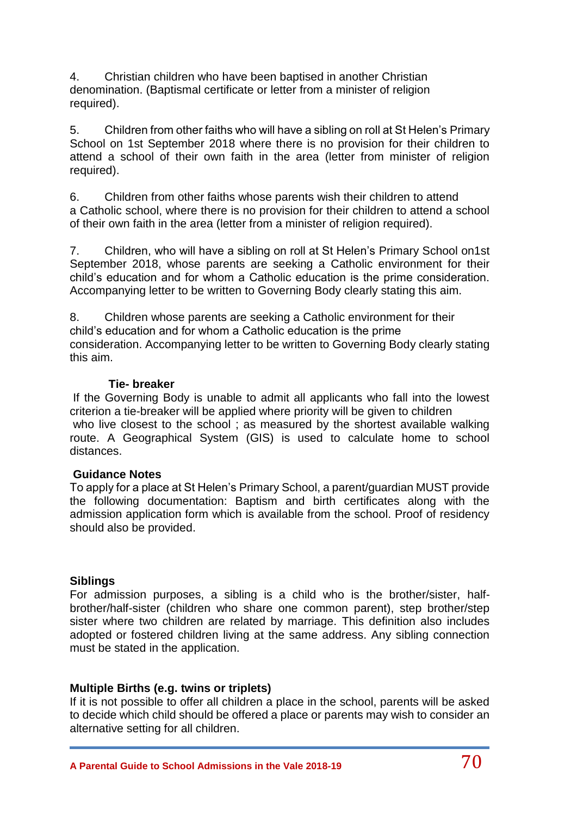4. Christian children who have been baptised in another Christian denomination. (Baptismal certificate or letter from a minister of religion required).

5. Children from other faiths who will have a sibling on roll at St Helen's Primary School on 1st September 2018 where there is no provision for their children to attend a school of their own faith in the area (letter from minister of religion required).

6. Children from other faiths whose parents wish their children to attend a Catholic school, where there is no provision for their children to attend a school of their own faith in the area (letter from a minister of religion required).

7. Children, who will have a sibling on roll at St Helen's Primary School on1st September 2018, whose parents are seeking a Catholic environment for their child's education and for whom a Catholic education is the prime consideration. Accompanying letter to be written to Governing Body clearly stating this aim.

8. Children whose parents are seeking a Catholic environment for their child's education and for whom a Catholic education is the prime consideration. Accompanying letter to be written to Governing Body clearly stating this aim.

#### **Tie- breaker**

If the Governing Body is unable to admit all applicants who fall into the lowest criterion a tie-breaker will be applied where priority will be given to children who live closest to the school; as measured by the shortest available walking route. A Geographical System (GIS) is used to calculate home to school distances.

### **Guidance Notes**

To apply for a place at St Helen's Primary School, a parent/guardian MUST provide the following documentation: Baptism and birth certificates along with the admission application form which is available from the school. Proof of residency should also be provided.

#### **Siblings**

For admission purposes, a sibling is a child who is the brother/sister, halfbrother/half-sister (children who share one common parent), step brother/step sister where two children are related by marriage. This definition also includes adopted or fostered children living at the same address. Any sibling connection must be stated in the application.

### **Multiple Births (e.g. twins or triplets)**

If it is not possible to offer all children a place in the school, parents will be asked to decide which child should be offered a place or parents may wish to consider an alternative setting for all children.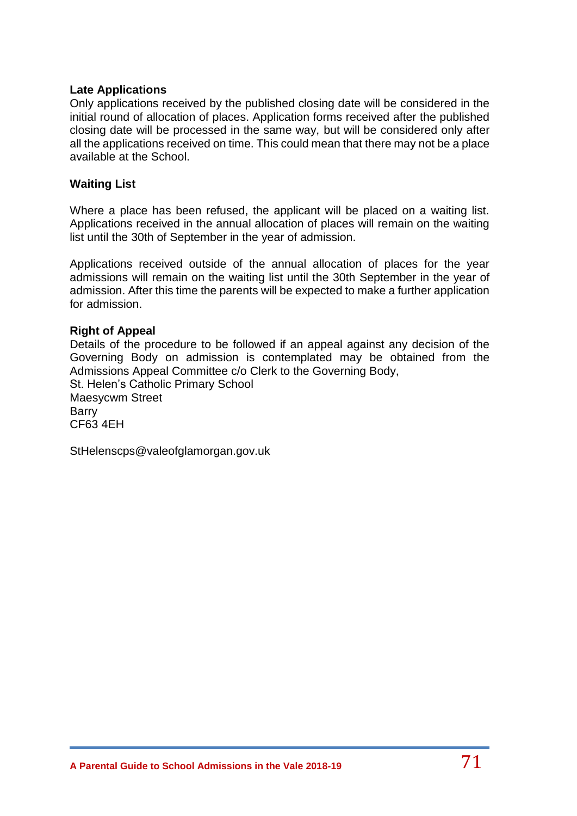### **Late Applications**

Only applications received by the published closing date will be considered in the initial round of allocation of places. Application forms received after the published closing date will be processed in the same way, but will be considered only after all the applications received on time. This could mean that there may not be a place available at the School.

### **Waiting List**

Where a place has been refused, the applicant will be placed on a waiting list. Applications received in the annual allocation of places will remain on the waiting list until the 30th of September in the year of admission.

Applications received outside of the annual allocation of places for the year admissions will remain on the waiting list until the 30th September in the year of admission. After this time the parents will be expected to make a further application for admission.

### **Right of Appeal**

Details of the procedure to be followed if an appeal against any decision of the Governing Body on admission is contemplated may be obtained from the Admissions Appeal Committee c/o Clerk to the Governing Body, St. Helen's Catholic Primary School Maesycwm Street Barry CF63 4EH

StHelenscps@valeofglamorgan.gov.uk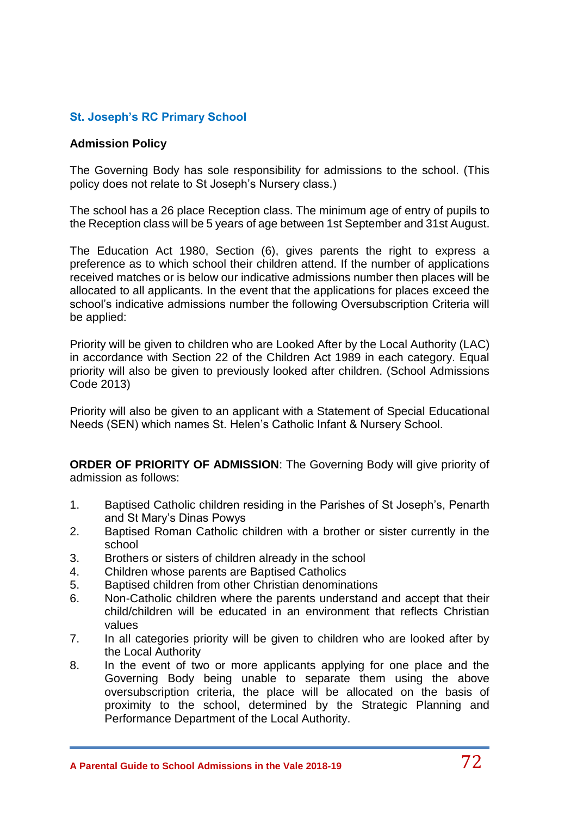# **St. Joseph's RC Primary School**

# **Admission Policy**

The Governing Body has sole responsibility for admissions to the school. (This policy does not relate to St Joseph's Nursery class.)

The school has a 26 place Reception class. The minimum age of entry of pupils to the Reception class will be 5 years of age between 1st September and 31st August.

The Education Act 1980, Section (6), gives parents the right to express a preference as to which school their children attend. If the number of applications received matches or is below our indicative admissions number then places will be allocated to all applicants. In the event that the applications for places exceed the school's indicative admissions number the following Oversubscription Criteria will be applied:

Priority will be given to children who are Looked After by the Local Authority (LAC) in accordance with Section 22 of the Children Act 1989 in each category. Equal priority will also be given to previously looked after children. (School Admissions Code 2013)

Priority will also be given to an applicant with a Statement of Special Educational Needs (SEN) which names St. Helen's Catholic Infant & Nursery School.

**ORDER OF PRIORITY OF ADMISSION**: The Governing Body will give priority of admission as follows:

- 1. Baptised Catholic children residing in the Parishes of St Joseph's, Penarth and St Mary's Dinas Powys
- 2. Baptised Roman Catholic children with a brother or sister currently in the school
- 3. Brothers or sisters of children already in the school
- 4. Children whose parents are Baptised Catholics
- 5. Baptised children from other Christian denominations
- 6. Non-Catholic children where the parents understand and accept that their child/children will be educated in an environment that reflects Christian values
- 7. In all categories priority will be given to children who are looked after by the Local Authority
- 8. In the event of two or more applicants applying for one place and the Governing Body being unable to separate them using the above oversubscription criteria, the place will be allocated on the basis of proximity to the school, determined by the Strategic Planning and Performance Department of the Local Authority.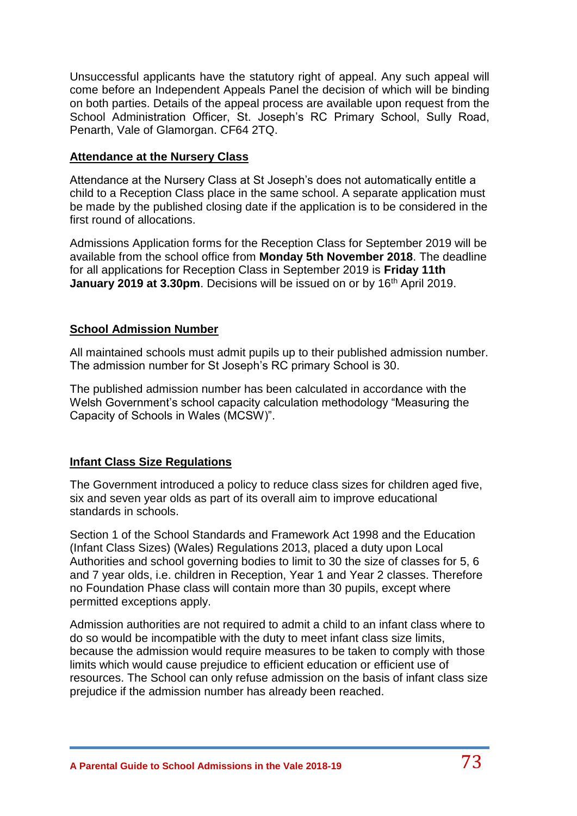Unsuccessful applicants have the statutory right of appeal. Any such appeal will come before an Independent Appeals Panel the decision of which will be binding on both parties. Details of the appeal process are available upon request from the School Administration Officer, St. Joseph's RC Primary School, Sully Road, Penarth, Vale of Glamorgan. CF64 2TQ.

## **Attendance at the Nursery Class**

Attendance at the Nursery Class at St Joseph's does not automatically entitle a child to a Reception Class place in the same school. A separate application must be made by the published closing date if the application is to be considered in the first round of allocations.

Admissions Application forms for the Reception Class for September 2019 will be available from the school office from **Monday 5th November 2018**. The deadline for all applications for Reception Class in September 2019 is **Friday 11th January 2019 at 3.30pm.** Decisions will be issued on or by 16<sup>th</sup> April 2019.

## **School Admission Number**

All maintained schools must admit pupils up to their published admission number. The admission number for St Joseph's RC primary School is 30.

The published admission number has been calculated in accordance with the Welsh Government's school capacity calculation methodology "Measuring the Capacity of Schools in Wales (MCSW)".

# **Infant Class Size Regulations**

The Government introduced a policy to reduce class sizes for children aged five, six and seven year olds as part of its overall aim to improve educational standards in schools.

Section 1 of the School Standards and Framework Act 1998 and the Education (Infant Class Sizes) (Wales) Regulations 2013, placed a duty upon Local Authorities and school governing bodies to limit to 30 the size of classes for 5, 6 and 7 year olds, i.e. children in Reception, Year 1 and Year 2 classes. Therefore no Foundation Phase class will contain more than 30 pupils, except where permitted exceptions apply.

Admission authorities are not required to admit a child to an infant class where to do so would be incompatible with the duty to meet infant class size limits, because the admission would require measures to be taken to comply with those limits which would cause prejudice to efficient education or efficient use of resources. The School can only refuse admission on the basis of infant class size prejudice if the admission number has already been reached.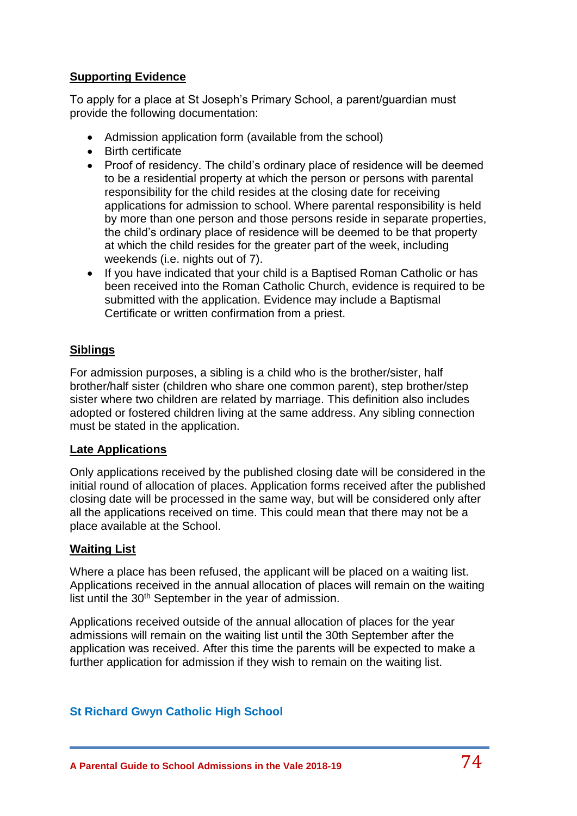# **Supporting Evidence**

To apply for a place at St Joseph's Primary School, a parent/guardian must provide the following documentation:

- Admission application form (available from the school)
- Birth certificate
- Proof of residency. The child's ordinary place of residence will be deemed to be a residential property at which the person or persons with parental responsibility for the child resides at the closing date for receiving applications for admission to school. Where parental responsibility is held by more than one person and those persons reside in separate properties, the child's ordinary place of residence will be deemed to be that property at which the child resides for the greater part of the week, including weekends (i.e. nights out of 7).
- If you have indicated that your child is a Baptised Roman Catholic or has been received into the Roman Catholic Church, evidence is required to be submitted with the application. Evidence may include a Baptismal Certificate or written confirmation from a priest.

# **Siblings**

For admission purposes, a sibling is a child who is the brother/sister, half brother/half sister (children who share one common parent), step brother/step sister where two children are related by marriage. This definition also includes adopted or fostered children living at the same address. Any sibling connection must be stated in the application.

# **Late Applications**

Only applications received by the published closing date will be considered in the initial round of allocation of places. Application forms received after the published closing date will be processed in the same way, but will be considered only after all the applications received on time. This could mean that there may not be a place available at the School.

### **Waiting List**

Where a place has been refused, the applicant will be placed on a waiting list. Applications received in the annual allocation of places will remain on the waiting list until the 30<sup>th</sup> September in the year of admission.

Applications received outside of the annual allocation of places for the year admissions will remain on the waiting list until the 30th September after the application was received. After this time the parents will be expected to make a further application for admission if they wish to remain on the waiting list.

# **St Richard Gwyn Catholic High School**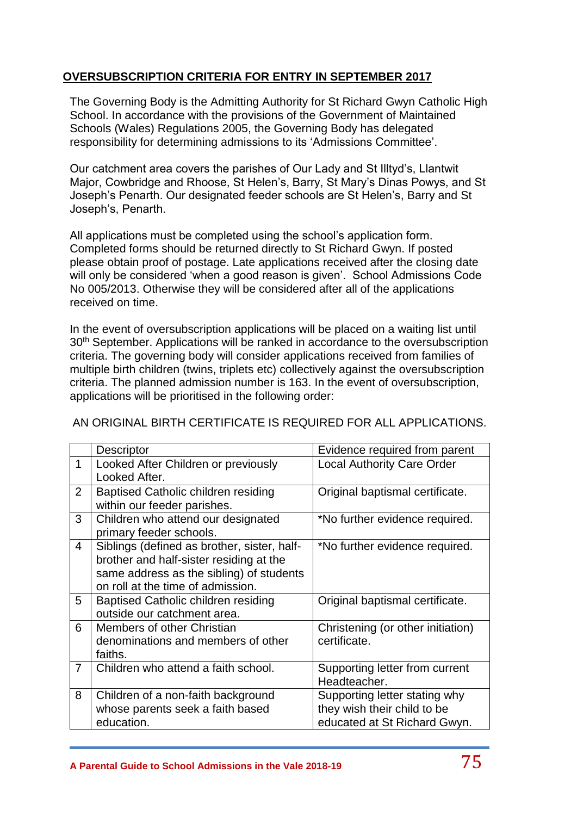# **OVERSUBSCRIPTION CRITERIA FOR ENTRY IN SEPTEMBER 2017**

The Governing Body is the Admitting Authority for St Richard Gwyn Catholic High School. In accordance with the provisions of the Government of Maintained Schools (Wales) Regulations 2005, the Governing Body has delegated responsibility for determining admissions to its 'Admissions Committee'.

Our catchment area covers the parishes of Our Lady and St Illtyd's, Llantwit Major, Cowbridge and Rhoose, St Helen's, Barry, St Mary's Dinas Powys, and St Joseph's Penarth. Our designated feeder schools are St Helen's, Barry and St Joseph's, Penarth.

All applications must be completed using the school's application form. Completed forms should be returned directly to St Richard Gwyn. If posted please obtain proof of postage. Late applications received after the closing date will only be considered 'when a good reason is given'. School Admissions Code No 005/2013. Otherwise they will be considered after all of the applications received on time.

In the event of oversubscription applications will be placed on a waiting list until 30<sup>th</sup> September. Applications will be ranked in accordance to the oversubscription criteria. The governing body will consider applications received from families of multiple birth children (twins, triplets etc) collectively against the oversubscription criteria. The planned admission number is 163. In the event of oversubscription, applications will be prioritised in the following order:

|                | Descriptor                                  | Evidence required from parent     |  |  |
|----------------|---------------------------------------------|-----------------------------------|--|--|
| 1              | Looked After Children or previously         | <b>Local Authority Care Order</b> |  |  |
|                | Looked After.                               |                                   |  |  |
| $\overline{2}$ | <b>Baptised Catholic children residing</b>  | Original baptismal certificate.   |  |  |
|                | within our feeder parishes.                 |                                   |  |  |
| 3              | Children who attend our designated          | *No further evidence required.    |  |  |
|                | primary feeder schools.                     |                                   |  |  |
| $\overline{4}$ | Siblings (defined as brother, sister, half- | *No further evidence required.    |  |  |
|                | brother and half-sister residing at the     |                                   |  |  |
|                | same address as the sibling) of students    |                                   |  |  |
|                | on roll at the time of admission.           |                                   |  |  |
| 5              | <b>Baptised Catholic children residing</b>  | Original baptismal certificate.   |  |  |
|                | outside our catchment area.                 |                                   |  |  |
| 6              | Members of other Christian                  | Christening (or other initiation) |  |  |
|                | denominations and members of other          | certificate.                      |  |  |
|                | faiths.                                     |                                   |  |  |
| $\overline{7}$ | Children who attend a faith school.         | Supporting letter from current    |  |  |
|                |                                             | Headteacher.                      |  |  |
| 8              | Children of a non-faith background          | Supporting letter stating why     |  |  |
|                | whose parents seek a faith based            | they wish their child to be       |  |  |
|                | education.                                  | educated at St Richard Gwyn.      |  |  |

# AN ORIGINAL BIRTH CERTIFICATE IS REQUIRED FOR ALL APPLICATIONS.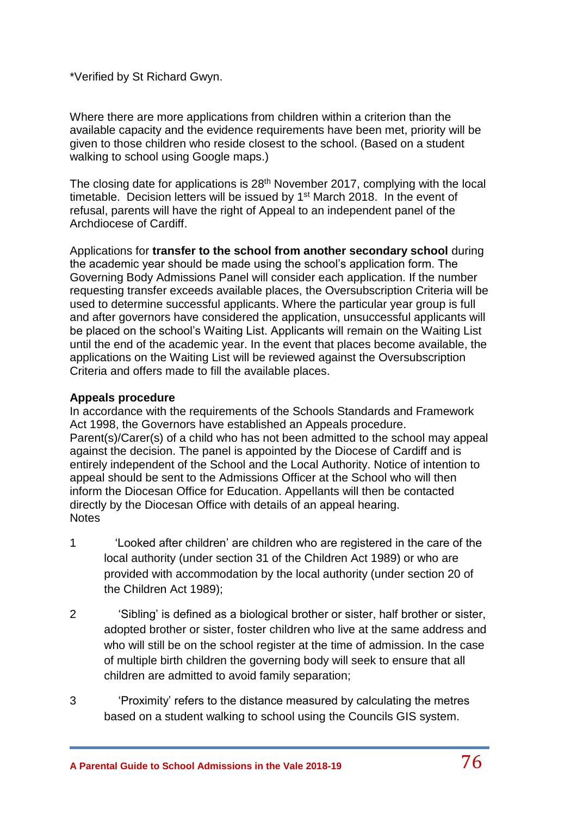\*Verified by St Richard Gwyn.

Where there are more applications from children within a criterion than the available capacity and the evidence requirements have been met, priority will be given to those children who reside closest to the school. (Based on a student walking to school using Google maps.)

The closing date for applications is  $28<sup>th</sup>$  November 2017, complying with the local timetable. Decision letters will be issued by 1<sup>st</sup> March 2018. In the event of refusal, parents will have the right of Appeal to an independent panel of the Archdiocese of Cardiff.

Applications for **transfer to the school from another secondary school** during the academic year should be made using the school's application form. The Governing Body Admissions Panel will consider each application. If the number requesting transfer exceeds available places, the Oversubscription Criteria will be used to determine successful applicants. Where the particular year group is full and after governors have considered the application, unsuccessful applicants will be placed on the school's Waiting List. Applicants will remain on the Waiting List until the end of the academic year. In the event that places become available, the applications on the Waiting List will be reviewed against the Oversubscription Criteria and offers made to fill the available places.

### **Appeals procedure**

In accordance with the requirements of the Schools Standards and Framework Act 1998, the Governors have established an Appeals procedure. Parent(s)/Carer(s) of a child who has not been admitted to the school may appeal against the decision. The panel is appointed by the Diocese of Cardiff and is entirely independent of the School and the Local Authority. Notice of intention to appeal should be sent to the Admissions Officer at the School who will then inform the Diocesan Office for Education. Appellants will then be contacted directly by the Diocesan Office with details of an appeal hearing. **Notes** 

- 1 'Looked after children' are children who are registered in the care of the local authority (under section 31 of the Children Act 1989) or who are provided with accommodation by the local authority (under section 20 of the Children Act 1989);
- 2 'Sibling' is defined as a biological brother or sister, half brother or sister, adopted brother or sister, foster children who live at the same address and who will still be on the school register at the time of admission. In the case of multiple birth children the governing body will seek to ensure that all children are admitted to avoid family separation;
- 3 'Proximity' refers to the distance measured by calculating the metres based on a student walking to school using the Councils GIS system.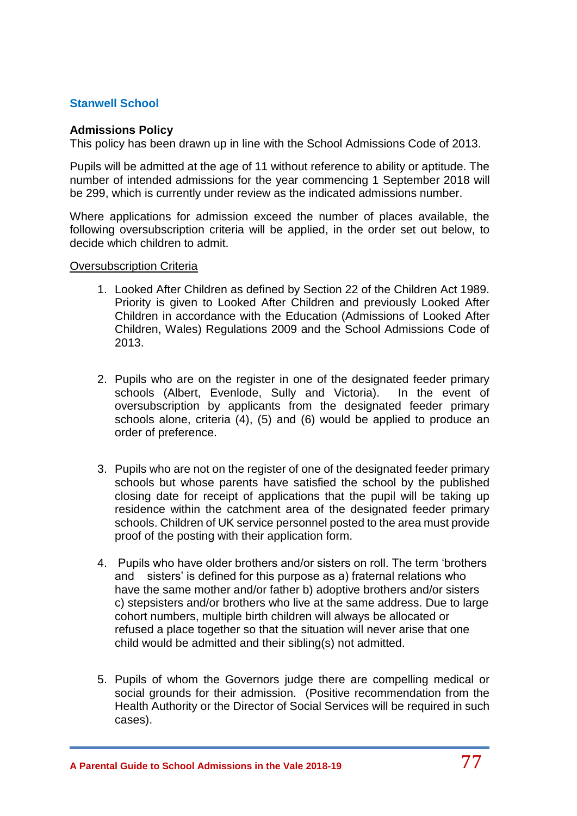## **Stanwell School**

### **Admissions Policy**

This policy has been drawn up in line with the School Admissions Code of 2013.

Pupils will be admitted at the age of 11 without reference to ability or aptitude. The number of intended admissions for the year commencing 1 September 2018 will be 299, which is currently under review as the indicated admissions number.

Where applications for admission exceed the number of places available, the following oversubscription criteria will be applied, in the order set out below, to decide which children to admit.

#### Oversubscription Criteria

- 1. Looked After Children as defined by Section 22 of the Children Act 1989. Priority is given to Looked After Children and previously Looked After Children in accordance with the Education (Admissions of Looked After Children, Wales) Regulations 2009 and the School Admissions Code of 2013.
- 2. Pupils who are on the register in one of the designated feeder primary schools (Albert, Evenlode, Sully and Victoria). In the event of oversubscription by applicants from the designated feeder primary schools alone, criteria (4), (5) and (6) would be applied to produce an order of preference.
- 3. Pupils who are not on the register of one of the designated feeder primary schools but whose parents have satisfied the school by the published closing date for receipt of applications that the pupil will be taking up residence within the catchment area of the designated feeder primary schools. Children of UK service personnel posted to the area must provide proof of the posting with their application form.
- 4. Pupils who have older brothers and/or sisters on roll. The term 'brothers and sisters' is defined for this purpose as a) fraternal relations who have the same mother and/or father b) adoptive brothers and/or sisters c) stepsisters and/or brothers who live at the same address. Due to large cohort numbers, multiple birth children will always be allocated or refused a place together so that the situation will never arise that one child would be admitted and their sibling(s) not admitted.
- 5. Pupils of whom the Governors judge there are compelling medical or social grounds for their admission. (Positive recommendation from the Health Authority or the Director of Social Services will be required in such cases).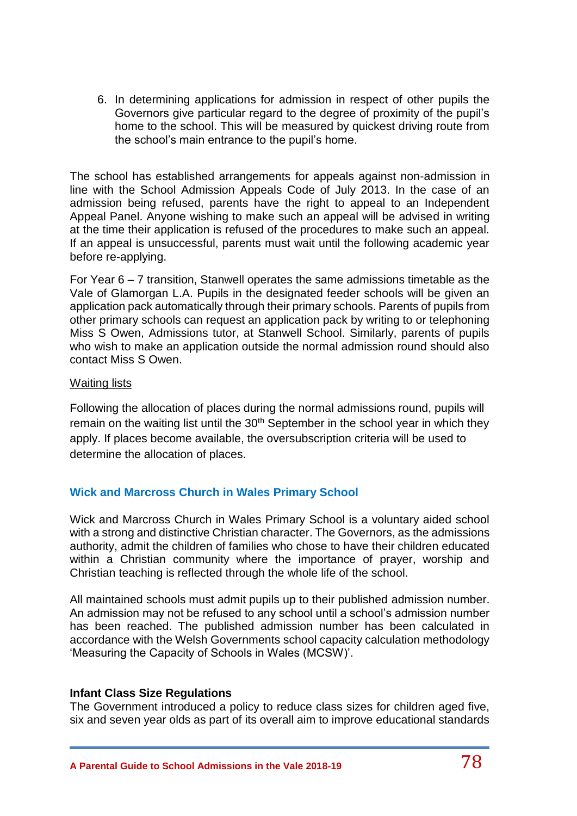6. In determining applications for admission in respect of other pupils the Governors give particular regard to the degree of proximity of the pupil's home to the school. This will be measured by quickest driving route from the school's main entrance to the pupil's home.

The school has established arrangements for appeals against non-admission in line with the School Admission Appeals Code of July 2013. In the case of an admission being refused, parents have the right to appeal to an Independent Appeal Panel. Anyone wishing to make such an appeal will be advised in writing at the time their application is refused of the procedures to make such an appeal. If an appeal is unsuccessful, parents must wait until the following academic year before re-applying.

For Year 6 – 7 transition, Stanwell operates the same admissions timetable as the Vale of Glamorgan L.A. Pupils in the designated feeder schools will be given an application pack automatically through their primary schools. Parents of pupils from other primary schools can request an application pack by writing to or telephoning Miss S Owen, Admissions tutor, at Stanwell School. Similarly, parents of pupils who wish to make an application outside the normal admission round should also contact Miss S Owen.

### Waiting lists

Following the allocation of places during the normal admissions round, pupils will remain on the waiting list until the 30<sup>th</sup> September in the school year in which they apply. If places become available, the oversubscription criteria will be used to determine the allocation of places.

### **Wick and Marcross Church in Wales Primary School**

Wick and Marcross Church in Wales Primary School is a voluntary aided school with a strong and distinctive Christian character. The Governors, as the admissions authority, admit the children of families who chose to have their children educated within a Christian community where the importance of prayer, worship and Christian teaching is reflected through the whole life of the school.

All maintained schools must admit pupils up to their published admission number. An admission may not be refused to any school until a school's admission number has been reached. The published admission number has been calculated in accordance with the Welsh Governments school capacity calculation methodology 'Measuring the Capacity of Schools in Wales (MCSW)'.

### **Infant Class Size Regulations**

The Government introduced a policy to reduce class sizes for children aged five, six and seven year olds as part of its overall aim to improve educational standards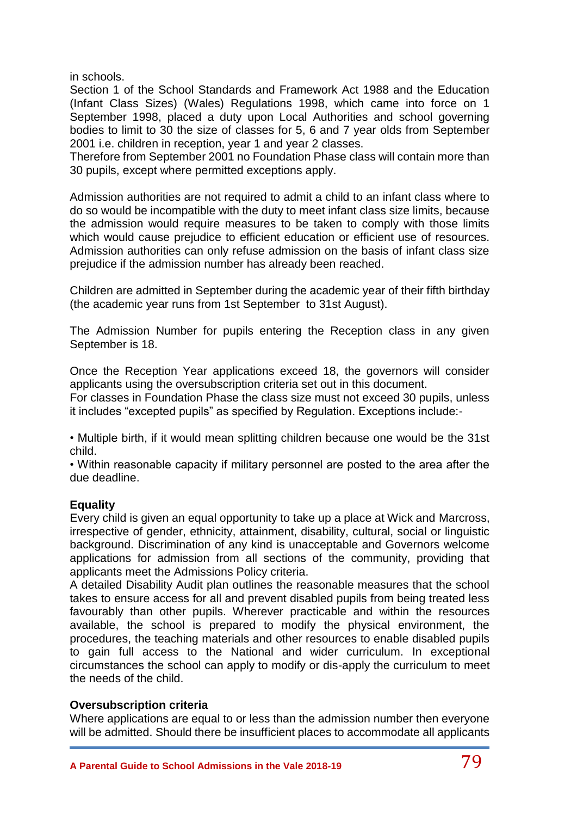in schools.

Section 1 of the School Standards and Framework Act 1988 and the Education (Infant Class Sizes) (Wales) Regulations 1998, which came into force on 1 September 1998, placed a duty upon Local Authorities and school governing bodies to limit to 30 the size of classes for 5, 6 and 7 year olds from September 2001 i.e. children in reception, year 1 and year 2 classes.

Therefore from September 2001 no Foundation Phase class will contain more than 30 pupils, except where permitted exceptions apply.

Admission authorities are not required to admit a child to an infant class where to do so would be incompatible with the duty to meet infant class size limits, because the admission would require measures to be taken to comply with those limits which would cause prejudice to efficient education or efficient use of resources. Admission authorities can only refuse admission on the basis of infant class size prejudice if the admission number has already been reached.

Children are admitted in September during the academic year of their fifth birthday (the academic year runs from 1st September to 31st August).

The Admission Number for pupils entering the Reception class in any given September is 18.

Once the Reception Year applications exceed 18, the governors will consider applicants using the oversubscription criteria set out in this document.

For classes in Foundation Phase the class size must not exceed 30 pupils, unless it includes "excepted pupils" as specified by Regulation. Exceptions include:-

• Multiple birth, if it would mean splitting children because one would be the 31st child.

• Within reasonable capacity if military personnel are posted to the area after the due deadline.

# **Equality**

Every child is given an equal opportunity to take up a place at Wick and Marcross, irrespective of gender, ethnicity, attainment, disability, cultural, social or linguistic background. Discrimination of any kind is unacceptable and Governors welcome applications for admission from all sections of the community, providing that applicants meet the Admissions Policy criteria.

A detailed Disability Audit plan outlines the reasonable measures that the school takes to ensure access for all and prevent disabled pupils from being treated less favourably than other pupils. Wherever practicable and within the resources available, the school is prepared to modify the physical environment, the procedures, the teaching materials and other resources to enable disabled pupils to gain full access to the National and wider curriculum. In exceptional circumstances the school can apply to modify or dis-apply the curriculum to meet the needs of the child.

### **Oversubscription criteria**

Where applications are equal to or less than the admission number then everyone will be admitted. Should there be insufficient places to accommodate all applicants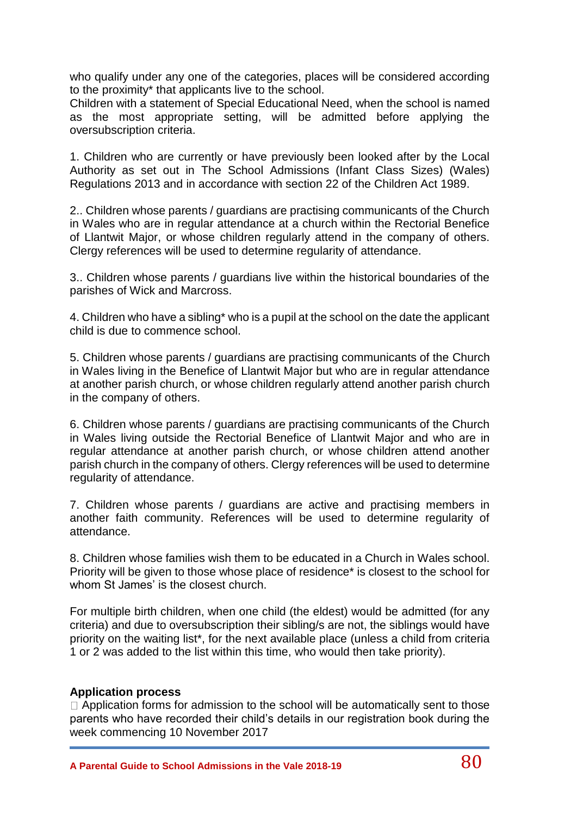who qualify under any one of the categories, places will be considered according to the proximity\* that applicants live to the school.

Children with a statement of Special Educational Need, when the school is named as the most appropriate setting, will be admitted before applying the oversubscription criteria.

1. Children who are currently or have previously been looked after by the Local Authority as set out in The School Admissions (Infant Class Sizes) (Wales) Regulations 2013 and in accordance with section 22 of the Children Act 1989.

2.. Children whose parents / guardians are practising communicants of the Church in Wales who are in regular attendance at a church within the Rectorial Benefice of Llantwit Major, or whose children regularly attend in the company of others. Clergy references will be used to determine regularity of attendance.

3.. Children whose parents / guardians live within the historical boundaries of the parishes of Wick and Marcross.

4. Children who have a sibling\* who is a pupil at the school on the date the applicant child is due to commence school.

5. Children whose parents / guardians are practising communicants of the Church in Wales living in the Benefice of Llantwit Major but who are in regular attendance at another parish church, or whose children regularly attend another parish church in the company of others.

6. Children whose parents / guardians are practising communicants of the Church in Wales living outside the Rectorial Benefice of Llantwit Major and who are in regular attendance at another parish church, or whose children attend another parish church in the company of others. Clergy references will be used to determine regularity of attendance.

7. Children whose parents / guardians are active and practising members in another faith community. References will be used to determine regularity of attendance.

8. Children whose families wish them to be educated in a Church in Wales school. Priority will be given to those whose place of residence\* is closest to the school for whom St James' is the closest church.

For multiple birth children, when one child (the eldest) would be admitted (for any criteria) and due to oversubscription their sibling/s are not, the siblings would have priority on the waiting list\*, for the next available place (unless a child from criteria 1 or 2 was added to the list within this time, who would then take priority).

#### **Application process**

 $\Box$  Application forms for admission to the school will be automatically sent to those parents who have recorded their child's details in our registration book during the week commencing 10 November 2017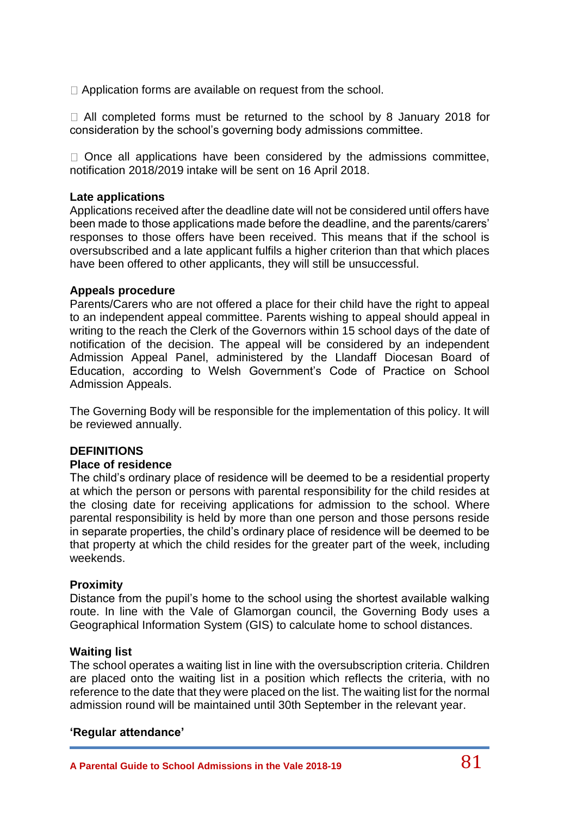□ Application forms are available on request from the school.

 $\Box$  All completed forms must be returned to the school by 8 January 2018 for consideration by the school's governing body admissions committee.

 $\Box$  Once all applications have been considered by the admissions committee, notification 2018/2019 intake will be sent on 16 April 2018.

#### **Late applications**

Applications received after the deadline date will not be considered until offers have been made to those applications made before the deadline, and the parents/carers' responses to those offers have been received. This means that if the school is oversubscribed and a late applicant fulfils a higher criterion than that which places have been offered to other applicants, they will still be unsuccessful.

#### **Appeals procedure**

Parents/Carers who are not offered a place for their child have the right to appeal to an independent appeal committee. Parents wishing to appeal should appeal in writing to the reach the Clerk of the Governors within 15 school days of the date of notification of the decision. The appeal will be considered by an independent Admission Appeal Panel, administered by the Llandaff Diocesan Board of Education, according to Welsh Government's Code of Practice on School Admission Appeals.

The Governing Body will be responsible for the implementation of this policy. It will be reviewed annually.

### **DEFINITIONS**

#### **Place of residence**

The child's ordinary place of residence will be deemed to be a residential property at which the person or persons with parental responsibility for the child resides at the closing date for receiving applications for admission to the school. Where parental responsibility is held by more than one person and those persons reside in separate properties, the child's ordinary place of residence will be deemed to be that property at which the child resides for the greater part of the week, including weekends.

#### **Proximity**

Distance from the pupil's home to the school using the shortest available walking route. In line with the Vale of Glamorgan council, the Governing Body uses a Geographical Information System (GIS) to calculate home to school distances.

#### **Waiting list**

The school operates a waiting list in line with the oversubscription criteria. Children are placed onto the waiting list in a position which reflects the criteria, with no reference to the date that they were placed on the list. The waiting list for the normal admission round will be maintained until 30th September in the relevant year.

#### **'Regular attendance'**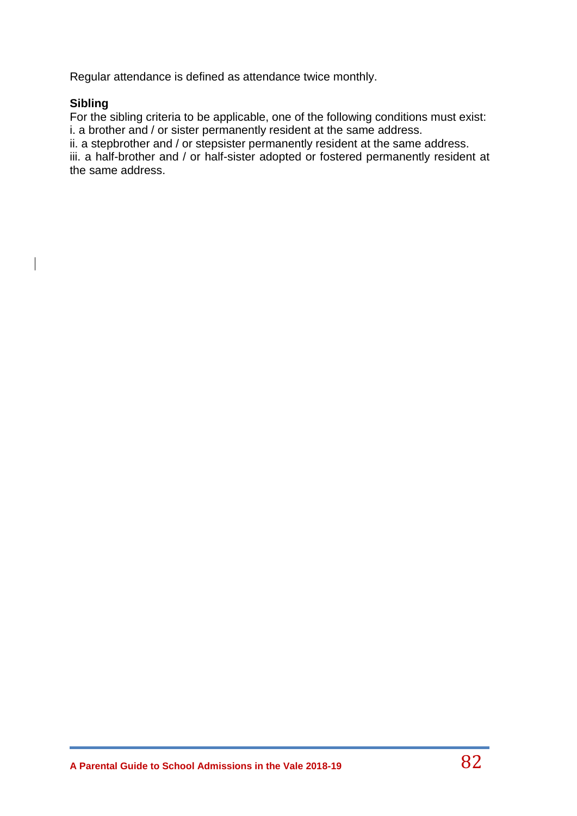Regular attendance is defined as attendance twice monthly.

## **Sibling**

For the sibling criteria to be applicable, one of the following conditions must exist: i. a brother and / or sister permanently resident at the same address.

ii. a stepbrother and / or stepsister permanently resident at the same address.

iii. a half-brother and / or half-sister adopted or fostered permanently resident at the same address.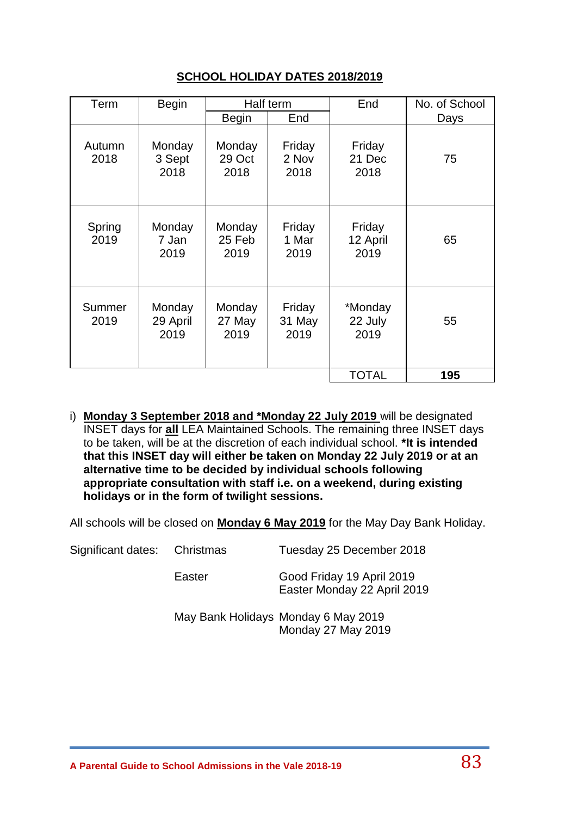## **SCHOOL HOLIDAY DATES 2018/2019**

| Term           | <b>Begin</b>               | Half term                |                          | End                        | No. of School |
|----------------|----------------------------|--------------------------|--------------------------|----------------------------|---------------|
|                |                            | <b>Begin</b>             | End                      |                            | Days          |
| Autumn<br>2018 | Monday<br>3 Sept<br>2018   | Monday<br>29 Oct<br>2018 | Friday<br>2 Nov<br>2018  | Friday<br>21 Dec<br>2018   | 75            |
| Spring<br>2019 | Monday<br>7 Jan<br>2019    | Monday<br>25 Feb<br>2019 | Friday<br>1 Mar<br>2019  | Friday<br>12 April<br>2019 | 65            |
| Summer<br>2019 | Monday<br>29 April<br>2019 | Monday<br>27 May<br>2019 | Friday<br>31 May<br>2019 | *Monday<br>22 July<br>2019 | 55            |
|                |                            |                          |                          | <b>TOTAL</b>               | 195           |

i) **Monday 3 September 2018 and \*Monday 22 July 2019** will be designated INSET days for **all** LEA Maintained Schools. The remaining three INSET days to be taken, will be at the discretion of each individual school. **\*It is intended that this INSET day will either be taken on Monday 22 July 2019 or at an alternative time to be decided by individual schools following appropriate consultation with staff i.e. on a weekend, during existing holidays or in the form of twilight sessions.**

All schools will be closed on **Monday 6 May 2019** for the May Day Bank Holiday.

Significant dates: Christmas Tuesday 25 December 2018

Easter Good Friday 19 April 2019 Easter Monday 22 April 2019

May Bank Holidays Monday 6 May 2019 Monday 27 May 2019